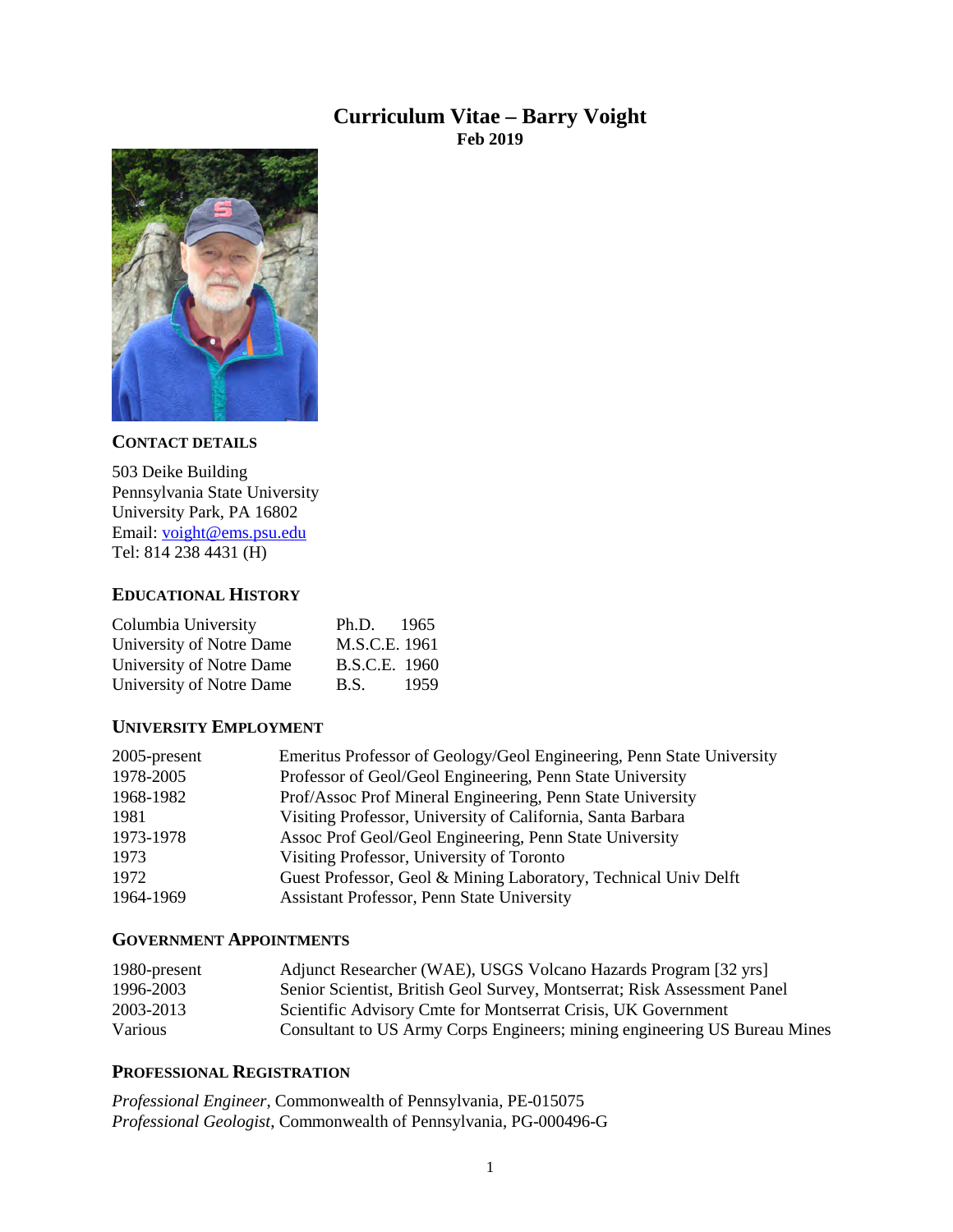## **Curriculum Vitae – Barry Voight Feb 2019**



## **CONTACT DETAILS**

503 Deike Building Pennsylvania State University University Park, PA 16802 Email: [voight@ems.psu.edu](mailto:voight@ems.psu.edu) Tel: 814 238 4431 (H)

## **EDUCATIONAL HISTORY**

| Columbia University      | Ph.D. 1965    |      |
|--------------------------|---------------|------|
| University of Notre Dame | M.S.C.E. 1961 |      |
| University of Notre Dame | B.S.C.E. 1960 |      |
| University of Notre Dame | B.S.          | 1959 |

## **UNIVERSITY EMPLOYMENT**

| 2005-present | Emeritus Professor of Geology/Geol Engineering, Penn State University |
|--------------|-----------------------------------------------------------------------|
| 1978-2005    | Professor of Geol/Geol Engineering, Penn State University             |
| 1968-1982    | Prof/Assoc Prof Mineral Engineering, Penn State University            |
| 1981         | Visiting Professor, University of California, Santa Barbara           |
| 1973-1978    | Assoc Prof Geol/Geol Engineering, Penn State University               |
| 1973         | Visiting Professor, University of Toronto                             |
| 1972         | Guest Professor, Geol & Mining Laboratory, Technical Univ Delft       |
| 1964-1969    | Assistant Professor, Penn State University                            |

## **GOVERNMENT APPOINTMENTS**

| 1980-present | Adjunct Researcher (WAE), USGS Volcano Hazards Program [32 yrs]           |
|--------------|---------------------------------------------------------------------------|
| 1996-2003    | Senior Scientist, British Geol Survey, Montserrat; Risk Assessment Panel  |
| 2003-2013    | Scientific Advisory Cmte for Montserrat Crisis, UK Government             |
| Various      | Consultant to US Army Corps Engineers; mining engineering US Bureau Mines |

## **PROFESSIONAL REGISTRATION**

*Professional Engineer*, Commonwealth of Pennsylvania, PE-015075 *Professional Geologist*, Commonwealth of Pennsylvania, PG-000496-G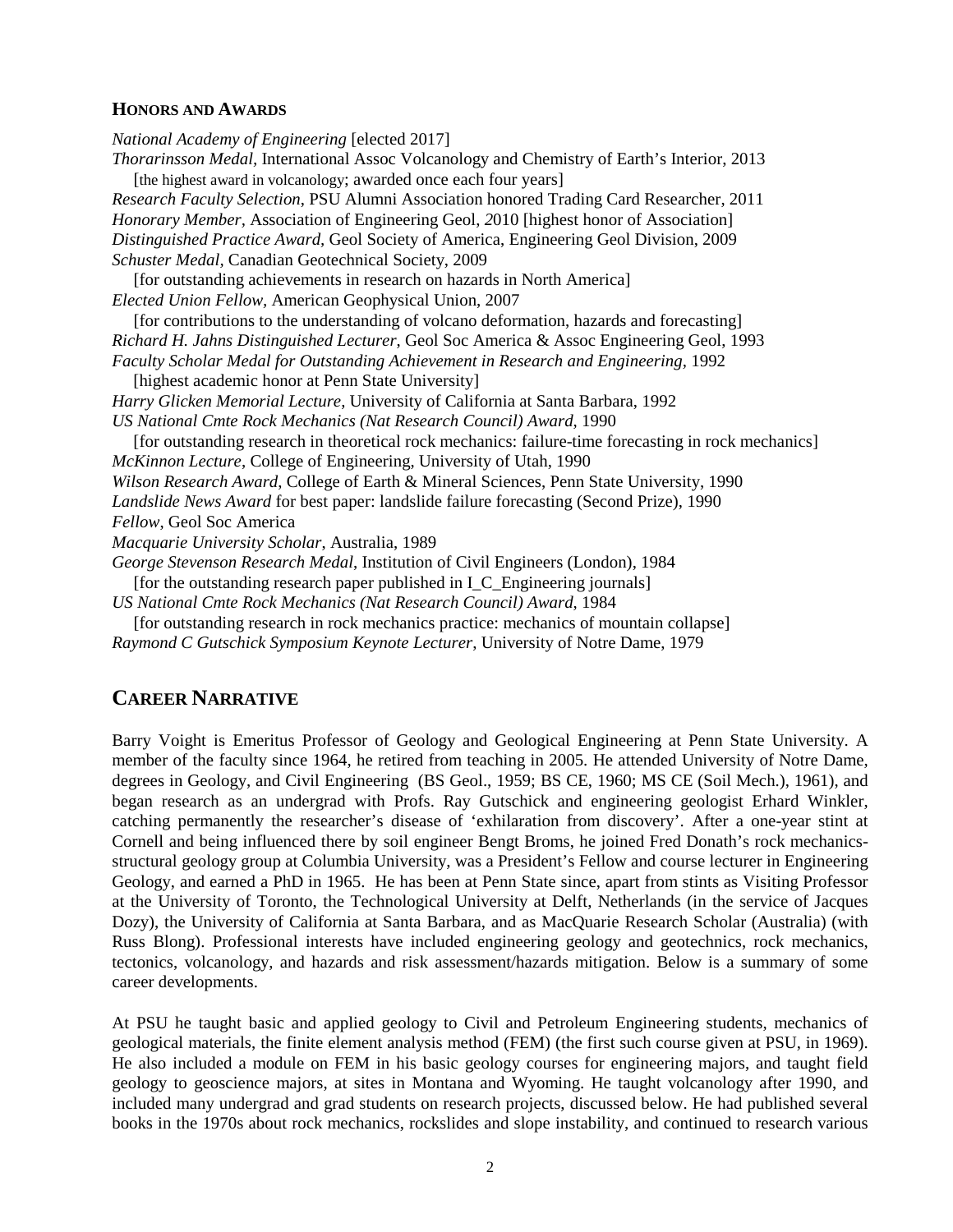### **HONORS AND AWARDS**

*National Academy of Engineering* [elected 2017] *Thorarinsson Medal,* International Assoc Volcanology and Chemistry of Earth's Interior, 2013 [the highest award in volcanology; awarded once each four years] *Research Faculty Selection*, PSU Alumni Association honored Trading Card Researcher, 2011 *Honorary Member,* Association of Engineering Geol, *2*010 [highest honor of Association] *Distinguished Practice Award,* Geol Society of America, Engineering Geol Division, 2009 *Schuster Medal,* Canadian Geotechnical Society, 2009 [for outstanding achievements in research on hazards in North America] *Elected Union Fellow,* American Geophysical Union, 2007 [for contributions to the understanding of volcano deformation, hazards and forecasting] *Richard H. Jahns Distinguished Lecturer*, Geol Soc America & Assoc Engineering Geol, 1993 *Faculty Scholar Medal for Outstanding Achievement in Research and Engineering,* 1992 [highest academic honor at Penn State University] *Harry Glicken Memorial Lecture*, University of California at Santa Barbara, 1992 *US National Cmte Rock Mechanics (Nat Research Council) Award*, 1990 [for outstanding research in theoretical rock mechanics: failure-time forecasting in rock mechanics] *McKinnon Lecture*, College of Engineering, University of Utah, 1990 *Wilson Research Award*, College of Earth & Mineral Sciences, Penn State University, 1990 *Landslide News Award* for best paper: landslide failure forecasting (Second Prize), 1990 *Fellow*, Geol Soc America *Macquarie University Scholar*, Australia, 1989 *George Stevenson Research Medal*, Institution of Civil Engineers (London), 1984 [for the outstanding research paper published in I\_C\_Engineering journals] *US National Cmte Rock Mechanics (Nat Research Council) Award*, 1984 [for outstanding research in rock mechanics practice: mechanics of mountain collapse]

*Raymond C Gutschick Symposium Keynote Lecturer*, University of Notre Dame, 1979

## **CAREER NARRATIVE**

Barry Voight is Emeritus Professor of Geology and Geological Engineering at Penn State University. A member of the faculty since 1964, he retired from teaching in 2005. He attended University of Notre Dame, degrees in Geology, and Civil Engineering (BS Geol., 1959; BS CE, 1960; MS CE (Soil Mech.), 1961), and began research as an undergrad with Profs. Ray Gutschick and engineering geologist Erhard Winkler, catching permanently the researcher's disease of 'exhilaration from discovery'. After a one-year stint at Cornell and being influenced there by soil engineer Bengt Broms, he joined Fred Donath's rock mechanicsstructural geology group at Columbia University, was a President's Fellow and course lecturer in Engineering Geology, and earned a PhD in 1965. He has been at Penn State since, apart from stints as Visiting Professor at the University of Toronto, the Technological University at Delft, Netherlands (in the service of Jacques Dozy), the University of California at Santa Barbara, and as MacQuarie Research Scholar (Australia) (with Russ Blong). Professional interests have included engineering geology and geotechnics, rock mechanics, tectonics, volcanology, and hazards and risk assessment/hazards mitigation. Below is a summary of some career developments.

At PSU he taught basic and applied geology to Civil and Petroleum Engineering students, mechanics of geological materials, the finite element analysis method (FEM) (the first such course given at PSU, in 1969). He also included a module on FEM in his basic geology courses for engineering majors, and taught field geology to geoscience majors, at sites in Montana and Wyoming. He taught volcanology after 1990, and included many undergrad and grad students on research projects, discussed below. He had published several books in the 1970s about rock mechanics, rockslides and slope instability, and continued to research various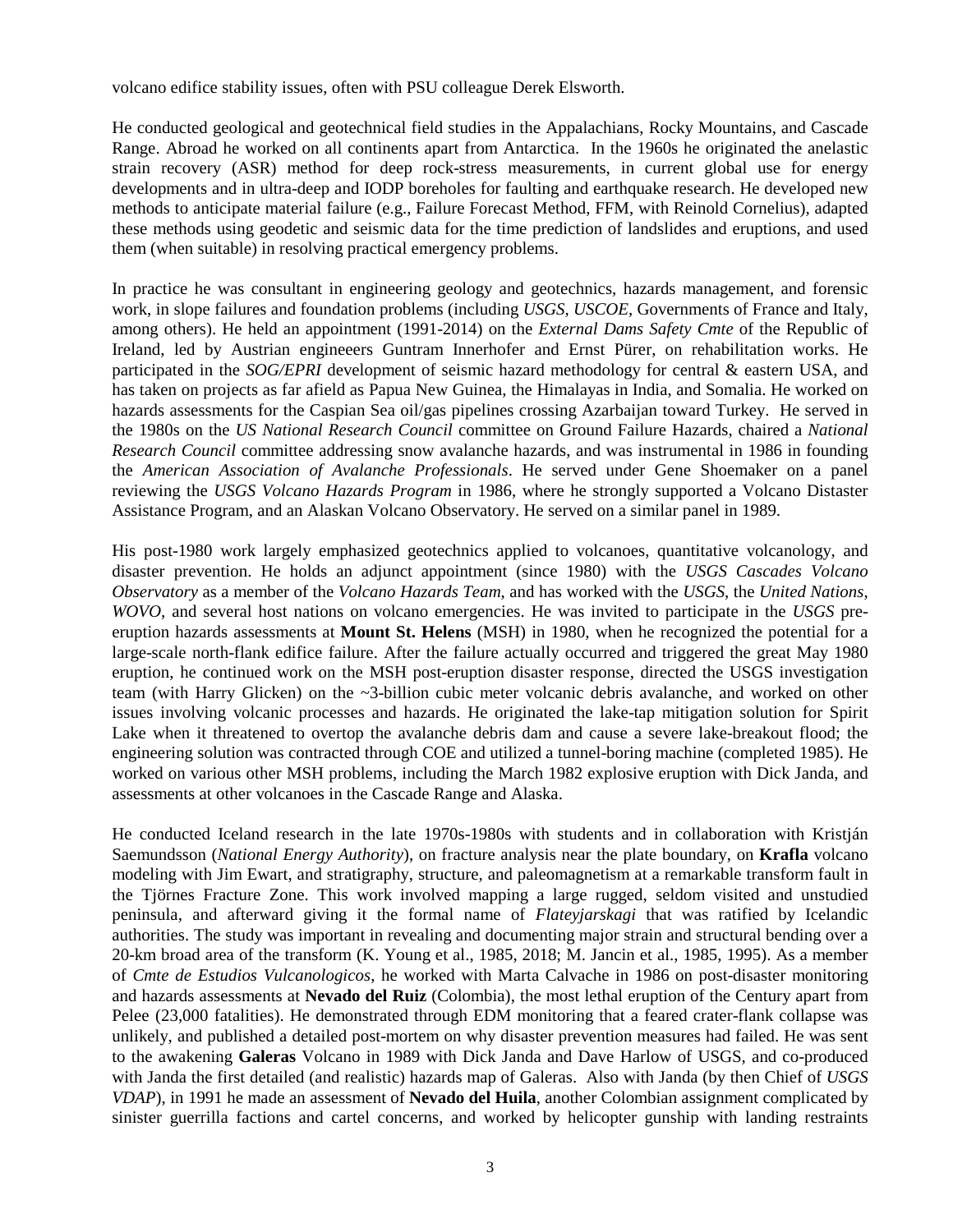volcano edifice stability issues, often with PSU colleague Derek Elsworth.

He conducted geological and geotechnical field studies in the Appalachians, Rocky Mountains, and Cascade Range. Abroad he worked on all continents apart from Antarctica. In the 1960s he originated the anelastic strain recovery (ASR) method for deep rock-stress measurements, in current global use for energy developments and in ultra-deep and IODP boreholes for faulting and earthquake research. He developed new methods to anticipate material failure (e.g., Failure Forecast Method, FFM, with Reinold Cornelius), adapted these methods using geodetic and seismic data for the time prediction of landslides and eruptions, and used them (when suitable) in resolving practical emergency problems.

In practice he was consultant in engineering geology and geotechnics, hazards management, and forensic work, in slope failures and foundation problems (including *USGS, USCOE*, Governments of France and Italy, among others). He held an appointment (1991-2014) on the *External Dams Safety Cmte* of the Republic of Ireland, led by Austrian engineeers Guntram Innerhofer and Ernst Pürer, on rehabilitation works. He participated in the *SOG/EPRI* development of seismic hazard methodology for central & eastern USA, and has taken on projects as far afield as Papua New Guinea, the Himalayas in India, and Somalia. He worked on hazards assessments for the Caspian Sea oil/gas pipelines crossing Azarbaijan toward Turkey. He served in the 1980s on the *US National Research Council* committee on Ground Failure Hazards, chaired a *National Research Council* committee addressing snow avalanche hazards, and was instrumental in 1986 in founding the *American Association of Avalanche Professionals*. He served under Gene Shoemaker on a panel reviewing the *USGS Volcano Hazards Program* in 1986, where he strongly supported a Volcano Distaster Assistance Program, and an Alaskan Volcano Observatory. He served on a similar panel in 1989.

His post-1980 work largely emphasized geotechnics applied to volcanoes, quantitative volcanology, and disaster prevention. He holds an adjunct appointment (since 1980) with the *USGS Cascades Volcano Observatory* as a member of the *Volcano Hazards Team*, and has worked with the *USGS*, the *United Nations*, *WOVO*, and several host nations on volcano emergencies. He was invited to participate in the *USGS* preeruption hazards assessments at **Mount St. Helens** (MSH) in 1980, when he recognized the potential for a large-scale north-flank edifice failure. After the failure actually occurred and triggered the great May 1980 eruption, he continued work on the MSH post-eruption disaster response, directed the USGS investigation team (with Harry Glicken) on the ~3-billion cubic meter volcanic debris avalanche, and worked on other issues involving volcanic processes and hazards. He originated the lake-tap mitigation solution for Spirit Lake when it threatened to overtop the avalanche debris dam and cause a severe lake-breakout flood; the engineering solution was contracted through COE and utilized a tunnel-boring machine (completed 1985). He worked on various other MSH problems, including the March 1982 explosive eruption with Dick Janda, and assessments at other volcanoes in the Cascade Range and Alaska.

He conducted Iceland research in the late 1970s-1980s with students and in collaboration with Kristján Saemundsson (*National Energy Authority*), on fracture analysis near the plate boundary, on **Krafla** volcano modeling with Jim Ewart, and stratigraphy, structure, and paleomagnetism at a remarkable transform fault in the Tjörnes Fracture Zone. This work involved mapping a large rugged, seldom visited and unstudied peninsula, and afterward giving it the formal name of *Flateyjarskagi* that was ratified by Icelandic authorities. The study was important in revealing and documenting major strain and structural bending over a 20-km broad area of the transform (K. Young et al., 1985, 2018; M. Jancin et al., 1985, 1995). As a member of *Cmte de Estudios Vulcanologicos*, he worked with Marta Calvache in 1986 on post-disaster monitoring and hazards assessments at **Nevado del Ruiz** (Colombia), the most lethal eruption of the Century apart from Pelee (23,000 fatalities). He demonstrated through EDM monitoring that a feared crater-flank collapse was unlikely, and published a detailed post-mortem on why disaster prevention measures had failed. He was sent to the awakening **Galeras** Volcano in 1989 with Dick Janda and Dave Harlow of USGS, and co-produced with Janda the first detailed (and realistic) hazards map of Galeras. Also with Janda (by then Chief of *USGS VDAP*), in 1991 he made an assessment of **Nevado del Huila**, another Colombian assignment complicated by sinister guerrilla factions and cartel concerns, and worked by helicopter gunship with landing restraints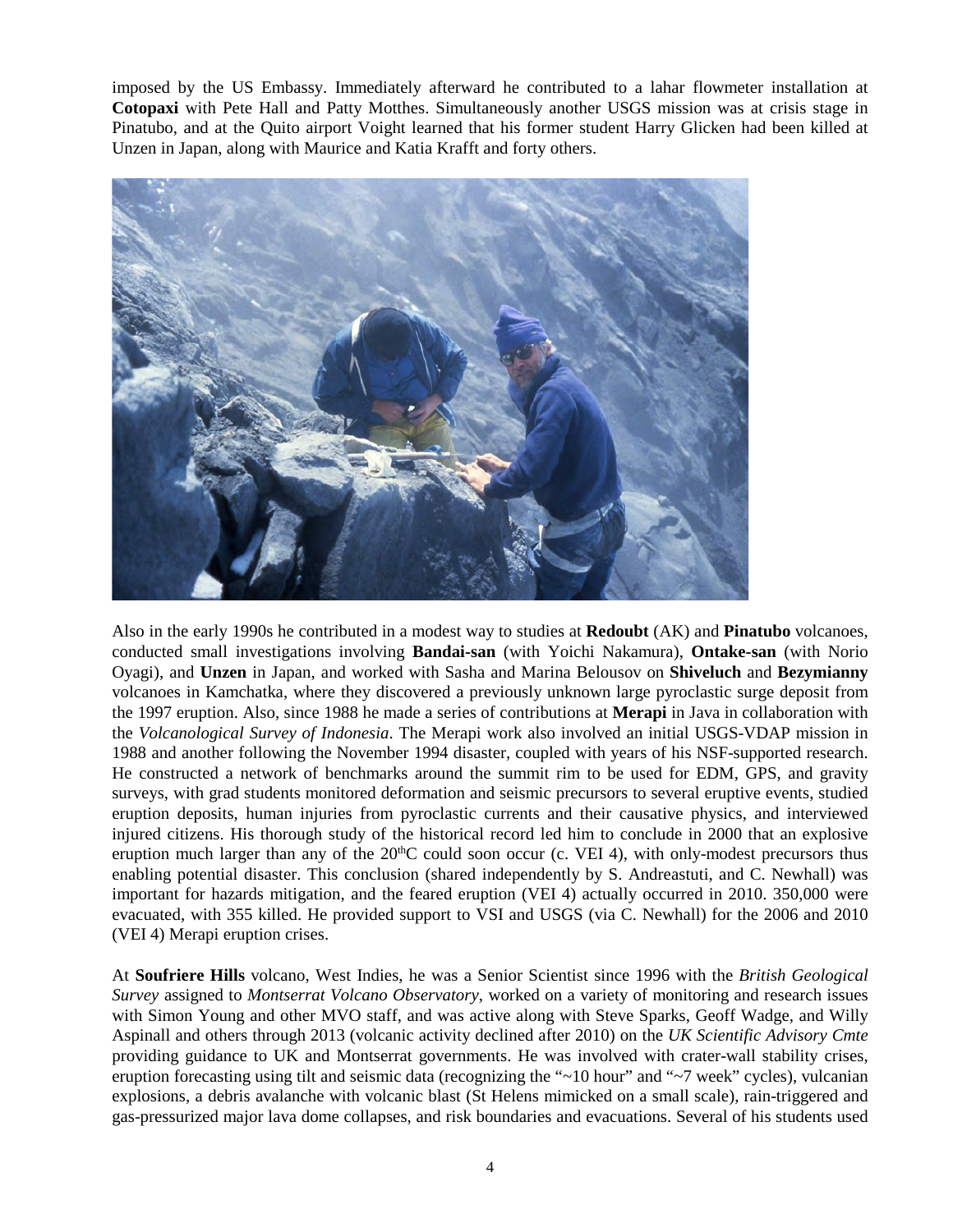imposed by the US Embassy. Immediately afterward he contributed to a lahar flowmeter installation at **Cotopaxi** with Pete Hall and Patty Motthes. Simultaneously another USGS mission was at crisis stage in Pinatubo, and at the Quito airport Voight learned that his former student Harry Glicken had been killed at Unzen in Japan, along with Maurice and Katia Krafft and forty others.



Also in the early 1990s he contributed in a modest way to studies at **Redoubt** (AK) and **Pinatubo** volcanoes, conducted small investigations involving **Bandai-san** (with Yoichi Nakamura), **Ontake-san** (with Norio Oyagi), and **Unzen** in Japan, and worked with Sasha and Marina Belousov on **Shiveluch** and **Bezymianny** volcanoes in Kamchatka, where they discovered a previously unknown large pyroclastic surge deposit from the 1997 eruption. Also, since 1988 he made a series of contributions at **Merapi** in Java in collaboration with the *Volcanological Survey of Indonesia*. The Merapi work also involved an initial USGS-VDAP mission in 1988 and another following the November 1994 disaster, coupled with years of his NSF-supported research. He constructed a network of benchmarks around the summit rim to be used for EDM, GPS, and gravity surveys, with grad students monitored deformation and seismic precursors to several eruptive events, studied eruption deposits, human injuries from pyroclastic currents and their causative physics, and interviewed injured citizens. His thorough study of the historical record led him to conclude in 2000 that an explosive eruption much larger than any of the 20<sup>th</sup>C could soon occur (c. VEI 4), with only-modest precursors thus enabling potential disaster. This conclusion (shared independently by S. Andreastuti, and C. Newhall) was important for hazards mitigation, and the feared eruption (VEI 4) actually occurred in 2010. 350,000 were evacuated, with 355 killed. He provided support to VSI and USGS (via C. Newhall) for the 2006 and 2010 (VEI 4) Merapi eruption crises.

At **Soufriere Hills** volcano, West Indies, he was a Senior Scientist since 1996 with the *British Geological Survey* assigned to *Montserrat Volcano Observatory*, worked on a variety of monitoring and research issues with Simon Young and other MVO staff, and was active along with Steve Sparks, Geoff Wadge, and Willy Aspinall and others through 2013 (volcanic activity declined after 2010) on the *UK Scientific Advisory Cmte* providing guidance to UK and Montserrat governments. He was involved with crater-wall stability crises, eruption forecasting using tilt and seismic data (recognizing the "~10 hour" and "~7 week" cycles), vulcanian explosions, a debris avalanche with volcanic blast (St Helens mimicked on a small scale), rain-triggered and gas-pressurized major lava dome collapses, and risk boundaries and evacuations. Several of his students used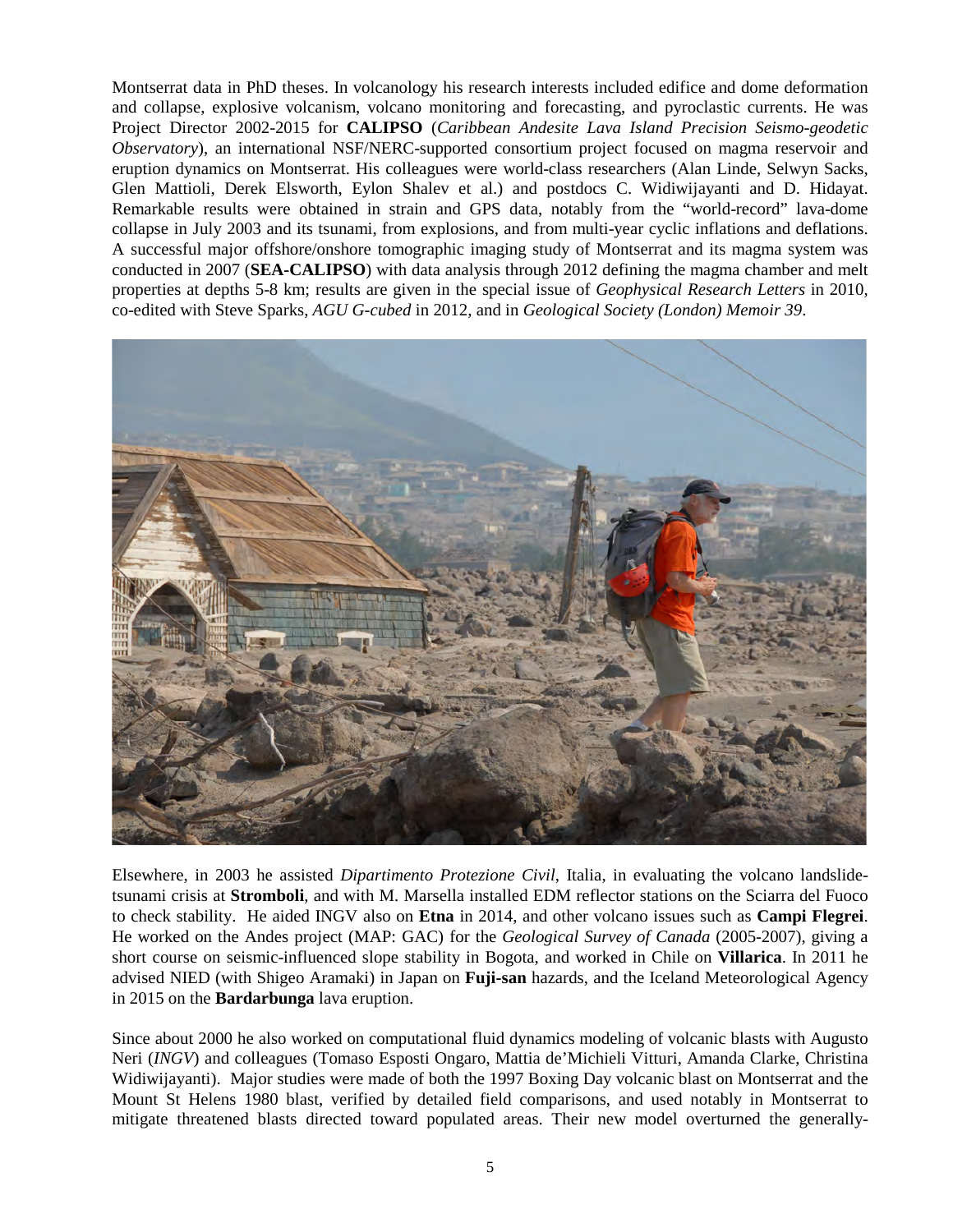Montserrat data in PhD theses. In volcanology his research interests included edifice and dome deformation and collapse, explosive volcanism, volcano monitoring and forecasting, and pyroclastic currents. He was Project Director 2002-2015 for **CALIPSO** (*Caribbean Andesite Lava Island Precision Seismo-geodetic Observatory*), an international NSF/NERC-supported consortium project focused on magma reservoir and eruption dynamics on Montserrat. His colleagues were world-class researchers (Alan Linde, Selwyn Sacks, Glen Mattioli, Derek Elsworth, Eylon Shalev et al.) and postdocs C. Widiwijayanti and D. Hidayat. Remarkable results were obtained in strain and GPS data, notably from the "world-record" lava-dome collapse in July 2003 and its tsunami, from explosions, and from multi-year cyclic inflations and deflations. A successful major offshore/onshore tomographic imaging study of Montserrat and its magma system was conducted in 2007 (**SEA-CALIPSO**) with data analysis through 2012 defining the magma chamber and melt properties at depths 5-8 km; results are given in the special issue of *Geophysical Research Letters* in 2010, co-edited with Steve Sparks, *AGU G-cubed* in 2012, and in *Geological Society (London) Memoir 39*.



Elsewhere, in 2003 he assisted *Dipartimento Protezione Civil*, Italia, in evaluating the volcano landslidetsunami crisis at **Stromboli**, and with M. Marsella installed EDM reflector stations on the Sciarra del Fuoco to check stability. He aided INGV also on **Etna** in 2014, and other volcano issues such as **Campi Flegrei**. He worked on the Andes project (MAP: GAC) for the *Geological Survey of Canada* (2005-2007), giving a short course on seismic-influenced slope stability in Bogota, and worked in Chile on **Villarica**. In 2011 he advised NIED (with Shigeo Aramaki) in Japan on **Fuji-san** hazards, and the Iceland Meteorological Agency in 2015 on the **Bardarbunga** lava eruption.

Since about 2000 he also worked on computational fluid dynamics modeling of volcanic blasts with Augusto Neri (*INGV*) and colleagues (Tomaso Esposti Ongaro, Mattia de'Michieli Vitturi, Amanda Clarke, Christina Widiwijayanti). Major studies were made of both the 1997 Boxing Day volcanic blast on Montserrat and the Mount St Helens 1980 blast, verified by detailed field comparisons, and used notably in Montserrat to mitigate threatened blasts directed toward populated areas. Their new model overturned the generally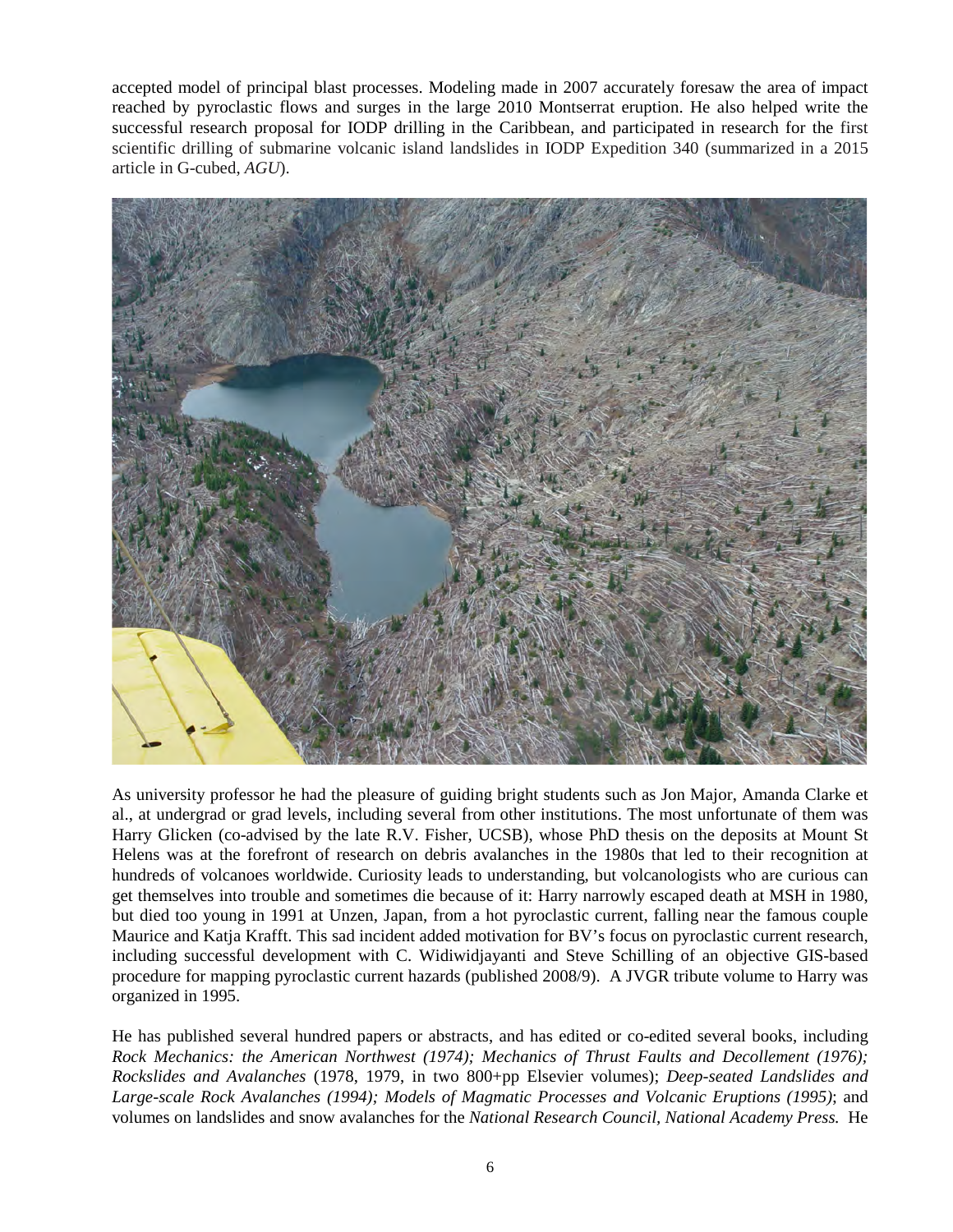accepted model of principal blast processes. Modeling made in 2007 accurately foresaw the area of impact reached by pyroclastic flows and surges in the large 2010 Montserrat eruption. He also helped write the successful research proposal for IODP drilling in the Caribbean, and participated in research for the first scientific drilling of submarine volcanic island landslides in IODP Expedition 340 (summarized in a 2015 article in G-cubed, *AGU*).



As university professor he had the pleasure of guiding bright students such as Jon Major, Amanda Clarke et al., at undergrad or grad levels, including several from other institutions. The most unfortunate of them was Harry Glicken (co-advised by the late R.V. Fisher, UCSB), whose PhD thesis on the deposits at Mount St Helens was at the forefront of research on debris avalanches in the 1980s that led to their recognition at hundreds of volcanoes worldwide. Curiosity leads to understanding, but volcanologists who are curious can get themselves into trouble and sometimes die because of it: Harry narrowly escaped death at MSH in 1980, but died too young in 1991 at Unzen, Japan, from a hot pyroclastic current, falling near the famous couple Maurice and Katja Krafft. This sad incident added motivation for BV's focus on pyroclastic current research, including successful development with C. Widiwidjayanti and Steve Schilling of an objective GIS-based procedure for mapping pyroclastic current hazards (published 2008/9). A JVGR tribute volume to Harry was organized in 1995.

He has published several hundred papers or abstracts, and has edited or co-edited several books, including *Rock Mechanics: the American Northwest (1974); Mechanics of Thrust Faults and Decollement (1976); Rockslides and Avalanches* (1978, 1979, in two 800+pp Elsevier volumes); *Deep-seated Landslides and Large-scale Rock Avalanches (1994); Models of Magmatic Processes and Volcanic Eruptions (1995)*; and volumes on landslides and snow avalanches for the *National Research Council, National Academy Press.* He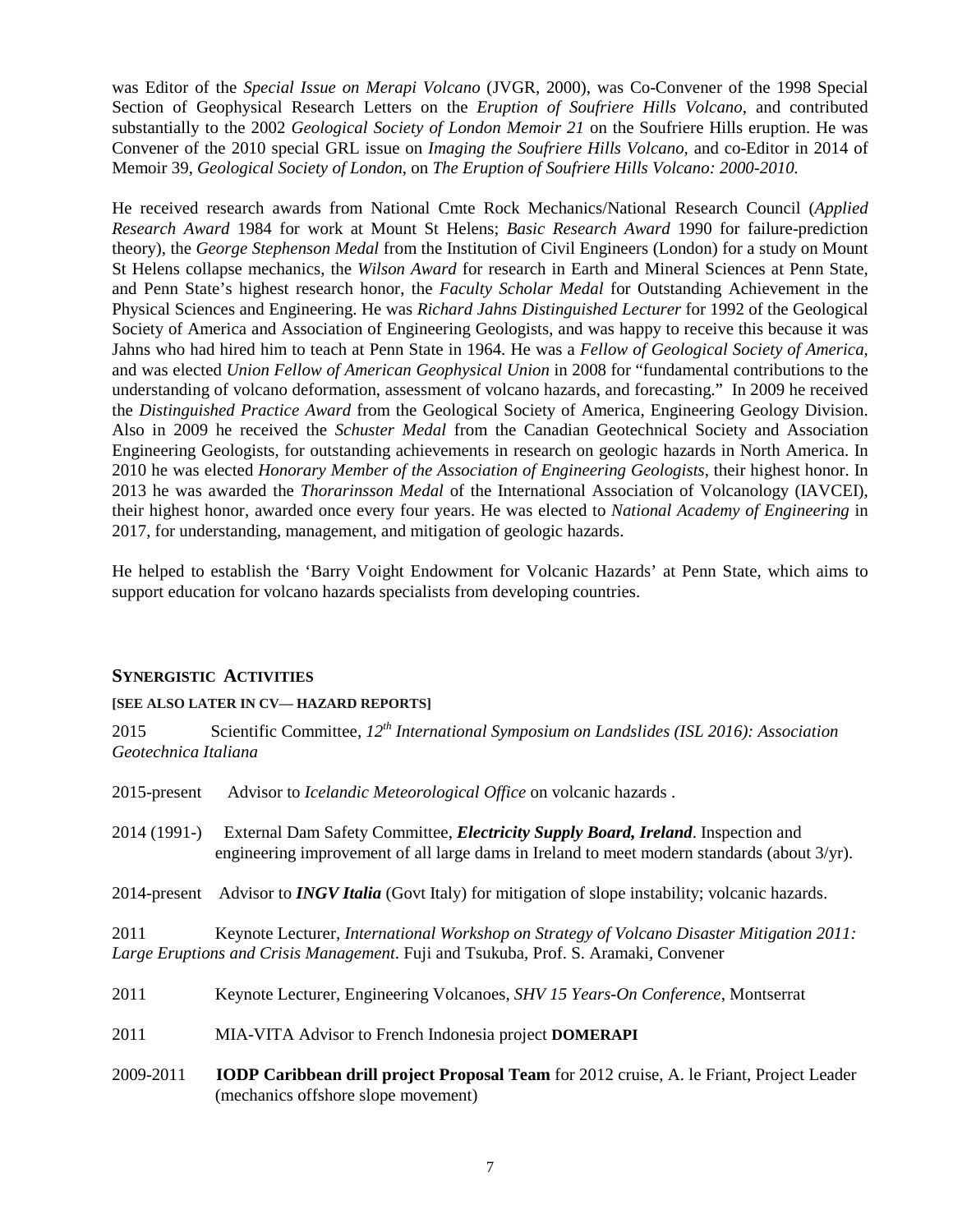was Editor of the *Special Issue on Merapi Volcano* (JVGR, 2000), was Co-Convener of the 1998 Special Section of Geophysical Research Letters on the *Eruption of Soufriere Hills Volcano*, and contributed substantially to the 2002 *Geological Society of London Memoir 21* on the Soufriere Hills eruption. He was Convener of the 2010 special GRL issue on *Imaging the Soufriere Hills Volcano,* and co-Editor in 2014 of Memoir 39, *Geological Society of London*, on *The Eruption of Soufriere Hills Volcano: 2000-2010.*

He received research awards from National Cmte Rock Mechanics/National Research Council (*Applied Research Award* 1984 for work at Mount St Helens; *Basic Research Award* 1990 for failure-prediction theory), the *George Stephenson Medal* from the Institution of Civil Engineers (London) for a study on Mount St Helens collapse mechanics, the *Wilson Award* for research in Earth and Mineral Sciences at Penn State, and Penn State's highest research honor, the *Faculty Scholar Medal* for Outstanding Achievement in the Physical Sciences and Engineering. He was *Richard Jahns Distinguished Lecturer* for 1992 of the Geological Society of America and Association of Engineering Geologists, and was happy to receive this because it was Jahns who had hired him to teach at Penn State in 1964. He was a *Fellow of Geological Society of America*, and was elected *Union Fellow of American Geophysical Union* in 2008 for "fundamental contributions to the understanding of volcano deformation, assessment of volcano hazards, and forecasting." In 2009 he received the *Distinguished Practice Award* from the Geological Society of America, Engineering Geology Division. Also in 2009 he received the *Schuster Medal* from the Canadian Geotechnical Society and Association Engineering Geologists, for outstanding achievements in research on geologic hazards in North America. In 2010 he was elected *Honorary Member of the Association of Engineering Geologists*, their highest honor. In 2013 he was awarded the *Thorarinsson Medal* of the International Association of Volcanology (IAVCEI), their highest honor, awarded once every four years. He was elected to *National Academy of Engineering* in 2017, for understanding, management, and mitigation of geologic hazards.

He helped to establish the 'Barry Voight Endowment for Volcanic Hazards' at Penn State, which aims to support education for volcano hazards specialists from developing countries.

## **SYNERGISTIC ACTIVITIES**

## **[SEE ALSO LATER IN CV— HAZARD REPORTS]**

2015 Scientific Committee,  $12^{th}$  International Symposium on Landslides (ISL 2016): Association *Geotechnica Italiana* 

| $2015$ -present | Advisor to Icelandic Meteorological Office on volcanic hazards.                                                                                                                         |
|-----------------|-----------------------------------------------------------------------------------------------------------------------------------------------------------------------------------------|
| 2014 (1991-)    | External Dam Safety Committee, <i>Electricity Supply Board, Ireland</i> . Inspection and<br>engineering improvement of all large dams in Ireland to meet modern standards (about 3/yr). |
|                 | 2014-present Advisor to INGV Italia (Govt Italy) for mitigation of slope instability; volcanic hazards.                                                                                 |
| 2011            | Keynote Lecturer, International Workshop on Strategy of Volcano Disaster Mitigation 2011:<br>Large Eruptions and Crisis Management. Fuji and Tsukuba, Prof. S. Aramaki, Convener        |
| 2011            | Keynote Lecturer, Engineering Volcanoes, SHV 15 Years-On Conference, Montserrat                                                                                                         |
| 2011            | MIA-VITA Advisor to French Indonesia project DOMERAPI                                                                                                                                   |
| 2009-2011       | <b>IODP Caribbean drill project Proposal Team</b> for 2012 cruise, A. le Friant, Project Leader<br>(mechanics offshore slope movement)                                                  |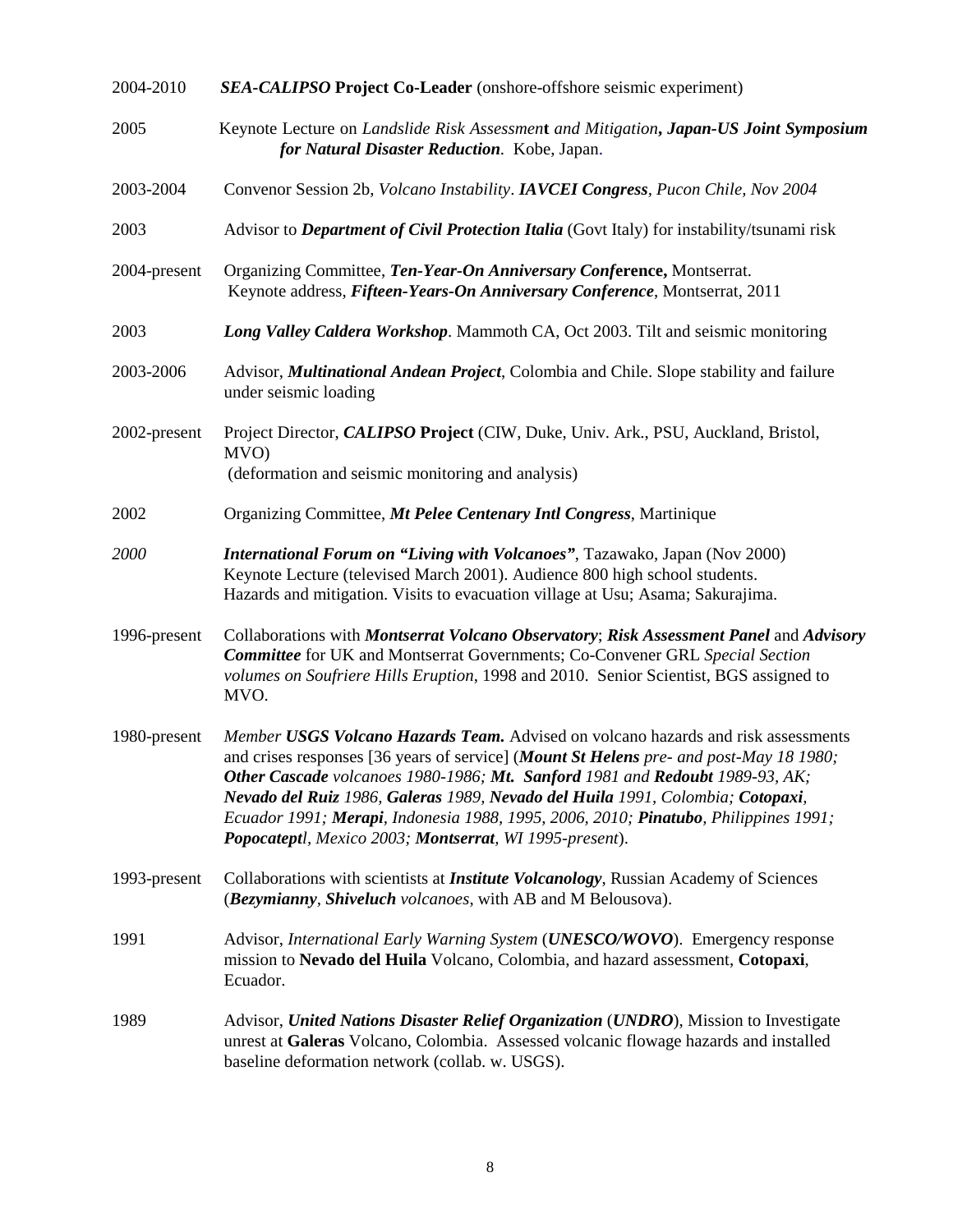| 2004-2010    | <b>SEA-CALIPSO Project Co-Leader</b> (onshore-offshore seismic experiment)                                                                                                                                                                                                                                                                                                                                                                                                                      |
|--------------|-------------------------------------------------------------------------------------------------------------------------------------------------------------------------------------------------------------------------------------------------------------------------------------------------------------------------------------------------------------------------------------------------------------------------------------------------------------------------------------------------|
| 2005         | Keynote Lecture on Landslide Risk Assessment and Mitigation, Japan-US Joint Symposium<br>for Natural Disaster Reduction. Kobe, Japan.                                                                                                                                                                                                                                                                                                                                                           |
| 2003-2004    | Convenor Session 2b, Volcano Instability. IAVCEI Congress, Pucon Chile, Nov 2004                                                                                                                                                                                                                                                                                                                                                                                                                |
| 2003         | Advisor to <i>Department of Civil Protection Italia</i> (Govt Italy) for instability/tsunami risk                                                                                                                                                                                                                                                                                                                                                                                               |
| 2004-present | Organizing Committee, Ten-Year-On Anniversary Conference, Montserrat.<br>Keynote address, Fifteen-Years-On Anniversary Conference, Montserrat, 2011                                                                                                                                                                                                                                                                                                                                             |
| 2003         | Long Valley Caldera Workshop. Mammoth CA, Oct 2003. Tilt and seismic monitoring                                                                                                                                                                                                                                                                                                                                                                                                                 |
| 2003-2006    | Advisor, <i>Multinational Andean Project</i> , Colombia and Chile. Slope stability and failure<br>under seismic loading                                                                                                                                                                                                                                                                                                                                                                         |
| 2002-present | Project Director, CALIPSO Project (CIW, Duke, Univ. Ark., PSU, Auckland, Bristol,<br>MVO)                                                                                                                                                                                                                                                                                                                                                                                                       |
|              | (deformation and seismic monitoring and analysis)                                                                                                                                                                                                                                                                                                                                                                                                                                               |
| 2002         | Organizing Committee, Mt Pelee Centenary Intl Congress, Martinique                                                                                                                                                                                                                                                                                                                                                                                                                              |
| 2000         | International Forum on "Living with Volcanoes", Tazawako, Japan (Nov 2000)<br>Keynote Lecture (televised March 2001). Audience 800 high school students.<br>Hazards and mitigation. Visits to evacuation village at Usu; Asama; Sakurajima.                                                                                                                                                                                                                                                     |
| 1996-present | Collaborations with Montserrat Volcano Observatory; Risk Assessment Panel and Advisory<br><b>Committee</b> for UK and Montserrat Governments; Co-Convener GRL Special Section<br>volumes on Soufriere Hills Eruption, 1998 and 2010. Senior Scientist, BGS assigned to<br>MVO.                                                                                                                                                                                                                  |
| 1980-present | Member USGS Volcano Hazards Team. Advised on volcano hazards and risk assessments<br>and crises responses [36 years of service] (Mount St Helens pre- and post-May 18 1980;<br>Other Cascade volcanoes 1980-1986; Mt. Sanford 1981 and Redoubt 1989-93, AK;<br>Nevado del Ruiz 1986, Galeras 1989, Nevado del Huila 1991, Colombia; Cotopaxi,<br>Ecuador 1991; Merapi, Indonesia 1988, 1995, 2006, 2010; Pinatubo, Philippines 1991;<br>Popocateptl, Mexico 2003; Montserrat, WI 1995-present). |
| 1993-present | Collaborations with scientists at <i>Institute Volcanology</i> , Russian Academy of Sciences<br>(Bezymianny, Shiveluch volcanoes, with AB and M Belousova).                                                                                                                                                                                                                                                                                                                                     |
| 1991         | Advisor, International Early Warning System (UNESCO/WOVO). Emergency response<br>mission to Nevado del Huila Volcano, Colombia, and hazard assessment, Cotopaxi,<br>Ecuador.                                                                                                                                                                                                                                                                                                                    |
| 1989         | Advisor, United Nations Disaster Relief Organization (UNDRO), Mission to Investigate<br>unrest at Galeras Volcano, Colombia. Assessed volcanic flowage hazards and installed<br>baseline deformation network (collab. w. USGS).                                                                                                                                                                                                                                                                 |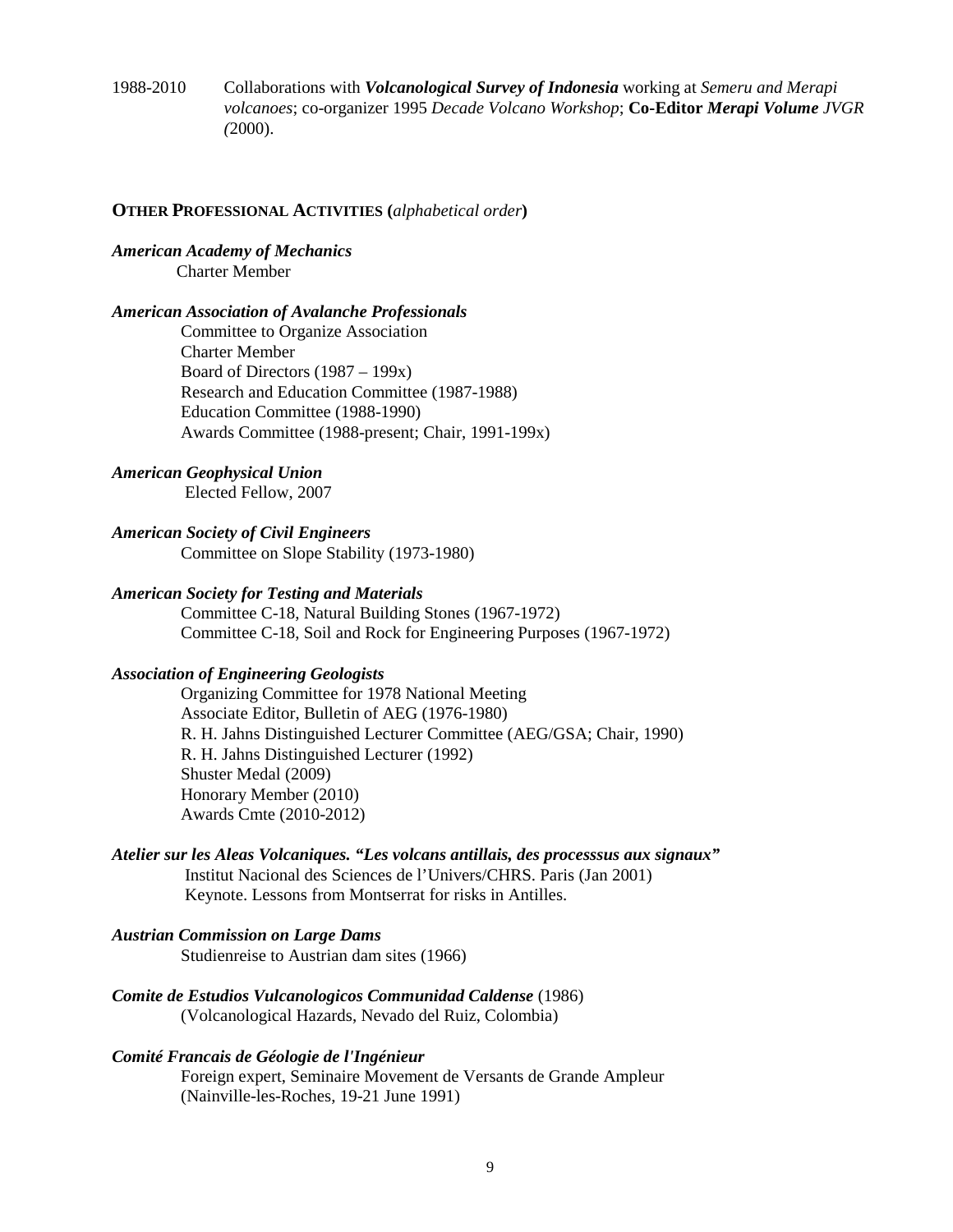1988-2010 Collaborations with *Volcanological Survey of Indonesia* working at *Semeru and Merapi volcanoes*; co-organizer 1995 *Decade Volcano Workshop*; **Co-Editor** *Merapi Volume JVGR (*2000).

#### **OTHER PROFESSIONAL ACTIVITIES (***alphabetical order***)**

#### *American Academy of Mechanics* Charter Member

## *American Association of Avalanche Professionals*

 Committee to Organize Association Charter Member Board of Directors (1987 – 199x) Research and Education Committee (1987-1988) Education Committee (1988-1990) Awards Committee (1988-present; Chair, 1991-199x)

#### *American Geophysical Union*

Elected Fellow, 2007

### *American Society of Civil Engineers*

Committee on Slope Stability (1973-1980)

## *American Society for Testing and Materials*

 Committee C-18, Natural Building Stones (1967-1972) Committee C-18, Soil and Rock for Engineering Purposes (1967-1972)

#### *Association of Engineering Geologists*

 Organizing Committee for 1978 National Meeting Associate Editor, Bulletin of AEG (1976-1980) R. H. Jahns Distinguished Lecturer Committee (AEG/GSA; Chair, 1990) R. H. Jahns Distinguished Lecturer (1992) Shuster Medal (2009) Honorary Member (2010) Awards Cmte (2010-2012)

### *Atelier sur les Aleas Volcaniques. "Les volcans antillais, des processsus aux signaux"* Institut Nacional des Sciences de l'Univers/CHRS. Paris (Jan 2001)

Keynote. Lessons from Montserrat for risks in Antilles.

### *Austrian Commission on Large Dams*  Studienreise to Austrian dam sites (1966)

*Comite de Estudios Vulcanologicos Communidad Caldense* (1986) (Volcanological Hazards, Nevado del Ruiz, Colombia)

#### *Comité Francais de Géologie de l'Ingénieur*

 Foreign expert, Seminaire Movement de Versants de Grande Ampleur (Nainville-les-Roches, 19-21 June 1991)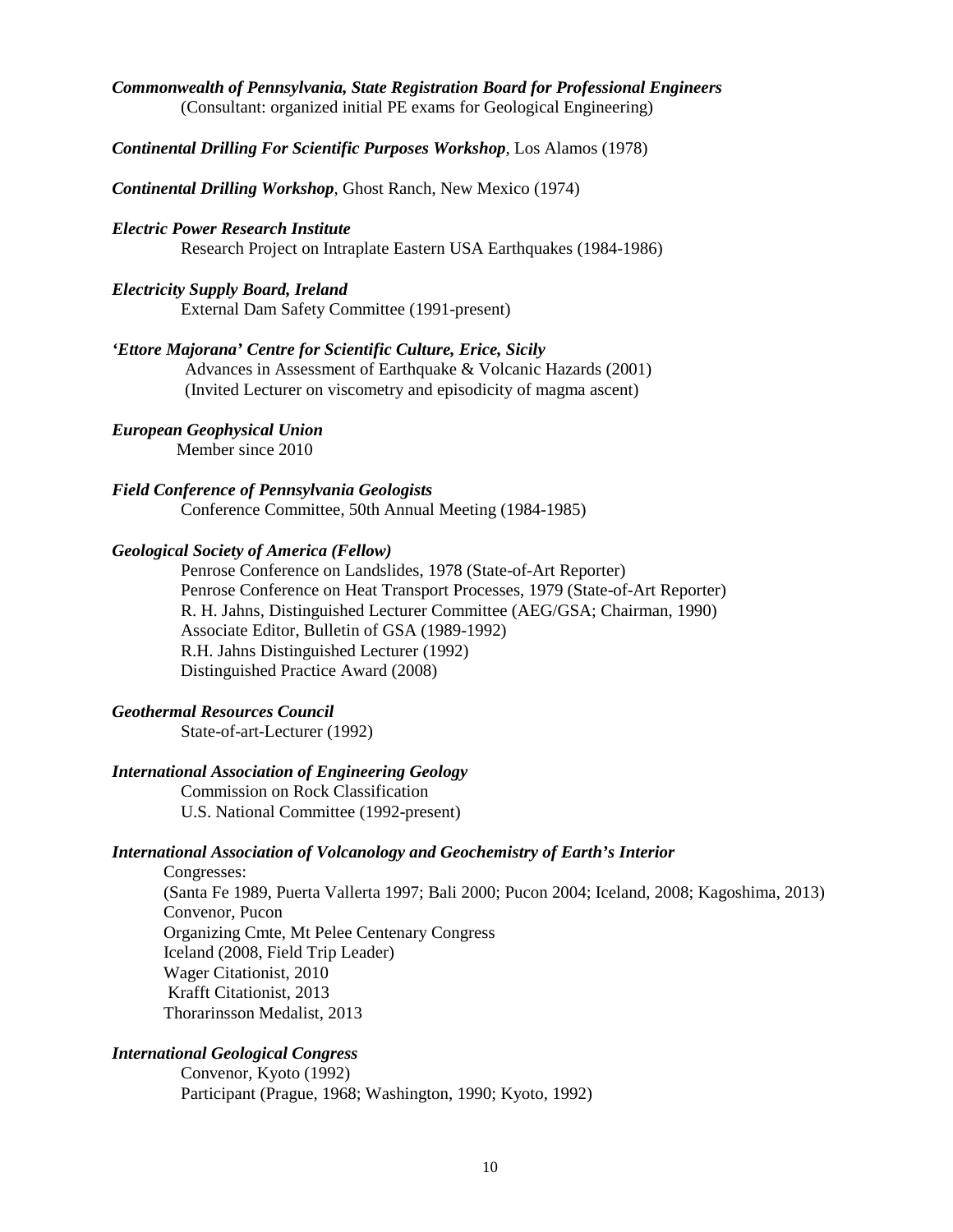# *Commonwealth of Pennsylvania, State Registration Board for Professional Engineers*

(Consultant: organized initial PE exams for Geological Engineering)

### *Continental Drilling For Scientific Purposes Workshop*, Los Alamos (1978)

*Continental Drilling Workshop*, Ghost Ranch, New Mexico (1974)

#### *Electric Power Research Institute*

Research Project on Intraplate Eastern USA Earthquakes (1984-1986)

#### *Electricity Supply Board, Ireland*

External Dam Safety Committee (1991-present)

## *'Ettore Majorana' Centre for Scientific Culture, Erice, Sicily*

 Advances in Assessment of Earthquake & Volcanic Hazards (2001) (Invited Lecturer on viscometry and episodicity of magma ascent)

## *European Geophysical Union*

Member since 2010

## *Field Conference of Pennsylvania Geologists*

Conference Committee, 50th Annual Meeting (1984-1985)

#### *Geological Society of America (Fellow)*

 Penrose Conference on Landslides, 1978 (State-of-Art Reporter) Penrose Conference on Heat Transport Processes, 1979 (State-of-Art Reporter) R. H. Jahns, Distinguished Lecturer Committee (AEG/GSA; Chairman, 1990) Associate Editor, Bulletin of GSA (1989-1992) R.H. Jahns Distinguished Lecturer (1992) Distinguished Practice Award (2008)

### *Geothermal Resources Council*

State-of-art-Lecturer (1992)

#### *International Association of Engineering Geology*

 Commission on Rock Classification U.S. National Committee (1992-present)

#### *International Association of Volcanology and Geochemistry of Earth's Interior*

 Congresses: (Santa Fe 1989, Puerta Vallerta 1997; Bali 2000; Pucon 2004; Iceland, 2008; Kagoshima, 2013) Convenor, Pucon Organizing Cmte, Mt Pelee Centenary Congress Iceland (2008, Field Trip Leader) Wager Citationist, 2010 Krafft Citationist, 2013 Thorarinsson Medalist, 2013

## *International Geological Congress*

 Convenor, Kyoto (1992) Participant (Prague, 1968; Washington, 1990; Kyoto, 1992)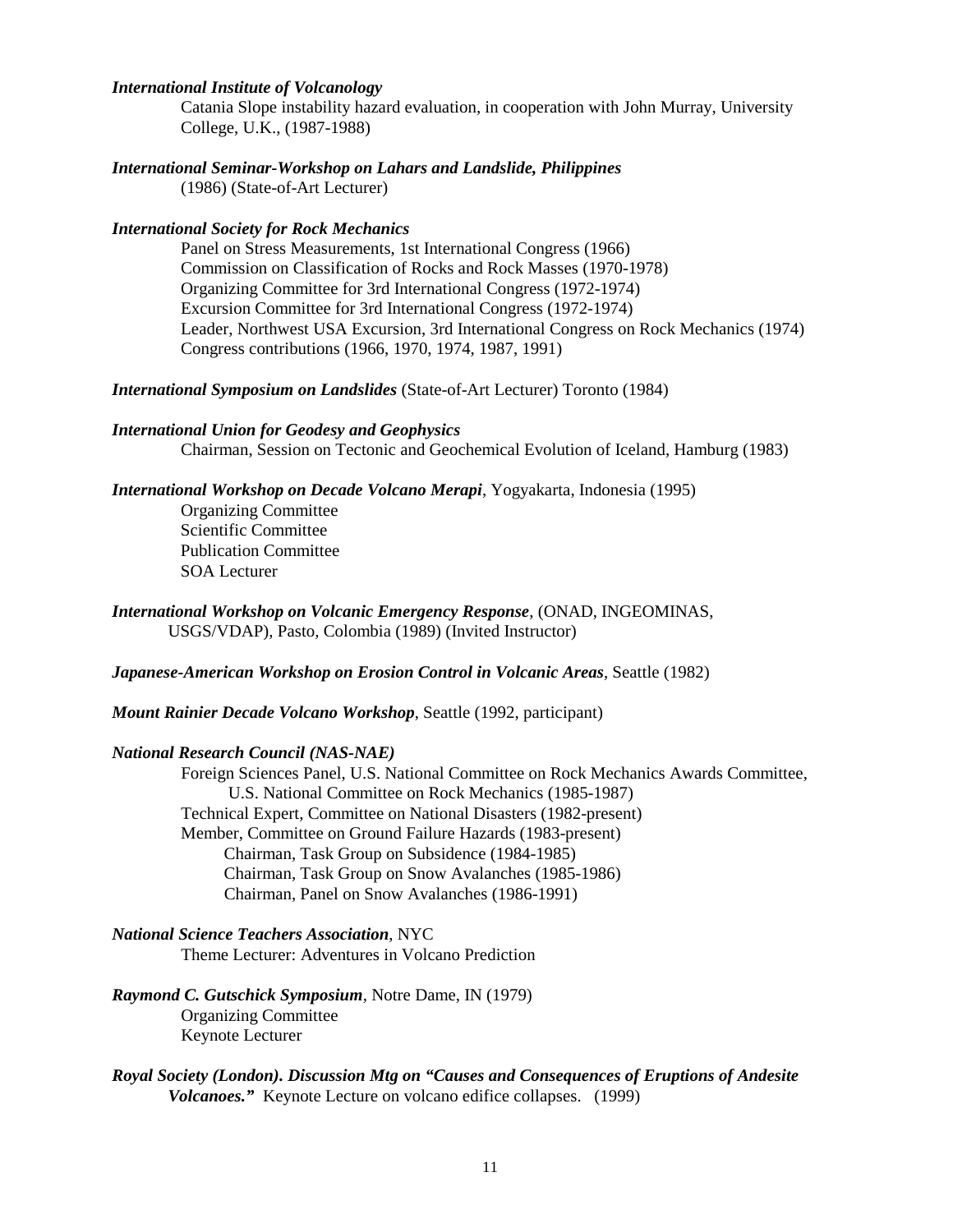## *International Institute of Volcanology*

 Catania Slope instability hazard evaluation, in cooperation with John Murray, University College, U.K., (1987-1988)

*International Seminar-Workshop on Lahars and Landslide, Philippines*  (1986) (State-of-Art Lecturer)

#### *International Society for Rock Mechanics*

 Panel on Stress Measurements, 1st International Congress (1966) Commission on Classification of Rocks and Rock Masses (1970-1978) Organizing Committee for 3rd International Congress (1972-1974) Excursion Committee for 3rd International Congress (1972-1974) Leader, Northwest USA Excursion, 3rd International Congress on Rock Mechanics (1974) Congress contributions (1966, 1970, 1974, 1987, 1991)

*International Symposium on Landslides* (State-of-Art Lecturer) Toronto (1984)

#### *International Union for Geodesy and Geophysics*

Chairman, Session on Tectonic and Geochemical Evolution of Iceland, Hamburg (1983)

## *International Workshop on Decade Volcano Merapi*, Yogyakarta, Indonesia (1995)

 Organizing Committee Scientific Committee Publication Committee SOA Lecturer

*International Workshop on Volcanic Emergency Response*, (ONAD, INGEOMINAS, USGS/VDAP), Pasto, Colombia (1989) (Invited Instructor)

*Japanese-American Workshop on Erosion Control in Volcanic Areas*, Seattle (1982)

*Mount Rainier Decade Volcano Workshop*, Seattle (1992, participant)

### *National Research Council (NAS-NAE)*

 Foreign Sciences Panel, U.S. National Committee on Rock Mechanics Awards Committee, U.S. National Committee on Rock Mechanics (1985-1987) Technical Expert, Committee on National Disasters (1982-present) Member, Committee on Ground Failure Hazards (1983-present) Chairman, Task Group on Subsidence (1984-1985) Chairman, Task Group on Snow Avalanches (1985-1986) Chairman, Panel on Snow Avalanches (1986-1991)

## *National Science Teachers Association*, NYC

Theme Lecturer: Adventures in Volcano Prediction

## *Raymond C. Gutschick Symposium*, Notre Dame, IN (1979) Organizing Committee Keynote Lecturer

#### *Royal Society (London). Discussion Mtg on "Causes and Consequences of Eruptions of Andesite Volcanoes."* Keynote Lecture on volcano edifice collapses. (1999)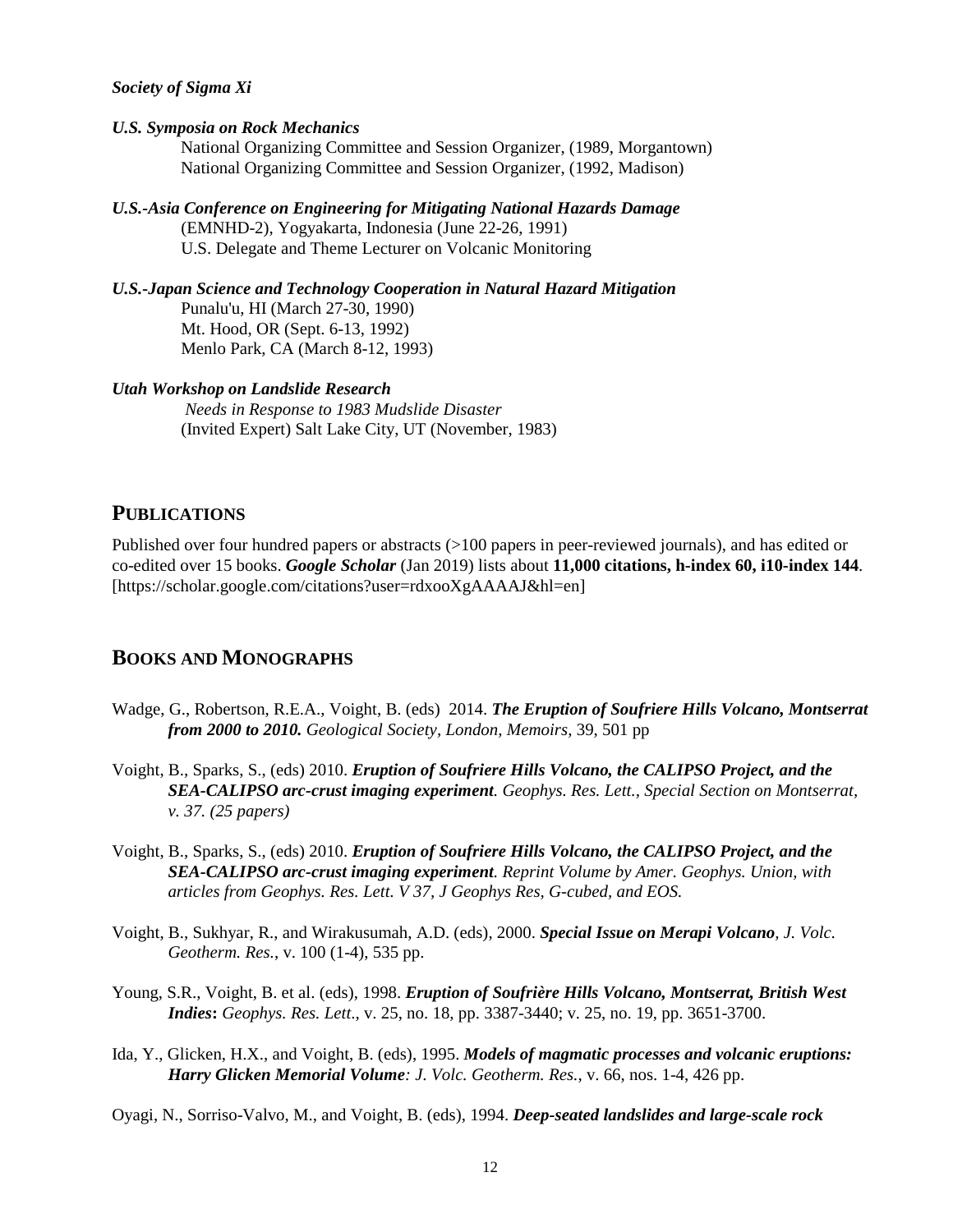#### *Society of Sigma Xi*

#### *U.S. Symposia on Rock Mechanics*

 National Organizing Committee and Session Organizer, (1989, Morgantown) National Organizing Committee and Session Organizer, (1992, Madison)

- *U.S.-Asia Conference on Engineering for Mitigating National Hazards Damage*  (EMNHD-2), Yogyakarta, Indonesia (June 22-26, 1991) U.S. Delegate and Theme Lecturer on Volcanic Monitoring
- *U.S.-Japan Science and Technology Cooperation in Natural Hazard Mitigation*  Punalu'u, HI (March 27-30, 1990) Mt. Hood, OR (Sept. 6-13, 1992) Menlo Park, CA (March 8-12, 1993)

#### *Utah Workshop on Landslide Research*

 *Needs in Response to 1983 Mudslide Disaster* (Invited Expert) Salt Lake City, UT (November, 1983)

## **PUBLICATIONS**

Published over four hundred papers or abstracts (>100 papers in peer-reviewed journals), and has edited or co-edited over 15 books. *Google Scholar* (Jan 2019) lists about **11,000 citations, h-index 60, i10-index 144**. [https://scholar.google.com/citations?user=rdxooXgAAAAJ&hl=en]

## **BOOKS AND MONOGRAPHS**

- Wadge, G., Robertson, R.E.A., Voight, B. (eds) 2014. *The Eruption of Soufriere Hills Volcano, Montserrat from 2000 to 2010. Geological Society, London, Memoirs,* 39, 501 pp
- Voight, B., Sparks, S., (eds) 2010. *Eruption of Soufriere Hills Volcano, the CALIPSO Project, and the SEA-CALIPSO arc-crust imaging experiment. Geophys. Res. Lett., Special Section on Montserrat, v. 37. (25 papers)*
- Voight, B., Sparks, S., (eds) 2010. *Eruption of Soufriere Hills Volcano, the CALIPSO Project, and the SEA-CALIPSO arc-crust imaging experiment. Reprint Volume by Amer. Geophys. Union, with articles from Geophys. Res. Lett. V 37, J Geophys Res, G-cubed, and EOS.*
- Voight, B., Sukhyar, R., and Wirakusumah, A.D. (eds), 2000. *Special Issue on Merapi Volcano, J. Volc. Geotherm. Res.*, v. 100 (1-4), 535 pp.
- Young, S.R., Voight, B. et al. (eds), 1998. *Eruption of Soufrière Hills Volcano, Montserrat, British West Indies***:** *Geophys. Res. Lett*., v. 25, no. 18, pp. 3387-3440; v. 25, no. 19, pp. 3651-3700.
- Ida, Y., Glicken, H.X., and Voight, B. (eds), 1995. *Models of magmatic processes and volcanic eruptions: Harry Glicken Memorial Volume: J. Volc. Geotherm. Res.*, v. 66, nos. 1-4, 426 pp.

Oyagi, N., Sorriso-Valvo, M., and Voight, B. (eds), 1994. *Deep-seated landslides and large-scale rock*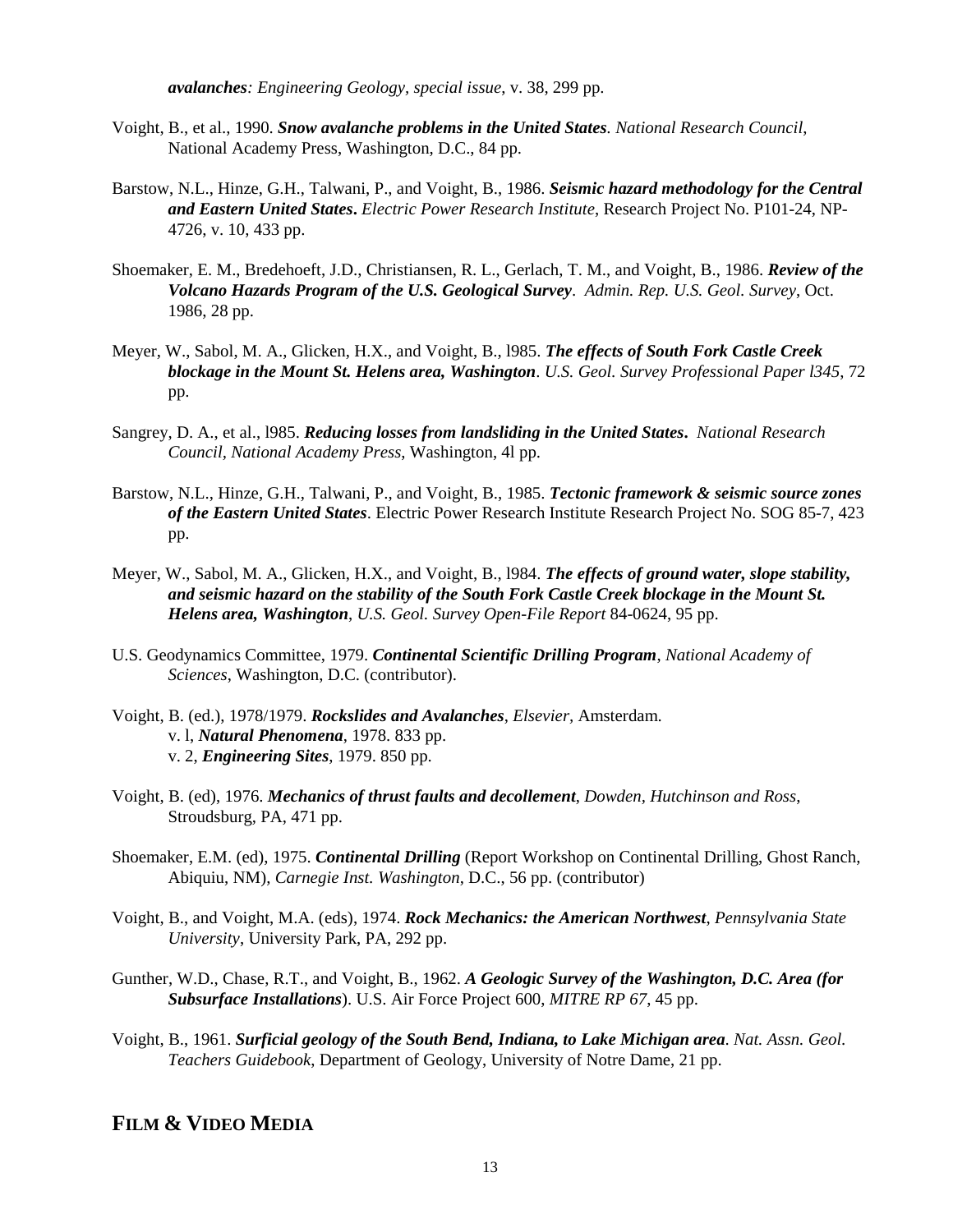*avalanches: Engineering Geology, special issue*, v. 38, 299 pp.

- Voight, B., et al., 1990. *Snow avalanche problems in the United States. National Research Council*, National Academy Press, Washington, D.C., 84 pp.
- Barstow, N.L., Hinze, G.H., Talwani, P., and Voight, B., 1986. *Seismic hazard methodology for the Central and Eastern United States***.** *Electric Power Research Institute*, Research Project No. P101-24, NP-4726, v. 10, 433 pp.
- Shoemaker, E. M., Bredehoeft, J.D., Christiansen, R. L., Gerlach, T. M., and Voight, B., 1986. *Review of the Volcano Hazards Program of the U.S. Geological Survey*. *Admin. Rep. U.S. Geol. Survey*, Oct. 1986, 28 pp.
- Meyer, W., Sabol, M. A., Glicken, H.X., and Voight, B., l985. *The effects of South Fork Castle Creek blockage in the Mount St. Helens area, Washington*. *U.S. Geol. Survey Professional Paper l345*, 72 pp.
- Sangrey, D. A., et al., l985. *Reducing losses from landsliding in the United States***.** *National Research Council, National Academy Press*, Washington, 4l pp.
- Barstow, N.L., Hinze, G.H., Talwani, P., and Voight, B., 1985. *Tectonic framework & seismic source zones of the Eastern United States*. Electric Power Research Institute Research Project No. SOG 85-7, 423 pp.
- Meyer, W., Sabol, M. A., Glicken, H.X., and Voight, B., l984. *The effects of ground water, slope stability, and seismic hazard on the stability of the South Fork Castle Creek blockage in the Mount St. Helens area, Washington*, *U.S. Geol. Survey Open-File Report* 84-0624, 95 pp.
- U.S. Geodynamics Committee, 1979. *Continental Scientific Drilling Program*, *National Academy of Sciences*, Washington, D.C. (contributor).
- Voight, B. (ed.), 1978/1979. *Rockslides and Avalanches*, *Elsevier,* Amsterdam. v. l, *Natural Phenomena*, 1978. 833 pp. v. 2, *Engineering Sites*, 1979. 850 pp.
- Voight, B. (ed), 1976. *Mechanics of thrust faults and decollement*, *Dowden, Hutchinson and Ross*, Stroudsburg, PA, 471 pp.
- Shoemaker, E.M. (ed), 1975. *Continental Drilling* (Report Workshop on Continental Drilling, Ghost Ranch, Abiquiu, NM), *Carnegie Inst. Washington*, D.C., 56 pp. (contributor)
- Voight, B., and Voight, M.A. (eds), 1974. *Rock Mechanics: the American Northwest*, *Pennsylvania State University*, University Park, PA, 292 pp.
- Gunther, W.D., Chase, R.T., and Voight, B., 1962. *A Geologic Survey of the Washington, D.C. Area (for Subsurface Installations*). U.S. Air Force Project 600, *MITRE RP 67*, 45 pp.
- Voight, B., 1961. *Surficial geology of the South Bend, Indiana, to Lake Michigan area*. *Nat. Assn. Geol. Teachers Guidebook*, Department of Geology, University of Notre Dame, 21 pp.

## **FILM & VIDEO MEDIA**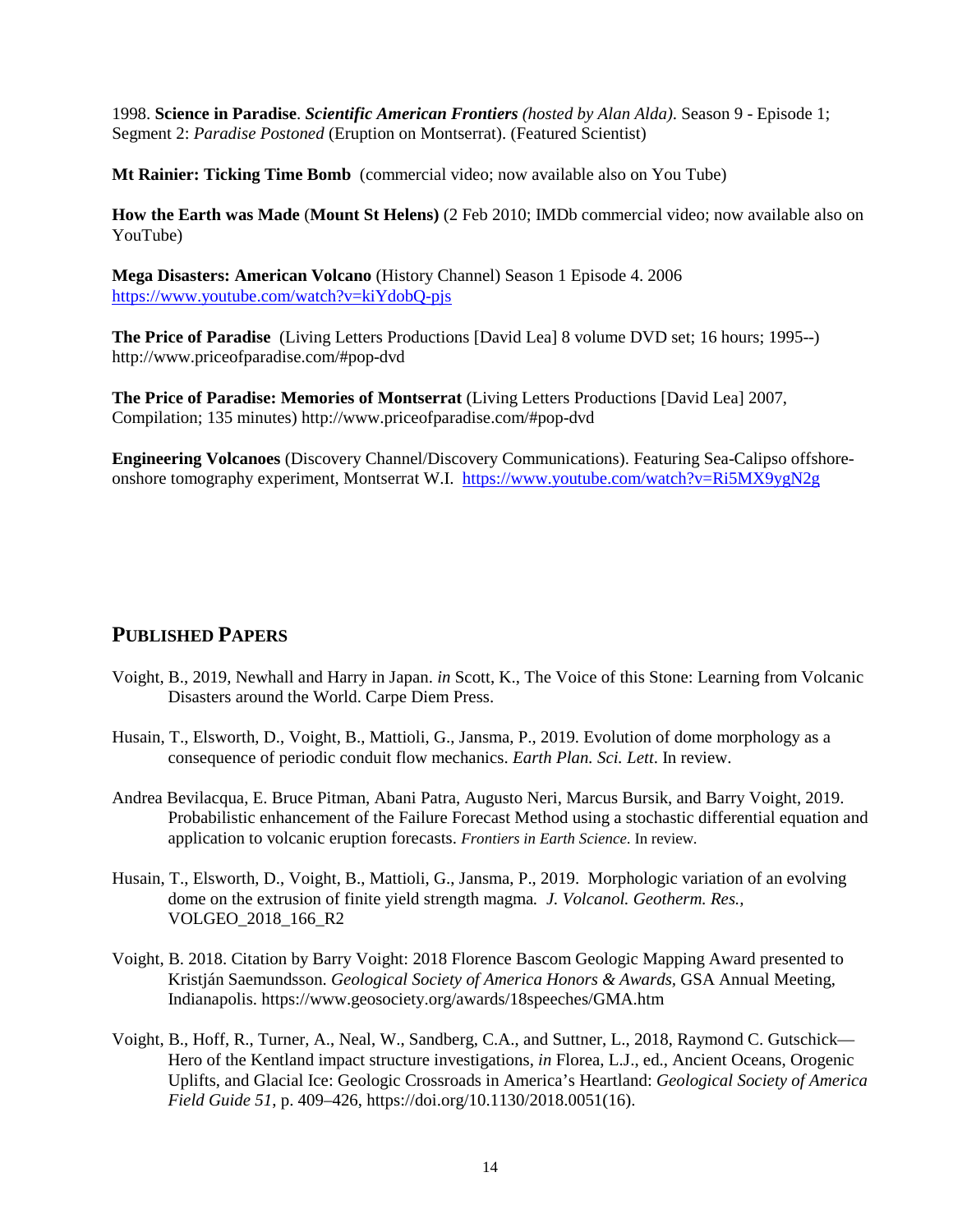1998. **Science in Paradise**. *Scientific American Frontiers (hosted by Alan Alda)*. Season 9 - Episode 1; Segment 2: *Paradise Postoned* (Eruption on Montserrat). (Featured Scientist)

**Mt Rainier: Ticking Time Bomb** (commercial video; now available also on You Tube)

**How the Earth was Made** (**Mount St Helens)** (2 Feb 2010; IMDb commercial video; now available also on YouTube)

**Mega Disasters: American Volcano** (History Channel) Season 1 Episode 4. 2006 <https://www.youtube.com/watch?v=kiYdobQ-pjs>

**The Price of Paradise** (Living Letters Productions [David Lea] 8 volume DVD set; 16 hours; 1995--) http://www.priceofparadise.com/#pop-dvd

**The Price of Paradise: Memories of Montserrat** (Living Letters Productions [David Lea] 2007, Compilation; 135 minutes) http://www.priceofparadise.com/#pop-dvd

**Engineering Volcanoes** (Discovery Channel/Discovery Communications). Featuring Sea-Calipso offshoreonshore tomography experiment, Montserrat W.I. <https://www.youtube.com/watch?v=Ri5MX9ygN2g>

## **PUBLISHED PAPERS**

- Voight, B., 2019, Newhall and Harry in Japan. *in* Scott, K., The Voice of this Stone: Learning from Volcanic Disasters around the World. Carpe Diem Press.
- Husain, T., Elsworth, D., Voight, B., Mattioli, G., Jansma, P., 2019. Evolution of dome morphology as a consequence of periodic conduit flow mechanics. *Earth Plan. Sci. Lett*. In review.
- Andrea Bevilacqua, E. Bruce Pitman, Abani Patra, Augusto Neri, Marcus Bursik, and Barry Voight, 2019. Probabilistic enhancement of the Failure Forecast Method using a stochastic differential equation and application to volcanic eruption forecasts. *Frontiers in Earth Science*. In review.
- Husain, T., Elsworth, D., Voight, B., Mattioli, G., Jansma, P., 2019. Morphologic variation of an evolving dome on the extrusion of finite yield strength magma*. J. Volcanol. Geotherm. Res.,* VOLGEO\_2018\_166\_R2
- Voight, B. 2018. Citation by Barry Voight: 2018 Florence Bascom Geologic Mapping Award presented to Kristján Saemundsson. *Geological Society of America Honors & Awards,* GSA Annual Meeting, Indianapolis. https://www.geosociety.org/awards/18speeches/GMA.htm
- Voight, B., Hoff, R., Turner, A., Neal, W., Sandberg, C.A., and Suttner, L., 2018, Raymond C. Gutschick— Hero of the Kentland impact structure investigations, *in* Florea, L.J., ed., Ancient Oceans, Orogenic Uplifts, and Glacial Ice: Geologic Crossroads in America's Heartland: *Geological Society of America Field Guide 51*, p. 409–426, https://doi.org/10.1130/2018.0051(16).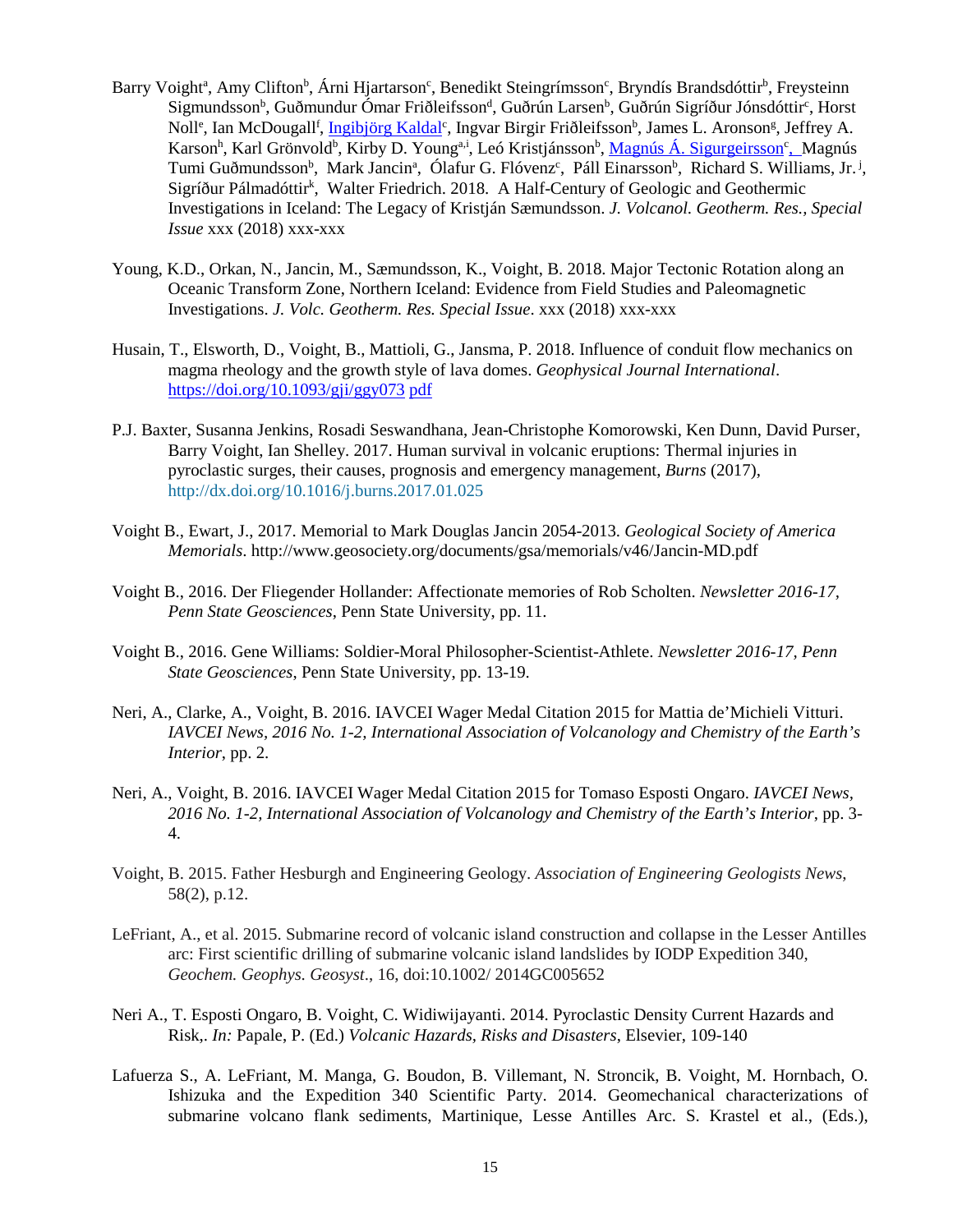- Barry Voight<sup>a</sup>, Amy Clifton<sup>b</sup>, Árni Hjartarson<sup>c</sup>, Benedikt Steingrímsson<sup>c</sup>, Bryndís Brandsdóttir<sup>b</sup>, Freysteinn Sigmundsson<sup>b</sup>, Guðmundur Ómar Friðleifsson<sup>d</sup>, Guðrún Larsen<sup>b</sup>, Guðrún Sigríður Jónsdóttir<sup>c</sup>, Horst Noll<sup>e</sup>, Ian McDougall<sup>f</sup>, Ingibjörg Kaldal<sup>c</sup>, Ingvar Birgir Friðleifsson<sup>b</sup>, James L. Aronson<sup>g</sup>, Jeffrey A. Karson<sup>h</sup>, Karl Grönvold<sup>b</sup>, Kirby D. Young<sup>a,i</sup>, Leó Kristjánsson<sup>b</sup>, <u>Magnús Á. Sigurgeirsson<sup>c</sup>, M</u>agnús Tumi Guðmundsson<sup>b</sup>, Mark Jancin<sup>a</sup>, Ólafur G. Flóvenz<sup>c</sup>, Páll Einarsson<sup>b</sup>, Richard S. Williams, Jr.<sup>j</sup>, Sigríður Pálmadóttir<sup>k</sup>, Walter Friedrich. 2018. A Half-Century of Geologic and Geothermic Investigations in Iceland: The Legacy of Kristján Sæmundsson. *J. Volcanol. Geotherm. Res., Special Issue* xxx (2018) xxx-xxx
- Young, K.D., Orkan, N., Jancin, M., Sæmundsson, K., Voight, B. 2018. Major Tectonic Rotation along an Oceanic Transform Zone, Northern Iceland: Evidence from Field Studies and Paleomagnetic Investigations. *J. Volc. Geotherm. Res. Special Issue*. xxx (2018) xxx-xxx
- Husain, T., Elsworth, D., Voight, B., Mattioli, G., Jansma, P. 2018. Influence of conduit flow mechanics on magma rheology and the growth style of lava domes. *Geophysical Journal International*. <https://doi.org/10.1093/gji/ggy073> [pdf](https://www.ems.psu.edu/%7Eelsworth/publications/journals/2018_j_gji_dem_dome_morphology_taha.pdf)
- P.J. Baxter, Susanna Jenkins, Rosadi Seswandhana, Jean-Christophe Komorowski, Ken Dunn, David Purser, Barry Voight, Ian Shelley. 2017. Human survival in volcanic eruptions: Thermal injuries in pyroclastic surges, their causes, prognosis and emergency management, *Burns* (2017), http://dx.doi.org/10.1016/j.burns.2017.01.025
- Voight B., Ewart, J., 2017. Memorial to Mark Douglas Jancin 2054-2013. *Geological Society of America Memorials*. http://www.geosociety.org/documents/gsa/memorials/v46/Jancin-MD.pdf
- Voight B., 2016. Der Fliegender Hollander: Affectionate memories of Rob Scholten. *Newsletter 2016-17, Penn State Geosciences*, Penn State University, pp. 11.
- Voight B., 2016. Gene Williams: Soldier-Moral Philosopher-Scientist-Athlete. *Newsletter 2016-17, Penn State Geosciences*, Penn State University, pp. 13-19.
- Neri, A., Clarke, A., Voight, B. 2016. IAVCEI Wager Medal Citation 2015 for Mattia de'Michieli Vitturi. *IAVCEI News, 2016 No. 1-2, International Association of Volcanology and Chemistry of the Earth's Interior*, pp. 2.
- Neri, A., Voight, B. 2016. IAVCEI Wager Medal Citation 2015 for Tomaso Esposti Ongaro. *IAVCEI News, 2016 No. 1-2, International Association of Volcanology and Chemistry of the Earth's Interior*, pp. 3- 4.
- Voight, B. 2015. Father Hesburgh and Engineering Geology. *Association of Engineering Geologists News*, 58(2), p.12.
- LeFriant, A., et al. 2015. Submarine record of volcanic island construction and collapse in the Lesser Antilles arc: First scientific drilling of submarine volcanic island landslides by IODP Expedition 340, *Geochem. Geophys. Geosyst*., 16, doi:10.1002/ 2014GC005652
- Neri A., T. Esposti Ongaro, B. Voight, C. Widiwijayanti. 2014. [Pyroclastic Density Current Hazards and](http://scholar.google.it/citations?view_op=view_citation&hl=it&user=NrEWxpQAAAAJ&cstart=20&pagesize=80&citation_for_view=NrEWxpQAAAAJ:RYcK_YlVTxYC)  [Risk,](http://scholar.google.it/citations?view_op=view_citation&hl=it&user=NrEWxpQAAAAJ&cstart=20&pagesize=80&citation_for_view=NrEWxpQAAAAJ:RYcK_YlVTxYC). *In:* Papale, P. (Ed.) *Volcanic Hazards, Risks and Disasters*, Elsevier, 109-140
- Lafuerza S., A. LeFriant, M. Manga, G. Boudon, B. Villemant, N. Stroncik, B. Voight, M. Hornbach, O. Ishizuka and the Expedition 340 Scientific Party. 2014. Geomechanical characterizations of submarine volcano flank sediments, Martinique, Lesse Antilles Arc. S. Krastel et al., (Eds.),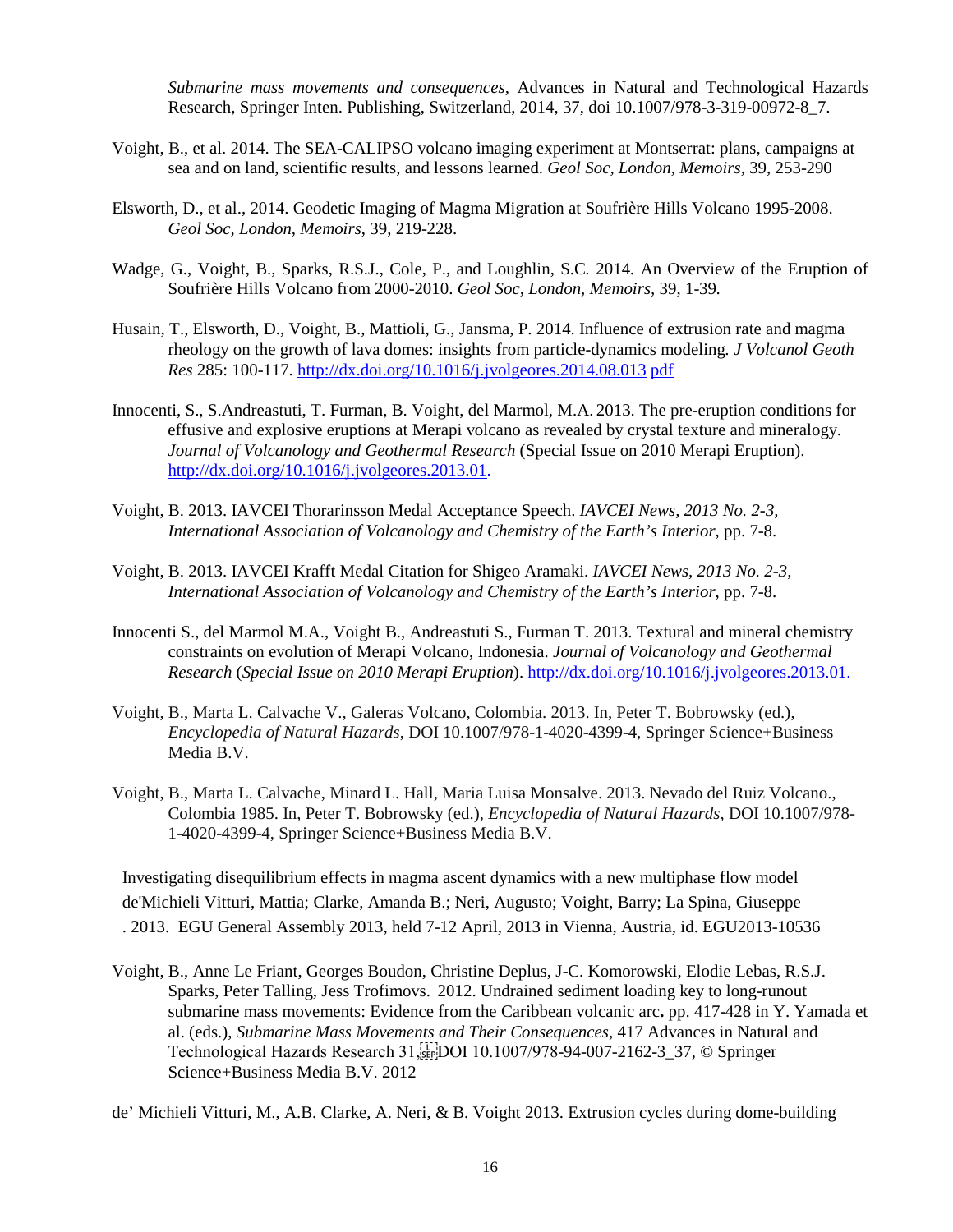*Submarine mass movements and consequences,* Advances in Natural and Technological Hazards Research*,* Springer Inten. Publishing, Switzerland, 2014, 37, doi 10.1007/978-3-319-00972-8\_7.

- Voight, B., et al. 2014. The SEA-CALIPSO volcano imaging experiment at Montserrat: plans, campaigns at sea and on land, scientific results, and lessons learned. *Geol Soc, London, Memoirs,* 39, 253-290
- Elsworth, D., et al., 2014. Geodetic Imaging of Magma Migration at Soufrière Hills Volcano 1995-2008. *Geol Soc, London, Memoirs*, 39, 219-228.
- Wadge, G., Voight, B., Sparks, R.S.J., Cole, P., and Loughlin, S.C*.* 2014*.* An Overview of the Eruption of Soufrière Hills Volcano from 2000-2010. *Geol Soc, London, Memoirs,* 39, 1-39*.*
- Husain, T., Elsworth, D., Voight, B., Mattioli, G., Jansma, P. 2014. Influence of extrusion rate and magma rheology on the growth of lava domes: insights from particle-dynamics modeling*. J Volcanol Geoth Res* 285: 100-117. <http://dx.doi.org/10.1016/j.jvolgeores.2014.08.013> [pdf](https://www.ems.psu.edu/%7Eelsworth/publications/journals/2014_j_jvge_dem_volc_1_taha.pdf)
- Innocenti, S., S.Andreastuti, T. Furman, B. Voight, del Marmol, M.A. 2013. The pre-eruption conditions for effusive and explosive eruptions at Merapi volcano as revealed by crystal texture and mineralogy. *Journal of Volcanology and Geothermal Research* (Special Issue on 2010 Merapi Eruption). [http://dx.doi.org/10.1016/j.jvolgeores.2013.01.](http://dx.doi.org/10.1016/j.jvolgeores.2013.01)
- Voight, B. 2013. IAVCEI Thorarinsson Medal Acceptance Speech. *IAVCEI News, 2013 No. 2-3, International Association of Volcanology and Chemistry of the Earth's Interior*, pp. 7-8.
- Voight, B. 2013. IAVCEI Krafft Medal Citation for Shigeo Aramaki. *IAVCEI News, 2013 No. 2-3, International Association of Volcanology and Chemistry of the Earth's Interior*, pp. 7-8.
- Innocenti S., del Marmol M.A., Voight B., Andreastuti S., Furman T. 2013. Textural and mineral chemistry constraints on evolution of Merapi Volcano, Indonesia. *Journal of Volcanology and Geothermal Research* (*Special Issue on 2010 Merapi Eruption*). http://dx.doi.org/10.1016/j.jvolgeores.2013.01.
- Voight, B., Marta L. Calvache V., Galeras Volcano, Colombia. 2013. In, Peter T. Bobrowsky (ed.), *Encyclopedia of Natural Hazards*, DOI 10.1007/978-1-4020-4399-4, Springer Science+Business Media B.V.
- Voight, B., Marta L. Calvache, Minard L. Hall, Maria Luisa Monsalve. 2013. Nevado del Ruiz Volcano., Colombia 1985. In, Peter T. Bobrowsky (ed.), *Encyclopedia of Natural Hazards*, DOI 10.1007/978- 1-4020-4399-4, Springer Science+Business Media B.V.

Investigating disequilibrium effects in magma ascent dynamics with a new multiphase flow model [de'Michieli](http://adsabs.harvard.edu/cgi-bin/author_form?author=de%2527Michieli+Vitturi,+M&fullauthor=de%2527Michieli%20Vitturi,%20Mattia&charset=UTF-8&db_key=PHY) Vitturi, Mattia; Clarke, [Amanda](http://adsabs.harvard.edu/cgi-bin/author_form?author=Clarke,+A&fullauthor=Clarke,%20Amanda%20B.&charset=UTF-8&db_key=PHY) B.; Neri, [Augusto;](http://adsabs.harvard.edu/cgi-bin/author_form?author=Neri,+A&fullauthor=Neri,%20Augusto&charset=UTF-8&db_key=PHY) [Voight,](http://adsabs.harvard.edu/cgi-bin/author_form?author=Voight,+B&fullauthor=Voight,%20Barry&charset=UTF-8&db_key=PHY) Barry; La Spina, [Giuseppe](http://adsabs.harvard.edu/cgi-bin/author_form?author=La+Spina,+G&fullauthor=La%20Spina,%20Giuseppe&charset=UTF-8&db_key=PHY) . 2013. EGU General Assembly 2013, held 7-12 April, 2013 in Vienna, Austria, id. EGU2013-10536

Voight, B., Anne Le Friant, Georges Boudon, Christine Deplus, J-C. Komorowski, Elodie Lebas, R.S.J. Sparks, Peter Talling, Jess Trofimovs. 2012. Undrained sediment loading key to long-runout submarine mass movements: Evidence from the Caribbean volcanic arc**.** pp. 417-428 in Y. Yamada et al. (eds.), *Submarine Mass Movements and Their Consequences,* 417 Advances in Natural and Technological Hazards Research 31,
DOI 10.1007/978-94-007-2162-3\_37, © Springer Science+Business Media B.V. 2012

de' Michieli Vitturi, M., A.B. Clarke, A. Neri, & B. Voight 2013. Extrusion cycles during dome-building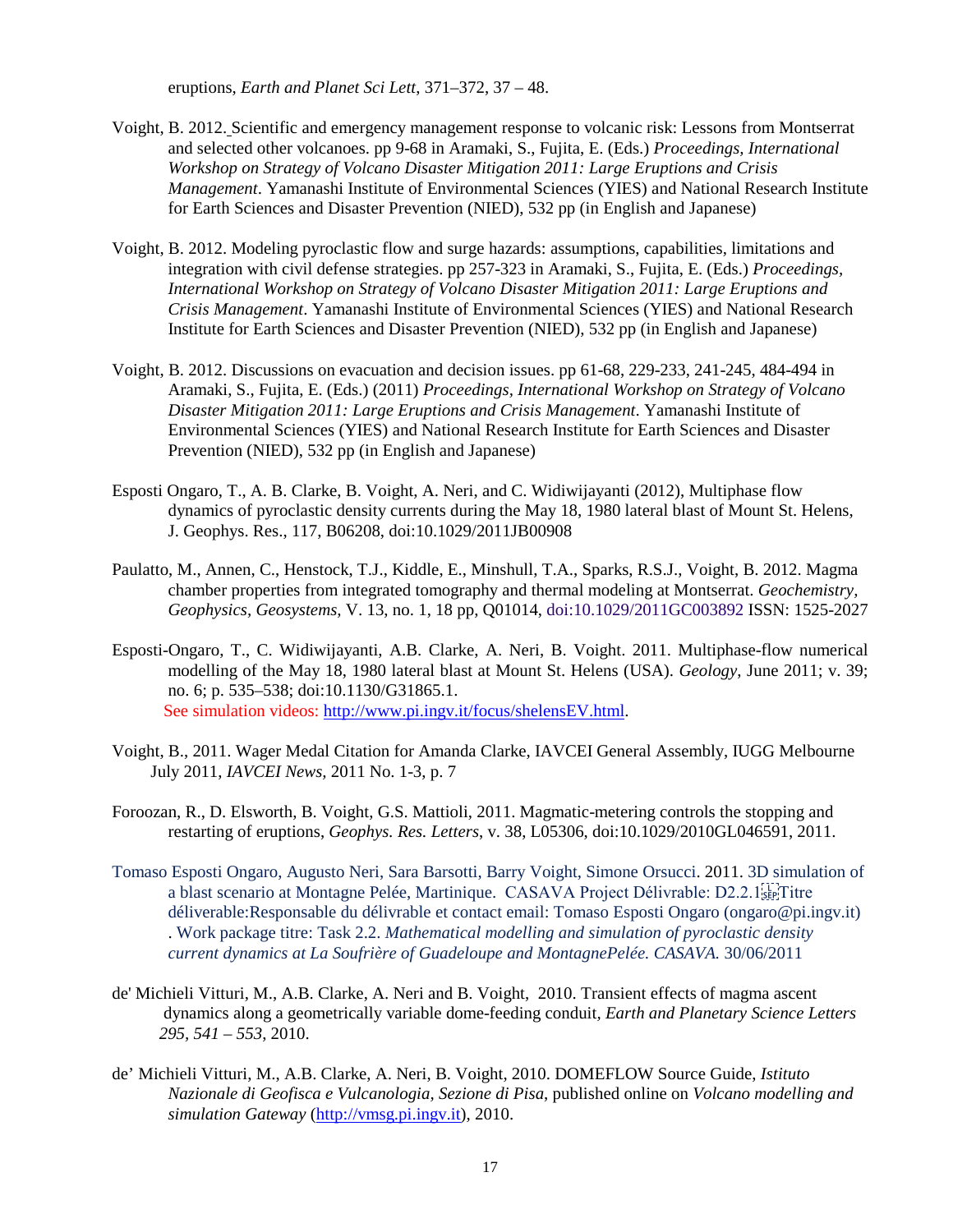eruptions, *Earth and Planet Sci Lett*, 371–372, 37 – 48.

- Voight, B. 2012. Scientific and emergency management response to volcanic risk: Lessons from Montserrat and selected other volcanoes. pp 9-68 in Aramaki, S., Fujita, E. (Eds.) *Proceedings, International Workshop on Strategy of Volcano Disaster Mitigation 2011: Large Eruptions and Crisis Management*. Yamanashi Institute of Environmental Sciences (YIES) and National Research Institute for Earth Sciences and Disaster Prevention (NIED), 532 pp (in English and Japanese)
- Voight, B. 2012. Modeling pyroclastic flow and surge hazards: assumptions, capabilities, limitations and integration with civil defense strategies. pp 257-323 in Aramaki, S., Fujita, E. (Eds.) *Proceedings, International Workshop on Strategy of Volcano Disaster Mitigation 2011: Large Eruptions and Crisis Management*. Yamanashi Institute of Environmental Sciences (YIES) and National Research Institute for Earth Sciences and Disaster Prevention (NIED), 532 pp (in English and Japanese)
- Voight, B. 2012. Discussions on evacuation and decision issues. pp 61-68, 229-233, 241-245, 484-494 in Aramaki, S., Fujita, E. (Eds.) (2011) *Proceedings, International Workshop on Strategy of Volcano Disaster Mitigation 2011: Large Eruptions and Crisis Management*. Yamanashi Institute of Environmental Sciences (YIES) and National Research Institute for Earth Sciences and Disaster Prevention (NIED), 532 pp (in English and Japanese)
- Esposti Ongaro, T., A. B. Clarke, B. Voight, A. Neri, and C. Widiwijayanti (2012), Multiphase flow dynamics of pyroclastic density currents during the May 18, 1980 lateral blast of Mount St. Helens, J. Geophys. Res., 117, B06208, doi:10.1029/2011JB00908
- Paulatto, M., Annen, C., Henstock, T.J., Kiddle, E., Minshull, T.A., Sparks, R.S.J., Voight, B. 2012. Magma chamber properties from integrated tomography and thermal modeling at Montserrat. *Geochemistry, Geophysics, Geosystems,* V. 13, no. 1, 18 pp, Q01014, doi:10.1029/2011GC003892 ISSN: 1525-2027
- Esposti-Ongaro, T., C. Widiwijayanti, A.B. Clarke, A. Neri, B. Voight. 2011. Multiphase-flow numerical modelling of the May 18, 1980 lateral blast at Mount St. Helens (USA). *Geology*, June 2011; v. 39; no. 6; p. 535–538; doi:10.1130/G31865.1. See simulation videos: [http://www.pi.ingv.it/focus/shelensEV.html.](http://www.pi.ingv.it/focus/shelensEV.html)
- Voight, B., 2011. Wager Medal Citation for Amanda Clarke, IAVCEI General Assembly, IUGG Melbourne July 2011, *IAVCEI News,* 2011 No. 1-3, p. 7
- Foroozan, R., D. Elsworth, B. Voight, G.S. Mattioli, 2011. Magmatic-metering controls the stopping and restarting of eruptions, *Geophys. Res. Letters*, v. 38, L05306, doi:10.1029/2010GL046591, 2011.
- Tomaso Esposti Ongaro, Augusto Neri, Sara Barsotti, Barry Voight, Simone Orsucci. 2011. 3D simulation of a blast scenario at Montagne Pelée, Martinique. CASAVA Project Délivrable: D2.2.1; déliverable:Responsable du délivrable et contact email: Tomaso Esposti Ongaro (ongaro@pi.ingv.it) . Work package titre: Task 2.2. *Mathematical modelling and simulation of pyroclastic density current dynamics at La Soufrière of Guadeloupe and MontagnePelée. CASAVA.* 30/06/2011
- de' Michieli Vitturi, M., A.B. Clarke, A. Neri and B. Voight, 2010. Transient effects of magma ascent dynamics along a geometrically variable dome-feeding conduit*, Earth and Planetary Science Letters 295, 541 – 553*, 2010.
- de' Michieli Vitturi, M., A.B. Clarke, A. Neri, B. Voight, 2010. DOMEFLOW Source Guide, *Istituto Nazionale di Geofisca e Vulcanologia, Sezione di Pisa*, published online on *Volcano modelling and simulation Gateway* [\(http://vmsg.pi.ingv.it\)](http://vmsg.pi.ingv.it/), 2010.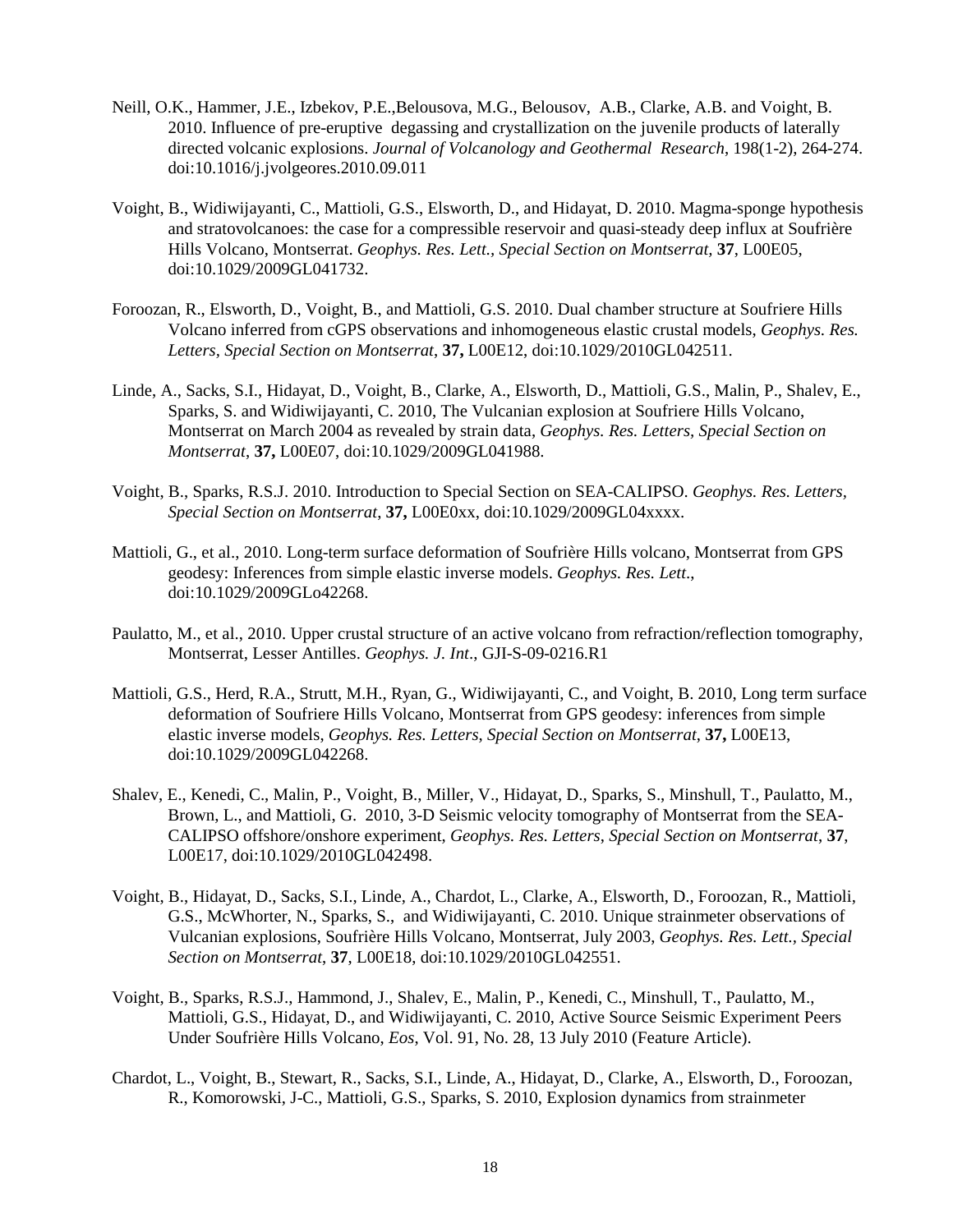- Neill, O.K., Hammer, J.E., Izbekov, P.E.,Belousova, M.G., Belousov, A.B., Clarke, A.B. and Voight, B. 2010. Influence of pre-eruptive degassing and crystallization on the juvenile products of laterally directed volcanic explosions. *Journal of Volcanology and Geothermal Research*, 198(1-2), 264-274. doi:10.1016/j.jvolgeores.2010.09.011
- Voight, B., Widiwijayanti, C., Mattioli, G.S., Elsworth, D., and Hidayat, D. 2010. Magma-sponge hypothesis and stratovolcanoes: the case for a compressible reservoir and quasi-steady deep influx at Soufrière Hills Volcano, Montserrat. *Geophys. Res. Lett., Special Section on Montserrat,* **37**, L00E05, doi:10.1029/2009GL041732.
- Foroozan, R., Elsworth, D., Voight, B., and Mattioli, G.S. 2010. Dual chamber structure at Soufriere Hills Volcano inferred from cGPS observations and inhomogeneous elastic crustal models, *Geophys. Res. Letters, Special Section on Montserrat*, **37,** L00E12, doi:10.1029/2010GL042511.
- Linde, A., Sacks, S.I., Hidayat, D., Voight, B., Clarke, A., Elsworth, D., Mattioli, G.S., Malin, P., Shalev, E., Sparks, S. and Widiwijayanti, C. 2010, The Vulcanian explosion at Soufriere Hills Volcano, Montserrat on March 2004 as revealed by strain data, *Geophys. Res. Letters, Special Section on Montserrat*, **37,** L00E07, doi:10.1029/2009GL041988.
- Voight, B., Sparks, R.S.J. 2010. Introduction to Special Section on SEA-CALIPSO. *Geophys. Res. Letters, Special Section on Montserrat*, **37,** L00E0xx, doi:10.1029/2009GL04xxxx.
- Mattioli, G., et al., 2010. Long-term surface deformation of Soufrière Hills volcano, Montserrat from GPS geodesy: Inferences from simple elastic inverse models. *Geophys. Res. Lett*., doi:10.1029/2009GLo42268.
- Paulatto, M., et al., 2010. Upper crustal structure of an active volcano from refraction/reflection tomography, Montserrat, Lesser Antilles. *Geophys. J. Int*., GJI-S-09-0216.R1
- Mattioli, G.S., Herd, R.A., Strutt, M.H., Ryan, G., Widiwijayanti, C., and Voight, B. 2010, Long term surface deformation of Soufriere Hills Volcano, Montserrat from GPS geodesy: inferences from simple elastic inverse models, *Geophys. Res. Letters*, *Special Section on Montserrat*, **37,** L00E13, doi:10.1029/2009GL042268.
- Shalev, E., Kenedi, C., Malin, P., Voight, B., Miller, V., Hidayat, D., Sparks, S., Minshull, T., Paulatto, M., Brown, L., and Mattioli, G. 2010, 3-D Seismic velocity tomography of Montserrat from the SEA-CALIPSO offshore/onshore experiment, *Geophys. Res. Letters*, *Special Section on Montserrat*, **37**, L00E17, doi:10.1029/2010GL042498.
- Voight, B., Hidayat, D., Sacks, S.I., Linde, A., Chardot, L., Clarke, A., Elsworth, D., Foroozan, R., Mattioli, G.S., McWhorter, N., Sparks, S., and Widiwijayanti, C. 2010. Unique strainmeter observations of Vulcanian explosions, Soufrière Hills Volcano, Montserrat, July 2003, *Geophys. Res. Lett., Special Section on Montserrat*, **37**, L00E18, doi:10.1029/2010GL042551.
- Voight, B., Sparks, R.S.J., Hammond, J., Shalev, E., Malin, P., Kenedi, C., Minshull, T., Paulatto, M., Mattioli, G.S., Hidayat, D., and Widiwijayanti, C. 2010, Active Source Seismic Experiment Peers Under Soufrière Hills Volcano, *Eos*, Vol. 91, No. 28, 13 July 2010 (Feature Article).
- Chardot, L., Voight, B., Stewart, R., Sacks, S.I., Linde, A., Hidayat, D., Clarke, A., Elsworth, D., Foroozan, R., Komorowski, J-C., Mattioli, G.S., Sparks, S. 2010, Explosion dynamics from strainmeter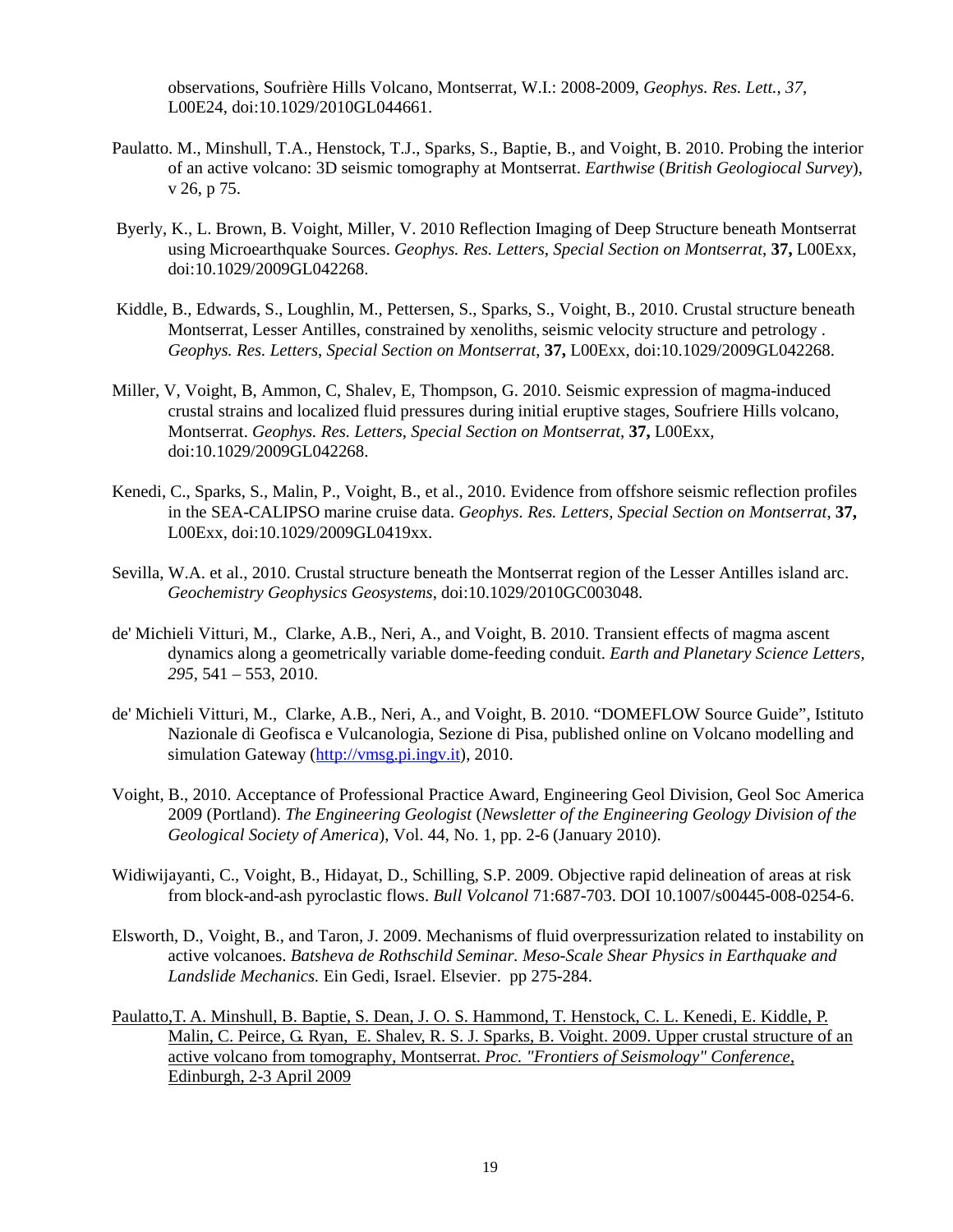observations, Soufrière Hills Volcano, Montserrat, W.I.: 2008-2009, *Geophys. Res. Lett.*, *37*, L00E24, doi:10.1029/2010GL044661.

- Paulatto. M., Minshull, T.A., Henstock, T.J., Sparks, S., Baptie, B., and Voight, B. 2010. Probing the interior of an active volcano: 3D seismic tomography at Montserrat. *Earthwise* (*British Geologiocal Survey*), v 26, p 75.
- Byerly, K., L. Brown, B. Voight, Miller, V. 2010 Reflection Imaging of Deep Structure beneath Montserrat using Microearthquake Sources. *Geophys. Res. Letters*, *Special Section on Montserrat*, **37,** L00Exx, doi:10.1029/2009GL042268.
- Kiddle, B., Edwards, S., Loughlin, M., Pettersen, S., Sparks, S., Voight, B., 2010. Crustal structure beneath Montserrat, Lesser Antilles, constrained by xenoliths, seismic velocity structure and petrology . *Geophys. Res. Letters*, *Special Section on Montserrat*, **37,** L00Exx, doi:10.1029/2009GL042268.
- Miller, V, Voight, B, Ammon, C, Shalev, E, Thompson, G. 2010. Seismic expression of magma-induced crustal strains and localized fluid pressures during initial eruptive stages, Soufriere Hills volcano, Montserrat. *Geophys. Res. Letters*, *Special Section on Montserrat*, **37,** L00Exx, doi:10.1029/2009GL042268.
- Kenedi, C., Sparks, S., Malin, P., Voight, B., et al., 2010. Evidence from offshore seismic reflection profiles in the SEA-CALIPSO marine cruise data. *Geophys. Res. Letters, Special Section on Montserrat*, **37,**  L00Exx, doi:10.1029/2009GL0419xx.
- Sevilla, W.A. et al., 2010. Crustal structure beneath the Montserrat region of the Lesser Antilles island arc. *Geochemistry Geophysics Geosystems*, doi:10.1029/2010GC003048.
- de' Michieli Vitturi, M., Clarke, A.B., Neri, A., and Voight, B. 2010. Transient effects of magma ascent dynamics along a geometrically variable dome-feeding conduit. *Earth and Planetary Science Letters, 295*, 541 – 553, 2010.
- de' Michieli Vitturi, M., Clarke, A.B., Neri, A., and Voight, B. 2010. "DOMEFLOW Source Guide", Istituto Nazionale di Geofisca e Vulcanologia, Sezione di Pisa, published online on Volcano modelling and simulation Gateway [\(http://vmsg.pi.ingv.it\)](http://vmsg.pi.ingv.it/), 2010.
- Voight, B., 2010. Acceptance of Professional Practice Award, Engineering Geol Division, Geol Soc America 2009 (Portland). *The Engineering Geologist* (*Newsletter of the Engineering Geology Division of the Geological Society of America*), Vol. 44, No. 1, pp. 2-6 (January 2010).
- Widiwijayanti, C., Voight, B., Hidayat, D., Schilling, S.P. 2009. Objective rapid delineation of areas at risk from block-and-ash pyroclastic flows. *Bull Volcanol* 71:687-703. DOI 10.1007/s00445-008-0254-6.
- Elsworth, D., Voight, B., and Taron, J. 2009. Mechanisms of fluid overpressurization related to instability on active volcanoes. *Batsheva de Rothschild Seminar. Meso-Scale Shear Physics in Earthquake and Landslide Mechanics.* Ein Gedi, Israel. Elsevier. pp 275-284.
- Paulatto,T. A. Minshull, B. Baptie, S. Dean, J. O. S. Hammond, T. Henstock, C. L. Kenedi, E. Kiddle, P. Malin, C. Peirce, G. Ryan, E. Shalev, R. S. J. Sparks, B. Voight. 2009. Upper crustal structure of an active volcano from tomography, Montserrat. *Proc. "Frontiers of Seismology" Conference*, Edinburgh, 2-3 April 2009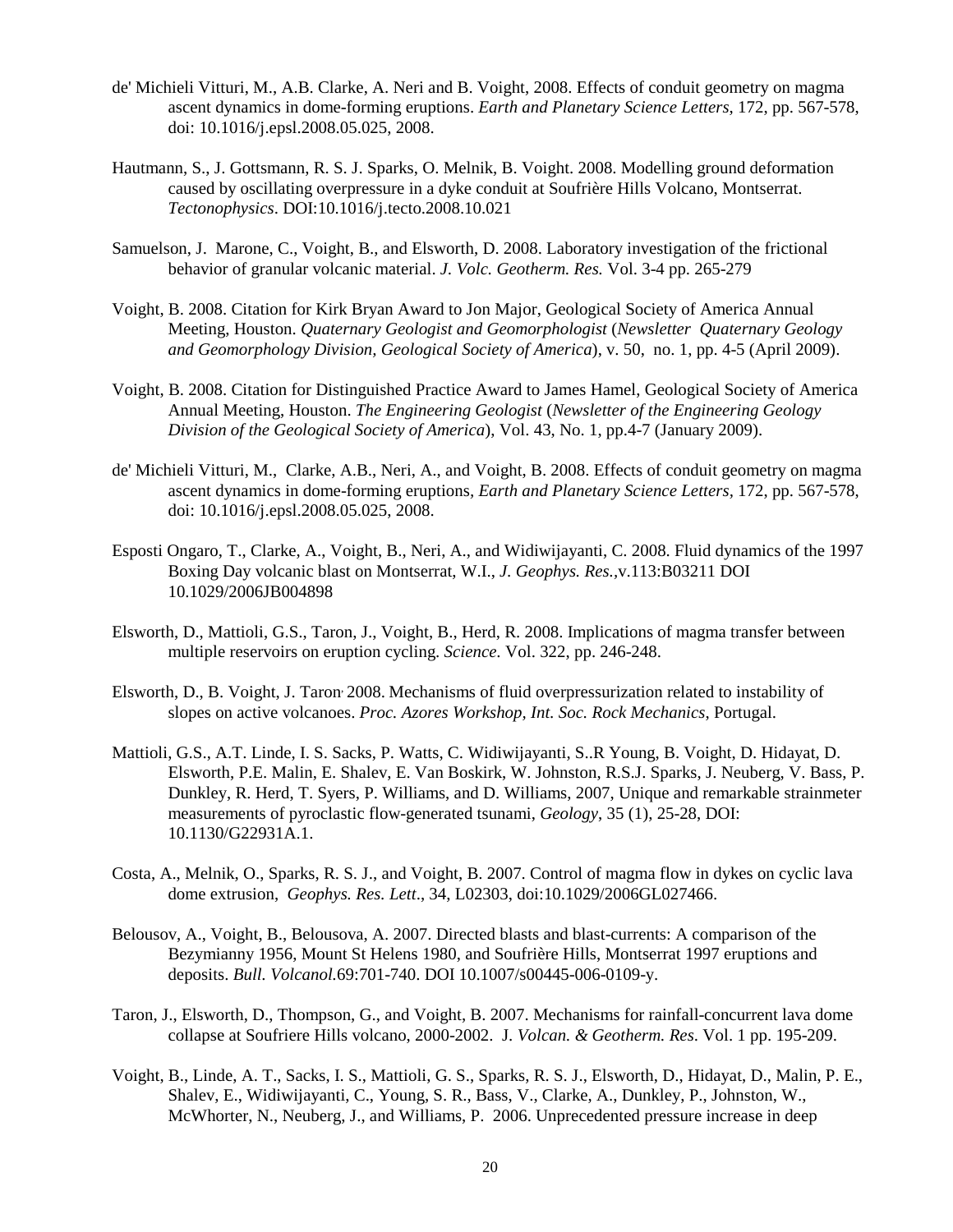- de' Michieli Vitturi, M., A.B. Clarke, A. Neri and B. Voight, 2008. Effects of conduit geometry on magma ascent dynamics in dome-forming eruptions. *Earth and Planetary Science Letters*, 172, pp. 567-578, doi: 10.1016/j.epsl.2008.05.025, 2008.
- [Hautmann,](http://www.researchgate.net/researcher/21069932_S_Hautmann/) S., [J. Gottsmann,](http://www.researchgate.net/researcher/17745131_J_Gottsmann/) [R. S. J. Sparks,](http://www.researchgate.net/researcher/20925175_R_S_J_Sparks/) [O. Melnik,](http://www.researchgate.net/researcher/17744667_O_Melnik/) [B. Voight.](http://www.researchgate.net/researcher/20925174_B_Voight/) 2008. Modelling ground deformation caused by oscillating overpressure in a dyke conduit at Soufrière Hills Volcano, Montserrat. *Tectonophysics*. DOI:10.1016/j.tecto.2008.10.021
- Samuelson, J. Marone, C., Voight, B., and Elsworth, D. 2008. Laboratory investigation of the frictional behavior of granular volcanic material. *J. Volc. Geotherm. Res.* Vol. 3-4 pp. 265-279
- Voight, B. 2008. Citation for Kirk Bryan Award to Jon Major, Geological Society of America Annual Meeting, Houston. *Quaternary Geologist and Geomorphologist* (*Newsletter Quaternary Geology and Geomorphology Division, Geological Society of America*), v. 50, no. 1, pp. 4-5 (April 2009).
- Voight, B. 2008. Citation for Distinguished Practice Award to James Hamel, Geological Society of America Annual Meeting, Houston. *The Engineering Geologist* (*Newsletter of the Engineering Geology Division of the Geological Society of America*), Vol. 43, No. 1, pp.4-7 (January 2009).
- de' Michieli Vitturi, M., Clarke, A.B., Neri, A., and Voight, B. 2008. Effects of conduit geometry on magma ascent dynamics in dome-forming eruptions*, Earth and Planetary Science Letters,* 172, pp. 567-578, doi: 10.1016/j.epsl.2008.05.025, 2008.
- Esposti Ongaro, T., Clarke, A., Voight, B., Neri, A., and Widiwijayanti, C. 2008. Fluid dynamics of the 1997 Boxing Day volcanic blast on Montserrat, W.I., *J. Geophys. Res.,*v.113:B03211 DOI 10.1029/2006JB004898
- Elsworth, D., Mattioli, G.S., Taron, J., Voight, B., Herd, R. 2008. Implications of magma transfer between multiple reservoirs on eruption cycling. *Science.* Vol. 322, pp. 246-248.
- Elsworth, D., B. Voight, J. Taron, 2008. Mechanisms of fluid overpressurization related to instability of slopes on active volcanoes. *Proc. Azores Workshop, Int. Soc. Rock Mechanics*, Portugal.
- Mattioli, G.S., A.T. Linde, I. S. Sacks, P. Watts, C. Widiwijayanti, S..R Young, B. Voight, D. Hidayat, D. Elsworth, P.E. Malin, E. Shalev, E. Van Boskirk, W. Johnston, R.S.J. Sparks, J. Neuberg, V. Bass, P. Dunkley, R. Herd, T. Syers, P. Williams, and D. Williams, 2007, Unique and remarkable strainmeter measurements of pyroclastic flow-generated tsunami, *Geology*, 35 (1), 25-28, DOI: 10.1130/G22931A.1.
- Costa, A., Melnik, O., Sparks, R. S. J., and Voight, B. 2007. Control of magma flow in dykes on cyclic lava dome extrusion, *Geophys. Res. Lett*., 34, L02303, doi:10.1029/2006GL027466.
- Belousov, A., Voight, B., Belousova, A. 2007. Directed blasts and blast-currents: A comparison of the Bezymianny 1956, Mount St Helens 1980, and Soufrière Hills, Montserrat 1997 eruptions and deposits. *Bull. Volcanol.*69:701-740. DOI 10.1007/s00445-006-0109-y.
- Taron, J., Elsworth, D., Thompson, G., and Voight, B. 2007. Mechanisms for rainfall-concurrent lava dome collapse at Soufriere Hills volcano, 2000-2002. J*. Volcan. & Geotherm. Res*. Vol. 1 pp. 195-209.
- Voight, B., Linde, A. T., Sacks, I. S., Mattioli, G. S., Sparks, R. S. J., Elsworth, D., Hidayat, D., Malin, P. E., Shalev, E., Widiwijayanti, C., Young, S. R., Bass, V., Clarke, A., Dunkley, P., Johnston, W., McWhorter, N., Neuberg, J., and Williams, P. 2006. Unprecedented pressure increase in deep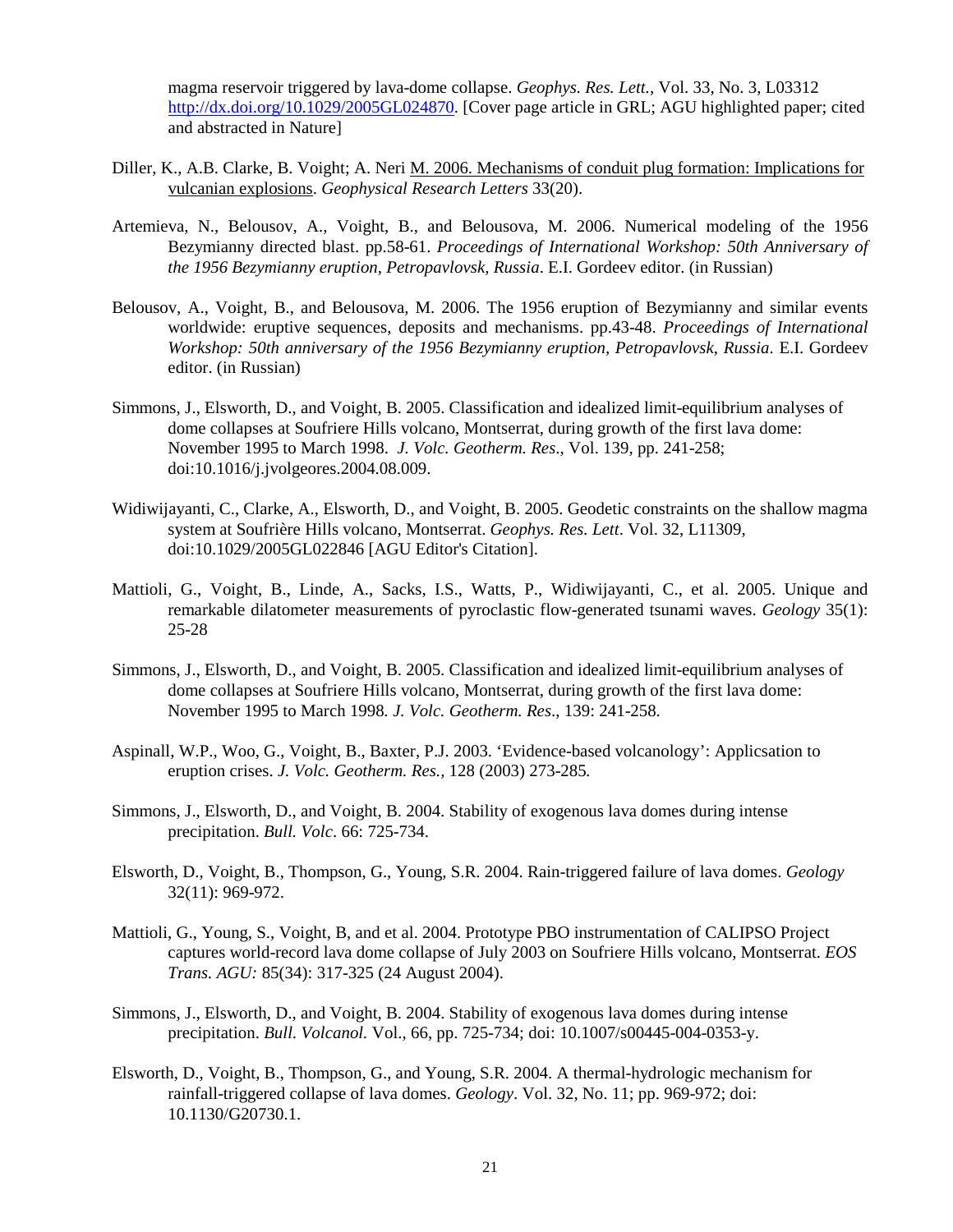magma reservoir triggered by lava-dome collapse. *Geophys. Res. Lett.,* Vol. 33, No. 3, L03312 [http://dx.doi.org/10.1029/2005GL024870.](http://dx.doi.org/10.1029/2005GL024870) [Cover page article in GRL; AGU highlighted paper; cited and abstracted in Nature]

- Diller, K., A.B. Clarke, B. Voight; A. Neri [M. 2006. Mechanisms of conduit plug formation: Implications for](http://www.experts.scival.com/asu/pubDetail.asp?t=pm&id=33845662239&n=Amanda+Bachtell+Clarke&u_id=324)  [vulcanian explosions.](http://www.experts.scival.com/asu/pubDetail.asp?t=pm&id=33845662239&n=Amanda+Bachtell+Clarke&u_id=324) *Geophysical Research Letters* 33(20).
- Artemieva, N., Belousov, A., Voight, B., and Belousova, M. 2006. Numerical modeling of the 1956 Bezymianny directed blast. pp.58-61. *Proceedings of International Workshop: 50th Anniversary of the 1956 Bezymianny eruption, Petropavlovsk, Russia*. E.I. Gordeev editor. (in Russian)
- Belousov, A., Voight, B., and Belousova, M. 2006. The 1956 eruption of Bezymianny and similar events worldwide: eruptive sequences, deposits and mechanisms. pp.43-48. *Proceedings of International Workshop: 50th anniversary of the 1956 Bezymianny eruption, Petropavlovsk, Russia*. E.I. Gordeev editor. (in Russian)
- Simmons, J., Elsworth, D., and Voight, B. 2005. Classification and idealized limit-equilibrium analyses of dome collapses at Soufriere Hills volcano, Montserrat, during growth of the first lava dome: November 1995 to March 1998. *J. Volc. Geotherm. Res*., Vol. 139, pp. 241-258; doi:10.1016/j.jvolgeores.2004.08.009.
- Widiwijayanti, C., Clarke, A., Elsworth, D., and Voight, B. 2005. Geodetic constraints on the shallow magma system at Soufrière Hills volcano, Montserrat. *Geophys. Res. Lett*. Vol. 32, L11309, doi:10.1029/2005GL022846 [AGU Editor's Citation].
- Mattioli, G., Voight, B., Linde, A., Sacks, I.S., Watts, P., Widiwijayanti, C., et al. 2005. Unique and remarkable dilatometer measurements of pyroclastic flow-generated tsunami waves. *Geology* 35(1): 25-28
- Simmons, J., Elsworth, D., and Voight, B. 2005. Classification and idealized limit-equilibrium analyses of dome collapses at Soufriere Hills volcano, Montserrat, during growth of the first lava dome: November 1995 to March 1998*. J. Volc. Geotherm. Res*., 139: 241-258.
- Aspinall, W.P., Woo, G., Voight, B., Baxter, P.J. 2003. 'Evidence-based volcanology': Applicsation to eruption crises. *J. Volc. Geotherm. Res.,* 128 (2003) 273-285*.*
- Simmons, J., Elsworth, D., and Voight, B. 2004. Stability of exogenous lava domes during intense precipitation. *Bull. Volc*. 66: 725-734.
- Elsworth, D., Voight, B., Thompson, G., Young, S.R. 2004. Rain-triggered failure of lava domes. *Geology*  32(11): 969-972.
- Mattioli, G., Young, S., Voight, B, and et al. 2004. Prototype PBO instrumentation of CALIPSO Project captures world-record lava dome collapse of July 2003 on Soufriere Hills volcano, Montserrat. *EOS Trans. AGU:* 85(34): 317-325 (24 August 2004).
- Simmons, J., Elsworth, D., and Voight, B. 2004. Stability of exogenous lava domes during intense precipitation. *Bull. Volcanol.* Vol., 66, pp. 725-734; doi: 10.1007/s00445-004-0353-y.
- Elsworth, D., Voight, B., Thompson, G., and Young, S.R. 2004. A thermal-hydrologic mechanism for rainfall-triggered collapse of lava domes. *Geology*. Vol. 32, No. 11; pp. 969-972; doi: 10.1130/G20730.1.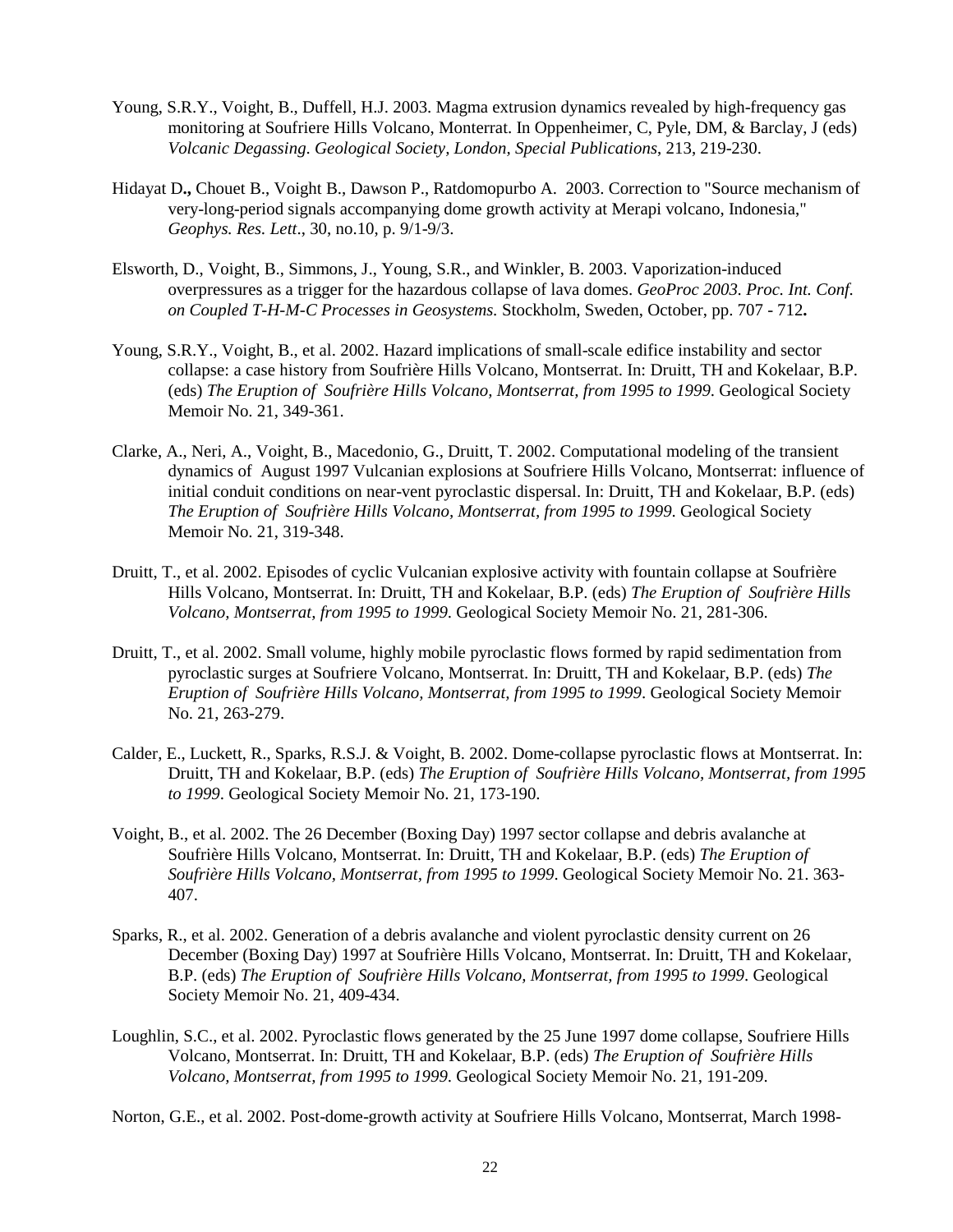- Young, S.R.Y., Voight, B., Duffell, H.J. 2003. Magma extrusion dynamics revealed by high-frequency gas monitoring at Soufriere Hills Volcano, Monterrat. In Oppenheimer, C, Pyle, DM, & Barclay, J (eds) *Volcanic Degassing*. *Geological Society, London, Special Publications*, 213, 219-230.
- Hidayat D**.,** Chouet B., Voight B., Dawson P., Ratdomopurbo A. 2003. Correction to "Source mechanism of very-long-period signals accompanying dome growth activity at Merapi volcano, Indonesia," *Geophys. Res. Lett*., 30, no.10, p. 9/1-9/3.
- Elsworth, D., Voight, B., Simmons, J., Young, S.R., and Winkler, B. 2003. Vaporization-induced overpressures as a trigger for the hazardous collapse of lava domes. *GeoProc 2003. Proc. Int. Conf. on Coupled T-H-M-C Processes in Geosystems.* Stockholm, Sweden, October, pp. 707 - 712**.**
- Young, S.R.Y., Voight, B., et al. 2002. Hazard implications of small-scale edifice instability and sector collapse: a case history from Soufrière Hills Volcano, Montserrat. In: Druitt, TH and Kokelaar, B.P. (eds) *The Eruption of Soufrière Hills Volcano, Montserrat, from 1995 to 1999*. Geological Society Memoir No. 21, 349-361.
- Clarke, A., Neri, A., Voight, B., Macedonio, G., Druitt, T. 2002. Computational modeling of the transient dynamics of August 1997 Vulcanian explosions at Soufriere Hills Volcano, Montserrat: influence of initial conduit conditions on near-vent pyroclastic dispersal. In: Druitt, TH and Kokelaar, B.P. (eds) *The Eruption of Soufrière Hills Volcano, Montserrat, from 1995 to 1999*. Geological Society Memoir No. 21, 319-348.
- Druitt, T., et al. 2002. Episodes of cyclic Vulcanian explosive activity with fountain collapse at Soufrière Hills Volcano, Montserrat. In: Druitt, TH and Kokelaar, B.P. (eds) *The Eruption of Soufrière Hills Volcano, Montserrat, from 1995 to 1999*. Geological Society Memoir No. 21, 281-306.
- Druitt, T., et al. 2002. Small volume, highly mobile pyroclastic flows formed by rapid sedimentation from pyroclastic surges at Soufriere Volcano, Montserrat. In: Druitt, TH and Kokelaar, B.P. (eds) *The Eruption of Soufrière Hills Volcano, Montserrat, from 1995 to 1999*. Geological Society Memoir No. 21, 263-279.
- Calder, E., Luckett, R., Sparks, R.S.J. & Voight, B. 2002. Dome-collapse pyroclastic flows at Montserrat. In: Druitt, TH and Kokelaar, B.P. (eds) *The Eruption of Soufrière Hills Volcano, Montserrat, from 1995 to 1999*. Geological Society Memoir No. 21, 173-190.
- Voight, B., et al. 2002. The 26 December (Boxing Day) 1997 sector collapse and debris avalanche at Soufrière Hills Volcano, Montserrat. In: Druitt, TH and Kokelaar, B.P. (eds) *The Eruption of Soufrière Hills Volcano, Montserrat, from 1995 to 1999*. Geological Society Memoir No. 21. 363- 407.
- Sparks, R., et al. 2002. Generation of a debris avalanche and violent pyroclastic density current on 26 December (Boxing Day) 1997 at Soufrière Hills Volcano, Montserrat. In: Druitt, TH and Kokelaar, B.P. (eds) *The Eruption of Soufrière Hills Volcano, Montserrat, from 1995 to 1999*. Geological Society Memoir No. 21, 409-434.
- Loughlin, S.C., et al. 2002. Pyroclastic flows generated by the 25 June 1997 dome collapse, Soufriere Hills Volcano, Montserrat. In: Druitt, TH and Kokelaar, B.P. (eds) *The Eruption of Soufrière Hills Volcano, Montserrat, from 1995 to 1999*. Geological Society Memoir No. 21, 191-209.

Norton, G.E., et al. 2002. Post-dome-growth activity at Soufriere Hills Volcano, Montserrat, March 1998-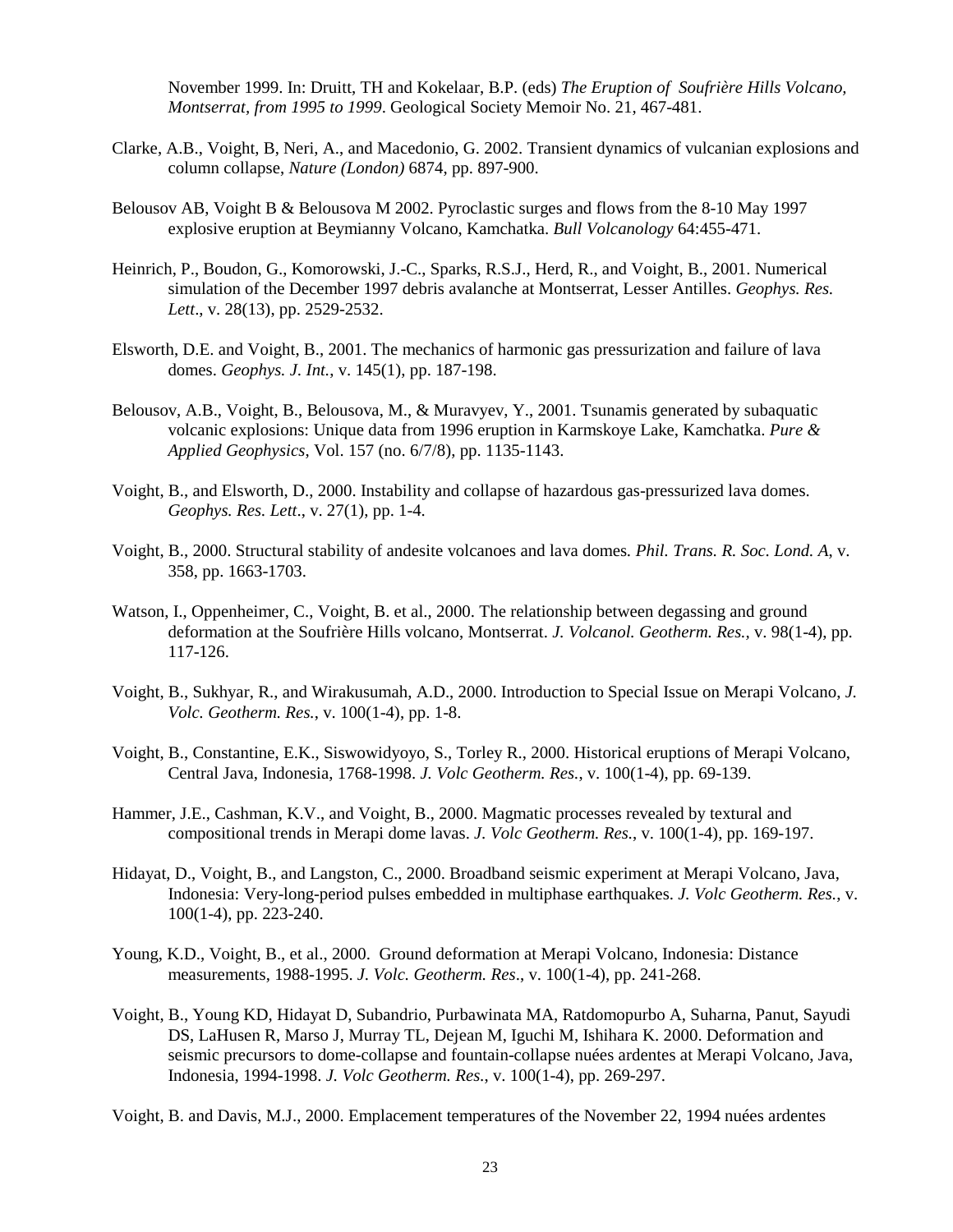November 1999. In: Druitt, TH and Kokelaar, B.P. (eds) *The Eruption of Soufrière Hills Volcano, Montserrat, from 1995 to 1999*. Geological Society Memoir No. 21, 467-481.

- Clarke, A.B., Voight, B, Neri, A., and Macedonio, G. 2002. Transient dynamics of vulcanian explosions and column collapse, *Nature (London)* 6874, pp. 897-900.
- Belousov AB, Voight B & Belousova M 2002. Pyroclastic surges and flows from the 8-10 May 1997 explosive eruption at Beymianny Volcano, Kamchatka. *Bull Volcanology* 64:455-471.
- Heinrich, P., Boudon, G., Komorowski, J.-C., Sparks, R.S.J., Herd, R., and Voight, B., 2001. Numerical simulation of the December 1997 debris avalanche at Montserrat, Lesser Antilles. *Geophys. Res. Lett*., v. 28(13), pp. 2529-2532.
- Elsworth, D.E. and Voight, B., 2001. The mechanics of harmonic gas pressurization and failure of lava domes. *Geophys. J. Int.*, v. 145(1), pp. 187-198.
- Belousov, A.B., Voight, B., Belousova, M., & Muravyev, Y., 2001. Tsunamis generated by subaquatic volcanic explosions: Unique data from 1996 eruption in Karmskoye Lake, Kamchatka. *Pure & Applied Geophysics*, Vol. 157 (no. 6/7/8), pp. 1135-1143.
- Voight, B., and Elsworth, D., 2000. Instability and collapse of hazardous gas-pressurized lava domes. *Geophys. Res. Lett*., v. 27(1), pp. 1-4.
- Voight, B., 2000. Structural stability of andesite volcanoes and lava domes*. Phil. Trans. R. Soc. Lond. A*, v. 358, pp. 1663-1703.
- Watson, I., Oppenheimer, C., Voight, B. et al., 2000. The relationship between degassing and ground deformation at the Soufrière Hills volcano, Montserrat. *J. Volcanol. Geotherm. Res.,* v. 98(1-4), pp. 117-126.
- Voight, B., Sukhyar, R., and Wirakusumah, A.D., 2000. Introduction to Special Issue on Merapi Volcano, *J. Volc. Geotherm. Res.*, v. 100(1-4), pp. 1-8.
- Voight, B., Constantine, E.K., Siswowidyoyo, S., Torley R., 2000. Historical eruptions of Merapi Volcano, Central Java, Indonesia, 1768-1998. *J. Volc Geotherm. Res.*, v. 100(1-4), pp. 69-139.
- Hammer, J.E., Cashman, K.V., and Voight, B., 2000. Magmatic processes revealed by textural and compositional trends in Merapi dome lavas. *J. Volc Geotherm. Res.*, v. 100(1-4), pp. 169-197.
- Hidayat, D., Voight, B., and Langston, C., 2000. Broadband seismic experiment at Merapi Volcano, Java, Indonesia: Very-long-period pulses embedded in multiphase earthquakes. *J. Volc Geotherm. Res.*, v. 100(1-4), pp. 223-240.
- Young, K.D., Voight, B., et al., 2000. Ground deformation at Merapi Volcano, Indonesia: Distance measurements, 1988-1995. *J. Volc. Geotherm. Res*., v. 100(1-4), pp. 241-268.
- Voight, B., Young KD, Hidayat D, Subandrio, Purbawinata MA, Ratdomopurbo A, Suharna, Panut, Sayudi DS, LaHusen R, Marso J, Murray TL, Dejean M, Iguchi M, Ishihara K. 2000. Deformation and seismic precursors to dome-collapse and fountain-collapse nuées ardentes at Merapi Volcano, Java, Indonesia, 1994-1998. *J. Volc Geotherm. Res.*, v. 100(1-4), pp. 269-297.

Voight, B. and Davis, M.J., 2000. Emplacement temperatures of the November 22, 1994 nuées ardentes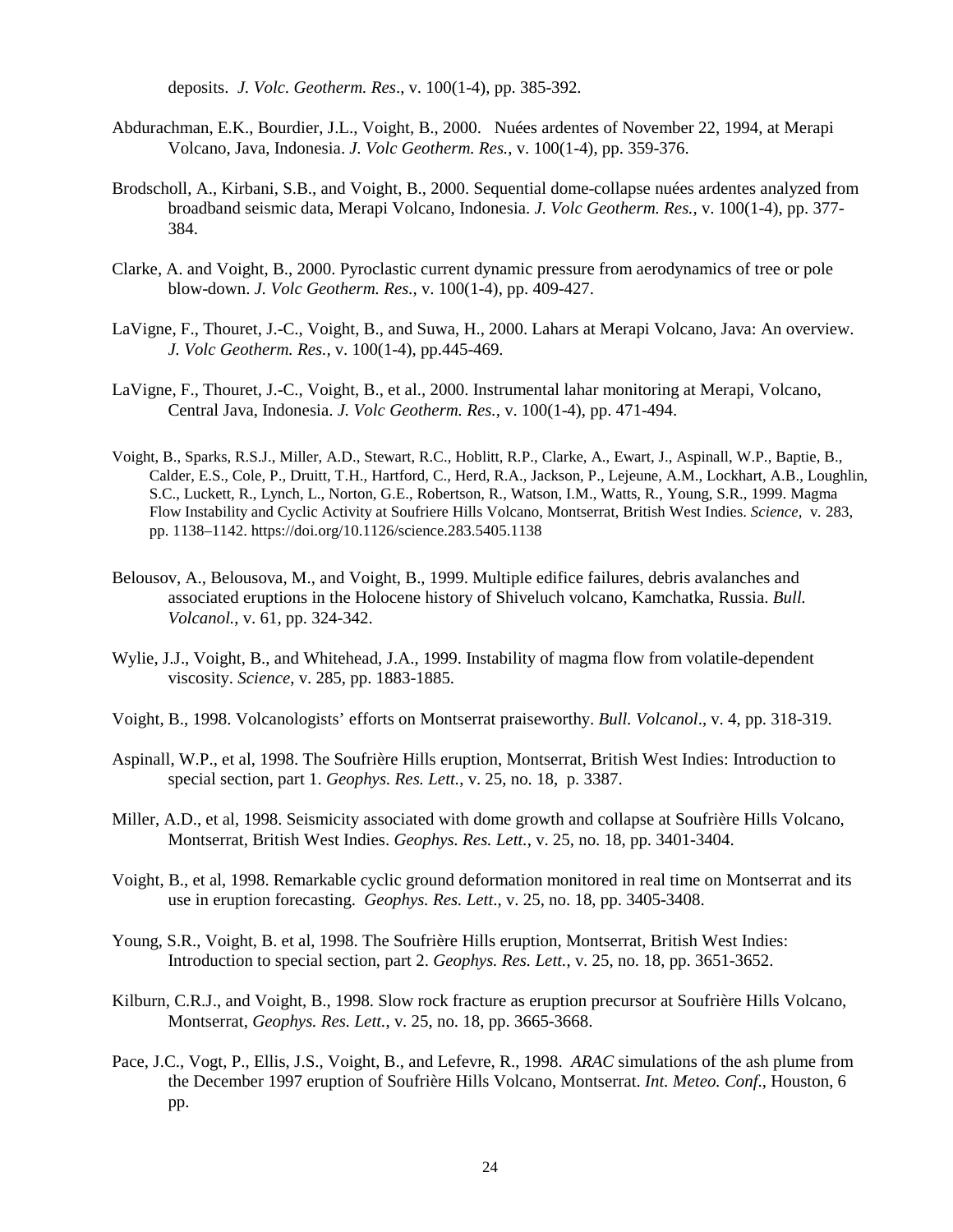deposits. *J. Volc. Geotherm. Res*., v. 100(1-4), pp. 385-392.

- Abdurachman, E.K., Bourdier, J.L., Voight, B., 2000. Nuées ardentes of November 22, 1994, at Merapi Volcano, Java, Indonesia. *J. Volc Geotherm. Res.*, v. 100(1-4), pp. 359-376.
- Brodscholl, A., Kirbani, S.B., and Voight, B., 2000. Sequential dome-collapse nuées ardentes analyzed from broadband seismic data, Merapi Volcano, Indonesia. *J. Volc Geotherm. Res.,* v. 100(1-4), pp. 377- 384.
- Clarke, A. and Voight, B., 2000. Pyroclastic current dynamic pressure from aerodynamics of tree or pole blow-down. *J. Volc Geotherm. Res.,* v. 100(1-4), pp. 409-427.
- LaVigne, F., Thouret, J.-C., Voight, B., and Suwa, H., 2000. Lahars at Merapi Volcano, Java: An overview. *J. Volc Geotherm. Res.,* v. 100(1-4), pp.445-469.
- LaVigne, F., Thouret, J.-C., Voight, B., et al., 2000. Instrumental lahar monitoring at Merapi, Volcano, Central Java, Indonesia. *J. Volc Geotherm. Res.,* v. 100(1-4), pp. 471-494.
- Voight, B., Sparks, R.S.J., Miller, A.D., Stewart, R.C., Hoblitt, R.P., Clarke, A., Ewart, J., Aspinall, W.P., Baptie, B., Calder, E.S., Cole, P., Druitt, T.H., Hartford, C., Herd, R.A., Jackson, P., Lejeune, A.M., Lockhart, A.B., Loughlin, S.C., Luckett, R., Lynch, L., Norton, G.E., Robertson, R., Watson, I.M., Watts, R., Young, S.R., 1999. Magma Flow Instability and Cyclic Activity at Soufriere Hills Volcano, Montserrat, British West Indies. *Science,* v*.* 283, pp. 1138–1142. https://doi.org/10.1126/science.283.5405.1138
- Belousov, A., Belousova, M., and Voight, B., 1999. Multiple edifice failures, debris avalanches and associated eruptions in the Holocene history of Shiveluch volcano, Kamchatka, Russia. *Bull. Volcanol.*, v. 61, pp. 324-342.
- Wylie, J.J., Voight, B., and Whitehead, J.A., 1999. Instability of magma flow from volatile-dependent viscosity. *Science*, v. 285, pp. 1883-1885.
- Voight, B., 1998. Volcanologists' efforts on Montserrat praiseworthy. *Bull. Volcanol*., v. 4, pp. 318-319.
- Aspinall, W.P., et al, 1998. The Soufrière Hills eruption, Montserrat, British West Indies: Introduction to special section, part 1. *Geophys. Res. Lett.*, v. 25, no. 18, p. 3387.
- Miller, A.D., et al, 1998. Seismicity associated with dome growth and collapse at Soufrière Hills Volcano, Montserrat, British West Indies. *Geophys. Res. Lett.*, v. 25, no. 18, pp. 3401-3404.
- Voight, B., et al, 1998. Remarkable cyclic ground deformation monitored in real time on Montserrat and its use in eruption forecasting. *Geophys. Res. Lett*., v. 25, no. 18, pp. 3405-3408.
- Young, S.R., Voight, B. et al, 1998. The Soufrière Hills eruption, Montserrat, British West Indies: Introduction to special section, part 2. *Geophys. Res. Lett.*, v. 25, no. 18, pp. 3651-3652.
- Kilburn, C.R.J., and Voight, B., 1998. Slow rock fracture as eruption precursor at Soufrière Hills Volcano, Montserrat, *Geophys. Res. Lett.*, v. 25, no. 18, pp. 3665-3668.
- Pace, J.C., Vogt, P., Ellis, J.S., Voight, B., and Lefevre, R., 1998. *ARAC* simulations of the ash plume from the December 1997 eruption of Soufrière Hills Volcano, Montserrat. *Int. Meteo. Conf*., Houston, 6 pp.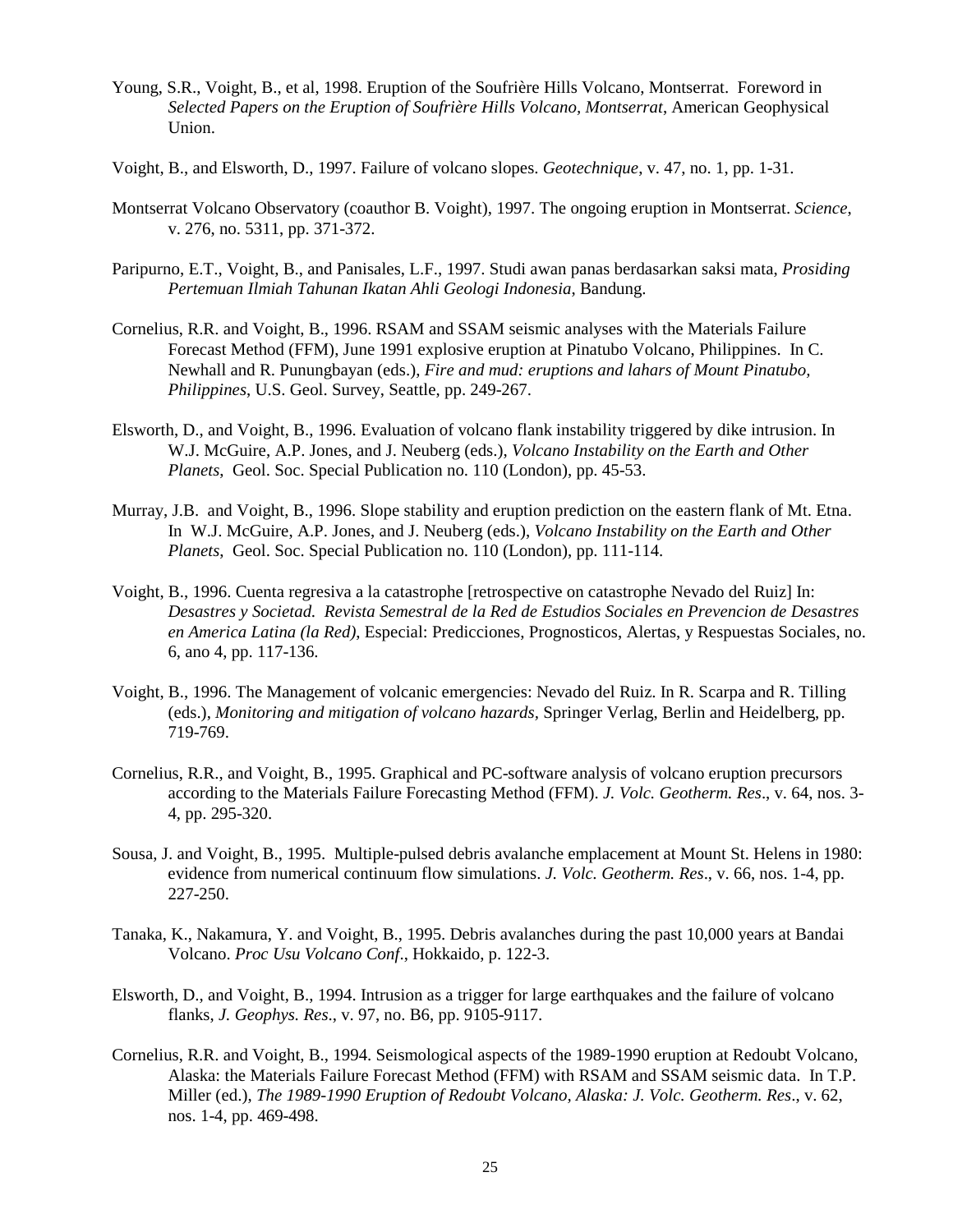- Young, S.R., Voight, B., et al, 1998. Eruption of the Soufrière Hills Volcano, Montserrat. Foreword in *Selected Papers on the Eruption of Soufrière Hills Volcano, Montserrat*, American Geophysical Union.
- Voight, B., and Elsworth, D., 1997. Failure of volcano slopes. *Geotechnique*, v. 47, no. 1, pp. 1-31.
- Montserrat Volcano Observatory (coauthor B. Voight), 1997. The ongoing eruption in Montserrat. *Science*, v. 276, no. 5311, pp. 371-372.
- Paripurno, E.T., Voight, B., and Panisales, L.F., 1997. Studi awan panas berdasarkan saksi mata, *Prosiding Pertemuan Ilmiah Tahunan Ikatan Ahli Geologi Indonesia*, Bandung.
- Cornelius, R.R. and Voight, B., 1996. RSAM and SSAM seismic analyses with the Materials Failure Forecast Method (FFM), June 1991 explosive eruption at Pinatubo Volcano, Philippines. In C. Newhall and R. Punungbayan (eds.), *Fire and mud: eruptions and lahars of Mount Pinatubo, Philippines*, U.S. Geol. Survey, Seattle, pp. 249-267.
- Elsworth, D., and Voight, B., 1996. Evaluation of volcano flank instability triggered by dike intrusion. In W.J. McGuire, A.P. Jones, and J. Neuberg (eds.), *Volcano Instability on the Earth and Other Planets*, Geol. Soc. Special Publication no. 110 (London), pp. 45-53.
- Murray, J.B. and Voight, B., 1996. Slope stability and eruption prediction on the eastern flank of Mt. Etna. In W.J. McGuire, A.P. Jones, and J. Neuberg (eds.), *Volcano Instability on the Earth and Other Planets*, Geol. Soc. Special Publication no. 110 (London), pp. 111-114.
- Voight, B., 1996. Cuenta regresiva a la catastrophe [retrospective on catastrophe Nevado del Ruiz] In: *Desastres y Societad. Revista Semestral de la Red de Estudios Sociales en Prevencion de Desastres en America Latina (la Red)*, Especial: Predicciones, Prognosticos, Alertas, y Respuestas Sociales, no. 6, ano 4, pp. 117-136.
- Voight, B., 1996. The Management of volcanic emergencies: Nevado del Ruiz. In R. Scarpa and R. Tilling (eds.), *Monitoring and mitigation of volcano hazards,* Springer Verlag, Berlin and Heidelberg, pp. 719-769.
- Cornelius, R.R., and Voight, B., 1995. Graphical and PC-software analysis of volcano eruption precursors according to the Materials Failure Forecasting Method (FFM). *J. Volc. Geotherm. Res*., v. 64, nos. 3- 4, pp. 295-320.
- Sousa, J. and Voight, B., 1995. Multiple-pulsed debris avalanche emplacement at Mount St. Helens in 1980: evidence from numerical continuum flow simulations. *J. Volc. Geotherm. Res*., v. 66, nos. 1-4, pp. 227-250.
- Tanaka, K., Nakamura, Y. and Voight, B., 1995. Debris avalanches during the past 10,000 years at Bandai Volcano. *Proc Usu Volcano Conf*., Hokkaido, p. 122-3.
- Elsworth, D., and Voight, B., 1994. Intrusion as a trigger for large earthquakes and the failure of volcano flanks, *J. Geophys. Res*., v. 97, no. B6, pp. 9105-9117.
- Cornelius, R.R. and Voight, B., 1994. Seismological aspects of the 1989-1990 eruption at Redoubt Volcano, Alaska: the Materials Failure Forecast Method (FFM) with RSAM and SSAM seismic data. In T.P. Miller (ed.), *The 1989-1990 Eruption of Redoubt Volcano, Alaska: J. Volc. Geotherm. Res*., v. 62, nos. 1-4, pp. 469-498.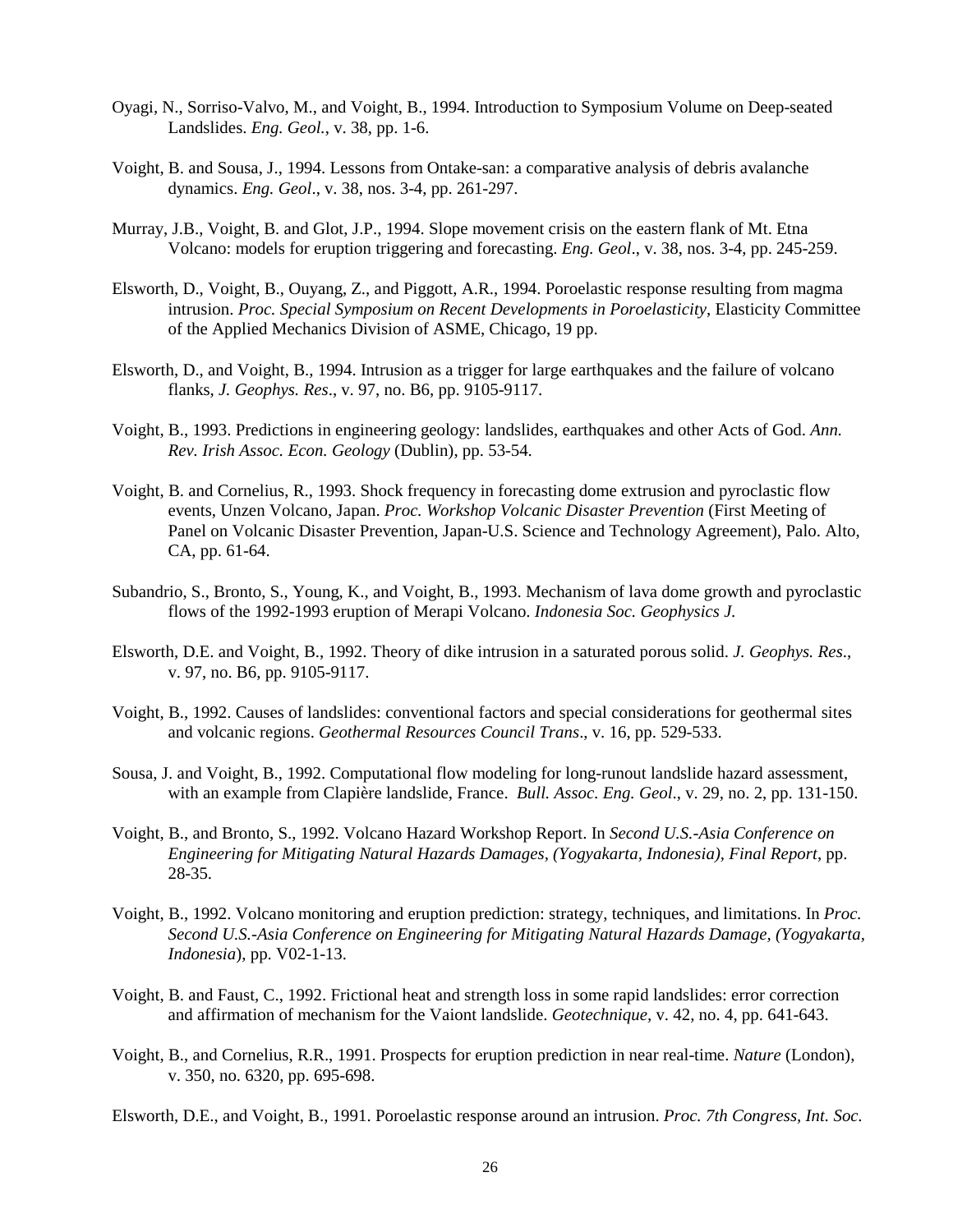- Oyagi, N., Sorriso-Valvo, M., and Voight, B., 1994. Introduction to Symposium Volume on Deep-seated Landslides. *Eng. Geol.*, v. 38, pp. 1-6.
- Voight, B. and Sousa, J., 1994. Lessons from Ontake-san: a comparative analysis of debris avalanche dynamics. *Eng. Geol*., v. 38, nos. 3-4, pp. 261-297.
- Murray, J.B., Voight, B. and Glot, J.P., 1994. Slope movement crisis on the eastern flank of Mt. Etna Volcano: models for eruption triggering and forecasting. *Eng. Geol*., v. 38, nos. 3-4, pp. 245-259.
- Elsworth, D., Voight, B., Ouyang, Z., and Piggott, A.R., 1994. Poroelastic response resulting from magma intrusion. *Proc. Special Symposium on Recent Developments in Poroelasticity*, Elasticity Committee of the Applied Mechanics Division of ASME, Chicago, 19 pp.
- Elsworth, D., and Voight, B., 1994. Intrusion as a trigger for large earthquakes and the failure of volcano flanks, *J. Geophys. Res*., v. 97, no. B6, pp. 9105-9117.
- Voight, B., 1993. Predictions in engineering geology: landslides, earthquakes and other Acts of God. *Ann. Rev. Irish Assoc. Econ. Geology* (Dublin), pp. 53-54.
- Voight, B. and Cornelius, R., 1993. Shock frequency in forecasting dome extrusion and pyroclastic flow events, Unzen Volcano, Japan. *Proc. Workshop Volcanic Disaster Prevention* (First Meeting of Panel on Volcanic Disaster Prevention, Japan-U.S. Science and Technology Agreement), Palo. Alto, CA, pp. 61-64.
- Subandrio, S., Bronto, S., Young, K., and Voight, B., 1993. Mechanism of lava dome growth and pyroclastic flows of the 1992-1993 eruption of Merapi Volcano. *Indonesia Soc. Geophysics J.*
- Elsworth, D.E. and Voight, B., 1992. Theory of dike intrusion in a saturated porous solid. *J. Geophys. Res*., v. 97, no. B6, pp. 9105-9117.
- Voight, B., 1992. Causes of landslides: conventional factors and special considerations for geothermal sites and volcanic regions. *Geothermal Resources Council Trans*., v. 16, pp. 529-533.
- Sousa, J. and Voight, B., 1992. Computational flow modeling for long-runout landslide hazard assessment, with an example from Clapière landslide, France. *Bull. Assoc. Eng. Geol*., v. 29, no. 2, pp. 131-150.
- Voight, B., and Bronto, S., 1992. Volcano Hazard Workshop Report. In *Second U.S.-Asia Conference on Engineering for Mitigating Natural Hazards Damages, (Yogyakarta, Indonesia), Final Report*, pp. 28-35.
- Voight, B., 1992. Volcano monitoring and eruption prediction: strategy, techniques, and limitations. In *Proc. Second U.S.-Asia Conference on Engineering for Mitigating Natural Hazards Damage, (Yogyakarta, Indonesia*), pp. V02-1-13.
- Voight, B. and Faust, C., 1992. Frictional heat and strength loss in some rapid landslides: error correction and affirmation of mechanism for the Vaiont landslide. *Geotechnique,* v. 42, no. 4, pp. 641-643.
- Voight, B., and Cornelius, R.R., 1991. Prospects for eruption prediction in near real-time. *Nature* (London), v. 350, no. 6320, pp. 695-698.

Elsworth, D.E., and Voight, B., 1991. Poroelastic response around an intrusion. *Proc. 7th Congress, Int. Soc.*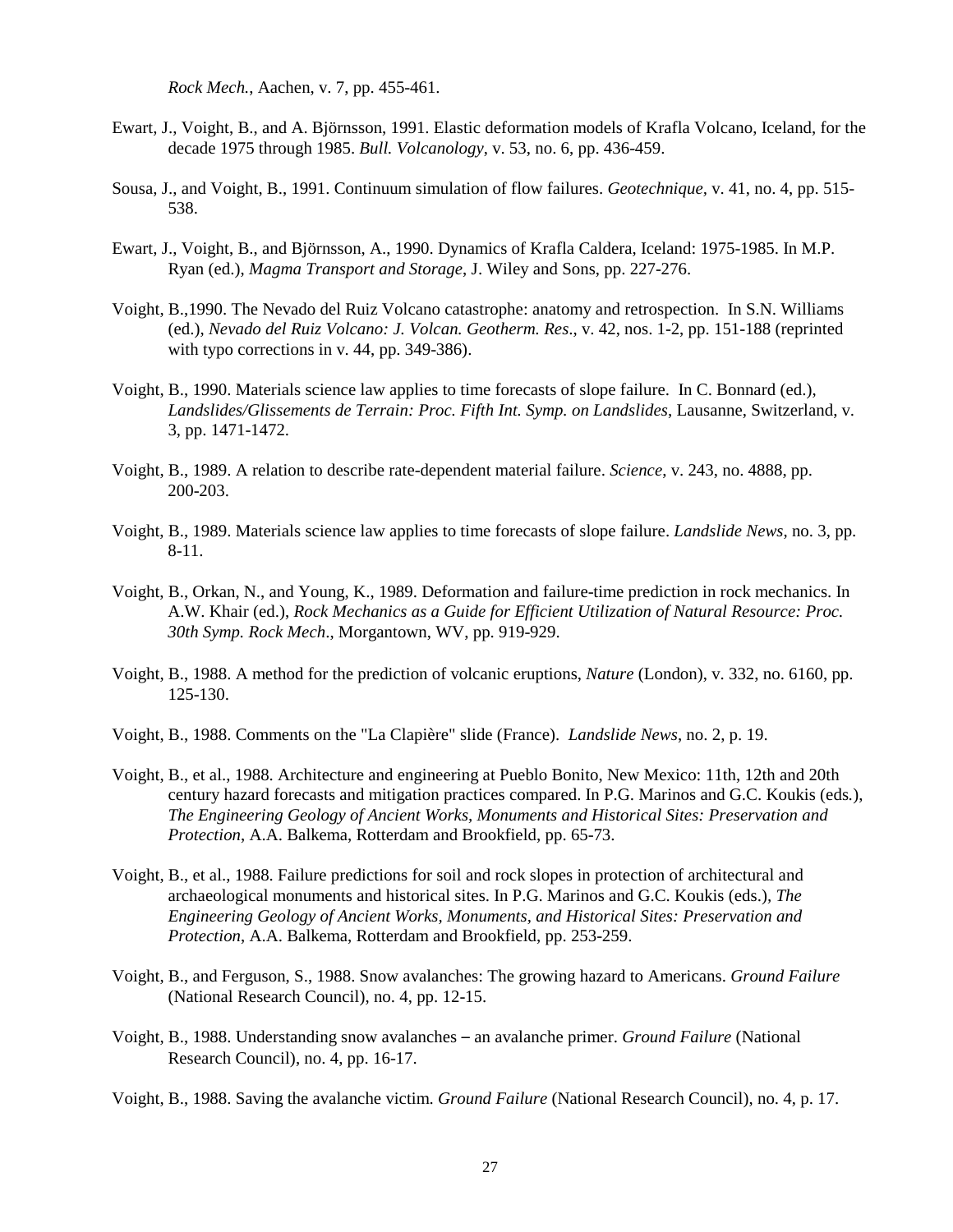*Rock Mech.*, Aachen, v. 7, pp. 455-461.

- Ewart, J., Voight, B., and A. Björnsson, 1991. Elastic deformation models of Krafla Volcano, Iceland, for the decade 1975 through 1985. *Bull. Volcanology*, v. 53, no. 6, pp. 436-459.
- Sousa, J., and Voight, B., 1991. Continuum simulation of flow failures. *Geotechnique,* v. 41, no. 4, pp. 515- 538.
- Ewart, J., Voight, B., and Björnsson, A., 1990. Dynamics of Krafla Caldera, Iceland: 1975-1985. In M.P. Ryan (ed.), *Magma Transport and Storage*, J. Wiley and Sons, pp. 227-276.
- Voight, B.,1990. The Nevado del Ruiz Volcano catastrophe: anatomy and retrospection. In S.N. Williams (ed.), *Nevado del Ruiz Volcano: J. Volcan. Geotherm. Res*., v. 42, nos. 1-2, pp. 151-188 (reprinted with typo corrections in v. 44, pp. 349-386).
- Voight, B., 1990. Materials science law applies to time forecasts of slope failure. In C. Bonnard (ed.), *Landslides/Glissements de Terrain: Proc. Fifth Int. Symp. on Landslides*, Lausanne, Switzerland, v. 3, pp. 1471-1472.
- Voight, B., 1989. A relation to describe rate-dependent material failure. *Science*, v. 243, no. 4888, pp. 200-203.
- Voight, B., 1989. Materials science law applies to time forecasts of slope failure. *Landslide News*, no. 3, pp. 8-11.
- Voight, B., Orkan, N., and Young, K., 1989. Deformation and failure-time prediction in rock mechanics. In A.W. Khair (ed.), *Rock Mechanics as a Guide for Efficient Utilization of Natural Resource: Proc. 30th Symp. Rock Mech*., Morgantown, WV, pp. 919-929.
- Voight, B., 1988. A method for the prediction of volcanic eruptions, *Nature* (London), v. 332, no. 6160, pp. 125-130.
- Voight, B., 1988. Comments on the "La Clapière" slide (France). *Landslide News*, no. 2, p. 19.
- Voight, B., et al., 1988. Architecture and engineering at Pueblo Bonito, New Mexico: 11th, 12th and 20th century hazard forecasts and mitigation practices compared. In P.G. Marinos and G.C. Koukis (eds*.*), *The Engineering Geology of Ancient Works, Monuments and Historical Sites: Preservation and Protection*, A.A. Balkema, Rotterdam and Brookfield, pp. 65-73.
- Voight, B., et al., 1988. Failure predictions for soil and rock slopes in protection of architectural and archaeological monuments and historical sites. In P.G. Marinos and G.C. Koukis (eds.)*, The Engineering Geology of Ancient Works, Monuments, and Historical Sites: Preservation and Protection*, A.A. Balkema, Rotterdam and Brookfield, pp. 253-259.
- Voight, B., and Ferguson, S., 1988. Snow avalanches: The growing hazard to Americans. *Ground Failure*  (National Research Council), no. 4, pp. 12-15.
- Voight, B., 1988. Understanding snow avalanches an avalanche primer. *Ground Failure* (National Research Council), no. 4, pp. 16-17.
- Voight, B., 1988. Saving the avalanche victim. *Ground Failure* (National Research Council), no. 4, p. 17.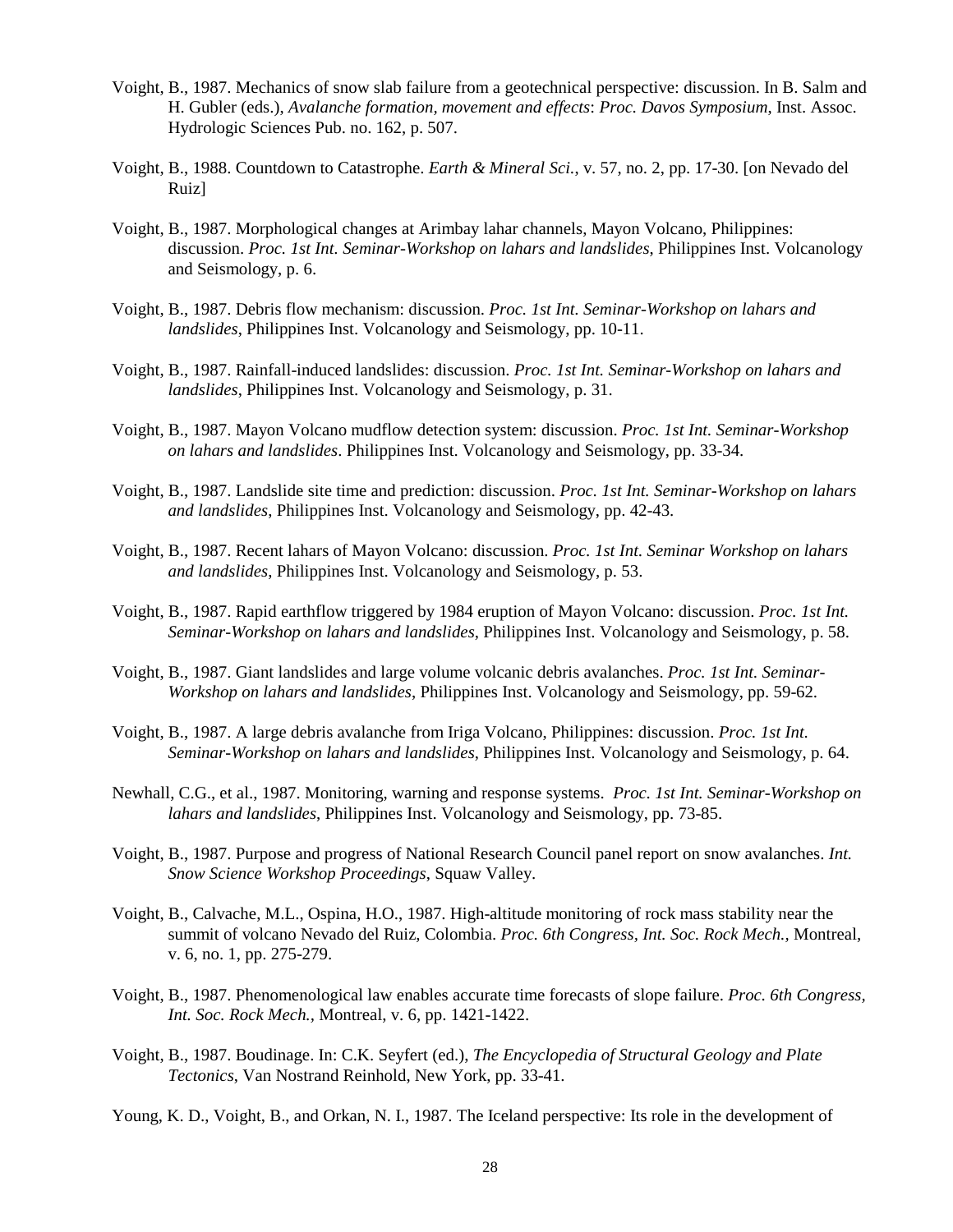- Voight, B., 1987. Mechanics of snow slab failure from a geotechnical perspective: discussion. In B. Salm and H. Gubler (eds.), *Avalanche formation, movement and effects*: *Proc. Davos Symposium*, Inst. Assoc. Hydrologic Sciences Pub. no. 162, p. 507.
- Voight, B., 1988. Countdown to Catastrophe. *Earth & Mineral Sci.*, v. 57, no. 2, pp. 17-30. [on Nevado del Ruiz]
- Voight, B., 1987. Morphological changes at Arimbay lahar channels, Mayon Volcano, Philippines: discussion. *Proc. 1st Int. Seminar-Workshop on lahars and landslides*, Philippines Inst. Volcanology and Seismology, p. 6.
- Voight, B., 1987. Debris flow mechanism: discussion. *Proc. 1st Int. Seminar-Workshop on lahars and landslides*, Philippines Inst. Volcanology and Seismology, pp. 10-11.
- Voight, B., 1987. Rainfall-induced landslides: discussion. *Proc. 1st Int. Seminar-Workshop on lahars and landslides*, Philippines Inst. Volcanology and Seismology, p. 31.
- Voight, B., 1987. Mayon Volcano mudflow detection system: discussion. *Proc. 1st Int. Seminar-Workshop on lahars and landslides*. Philippines Inst. Volcanology and Seismology, pp. 33-34.
- Voight, B., 1987. Landslide site time and prediction: discussion. *Proc. 1st Int. Seminar-Workshop on lahars and landslides*, Philippines Inst. Volcanology and Seismology, pp. 42-43.
- Voight, B., 1987. Recent lahars of Mayon Volcano: discussion. *Proc. 1st Int. Seminar Workshop on lahars and landslides*, Philippines Inst. Volcanology and Seismology, p. 53.
- Voight, B., 1987. Rapid earthflow triggered by 1984 eruption of Mayon Volcano: discussion. *Proc. 1st Int. Seminar-Workshop on lahars and landslides*, Philippines Inst. Volcanology and Seismology, p. 58.
- Voight, B., 1987. Giant landslides and large volume volcanic debris avalanches. *Proc. 1st Int. Seminar-Workshop on lahars and landslides*, Philippines Inst. Volcanology and Seismology, pp. 59-62.
- Voight, B., 1987. A large debris avalanche from Iriga Volcano, Philippines: discussion. *Proc. 1st Int. Seminar-Workshop on lahars and landslides*, Philippines Inst. Volcanology and Seismology, p. 64.
- Newhall, C.G., et al., 1987. Monitoring, warning and response systems. *Proc. 1st Int. Seminar-Workshop on lahars and landslides*, Philippines Inst. Volcanology and Seismology, pp. 73-85.
- Voight, B., 1987. Purpose and progress of National Research Council panel report on snow avalanches. *Int. Snow Science Workshop Proceedings*, Squaw Valley.
- Voight, B., Calvache, M.L., Ospina, H.O., 1987. High-altitude monitoring of rock mass stability near the summit of volcano Nevado del Ruiz, Colombia. *Proc. 6th Congress, Int. Soc. Rock Mech.,* Montreal, v. 6, no. 1, pp. 275-279.
- Voight, B., 1987. Phenomenological law enables accurate time forecasts of slope failure. *Proc. 6th Congress, Int. Soc. Rock Mech.,* Montreal, v. 6, pp. 1421-1422.
- Voight, B., 1987. Boudinage. In: C.K. Seyfert (ed.), *The Encyclopedia of Structural Geology and Plate Tectonics*, Van Nostrand Reinhold, New York, pp. 33-41.
- Young, K. D., Voight, B., and Orkan, N. I., 1987. The Iceland perspective: Its role in the development of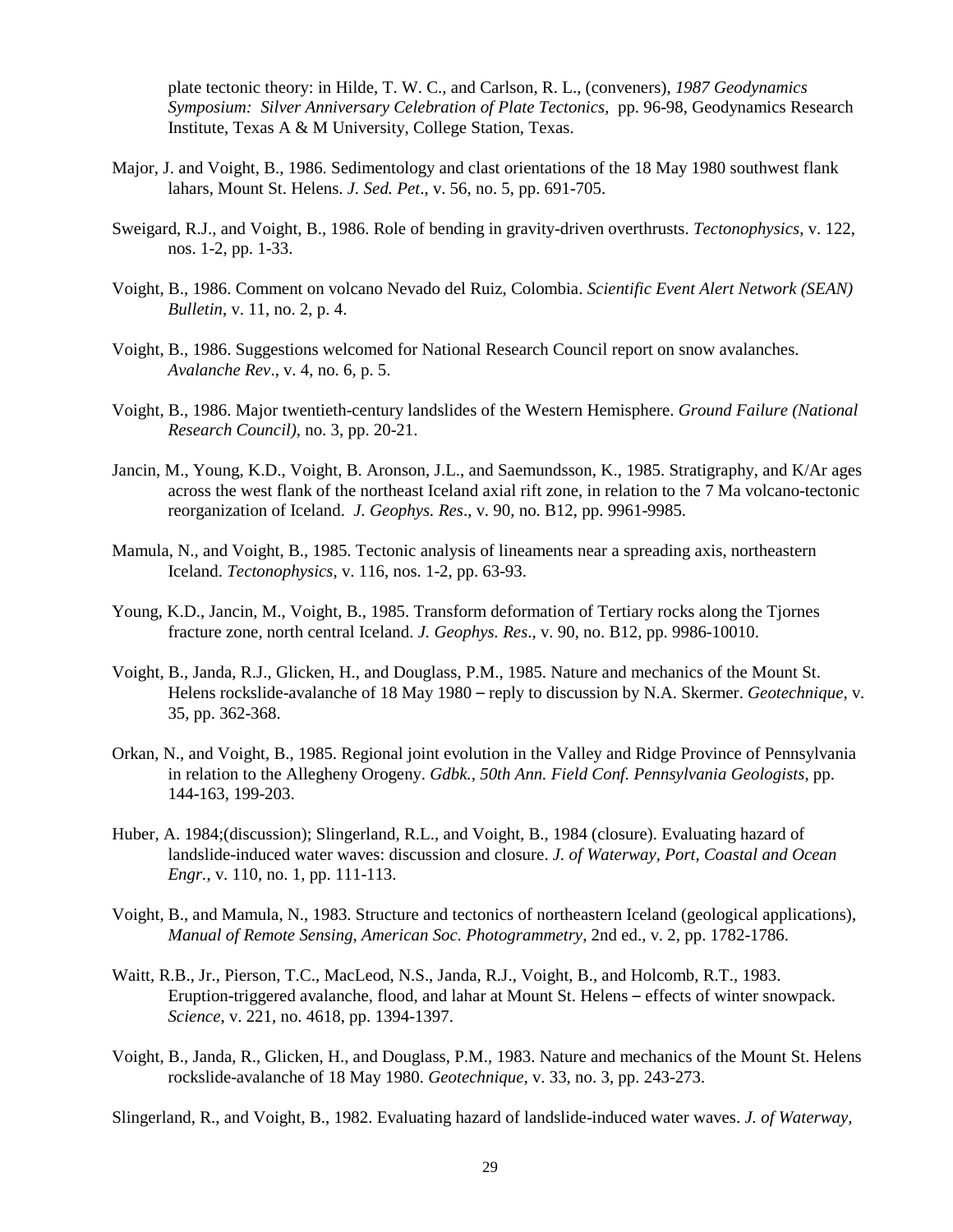plate tectonic theory: in Hilde, T. W. C., and Carlson, R. L., (conveners), *1987 Geodynamics Symposium: Silver Anniversary Celebration of Plate Tectonics*, pp. 96-98, Geodynamics Research Institute, Texas A & M University, College Station, Texas.

- Major, J. and Voight, B., 1986. Sedimentology and clast orientations of the 18 May 1980 southwest flank lahars, Mount St. Helens. *J. Sed. Pet*., v. 56, no. 5, pp. 691-705.
- Sweigard, R.J., and Voight, B., 1986. Role of bending in gravity-driven overthrusts. *Tectonophysics*, v. 122, nos. 1-2, pp. 1-33.
- Voight, B., 1986. Comment on volcano Nevado del Ruiz, Colombia. *Scientific Event Alert Network (SEAN) Bulletin*, v. 11, no. 2, p. 4.
- Voight, B., 1986. Suggestions welcomed for National Research Council report on snow avalanches. *Avalanche Rev*., v. 4, no. 6, p. 5.
- Voight, B., 1986. Major twentieth-century landslides of the Western Hemisphere. *Ground Failure (National Research Council),* no. 3, pp. 20-21.
- Jancin, M., Young, K.D., Voight, B. Aronson, J.L., and Saemundsson, K., 1985. Stratigraphy, and K/Ar ages across the west flank of the northeast Iceland axial rift zone, in relation to the 7 Ma volcano-tectonic reorganization of Iceland. *J. Geophys. Res*., v. 90, no. B12, pp. 9961-9985.
- Mamula, N., and Voight, B., 1985. Tectonic analysis of lineaments near a spreading axis, northeastern Iceland. *Tectonophysics*, v. 116, nos. 1-2, pp. 63-93.
- Young, K.D., Jancin, M., Voight, B., 1985. Transform deformation of Tertiary rocks along the Tjornes fracture zone, north central Iceland. *J. Geophys. Res*., v. 90, no. B12, pp. 9986-10010.
- Voight, B., Janda, R.J., Glicken, H., and Douglass, P.M., 1985. Nature and mechanics of the Mount St. Helens rockslide-avalanche of 18 May 1980 – reply to discussion by N.A. Skermer. *Geotechnique*, v. 35, pp. 362-368.
- Orkan, N., and Voight, B., 1985. Regional joint evolution in the Valley and Ridge Province of Pennsylvania in relation to the Allegheny Orogeny. *Gdbk., 50th Ann. Field Conf. Pennsylvania Geologists*, pp. 144-163, 199-203.
- Huber, A. 1984;(discussion); Slingerland, R.L., and Voight, B., 1984 (closure). Evaluating hazard of landslide-induced water waves: discussion and closure. *J. of Waterway, Port, Coastal and Ocean Engr.*, v. 110, no. 1, pp. 111-113.
- Voight, B., and Mamula, N., 1983. Structure and tectonics of northeastern Iceland (geological applications), *Manual of Remote Sensing*, *American Soc. Photogrammetry*, 2nd ed., v. 2, pp. 1782-1786.
- Waitt, R.B., Jr., Pierson, T.C., MacLeod, N.S., Janda, R.J., Voight, B., and Holcomb, R.T., 1983. Eruption-triggered avalanche, flood, and lahar at Mount St. Helens – effects of winter snowpack. *Science*, v. 221, no. 4618, pp. 1394-1397.
- Voight, B., Janda, R., Glicken, H., and Douglass, P.M., 1983. Nature and mechanics of the Mount St. Helens rockslide-avalanche of 18 May 1980. *Geotechnique*, v. 33, no. 3, pp. 243-273.

Slingerland, R., and Voight, B., 1982. Evaluating hazard of landslide-induced water waves. *J. of Waterway,*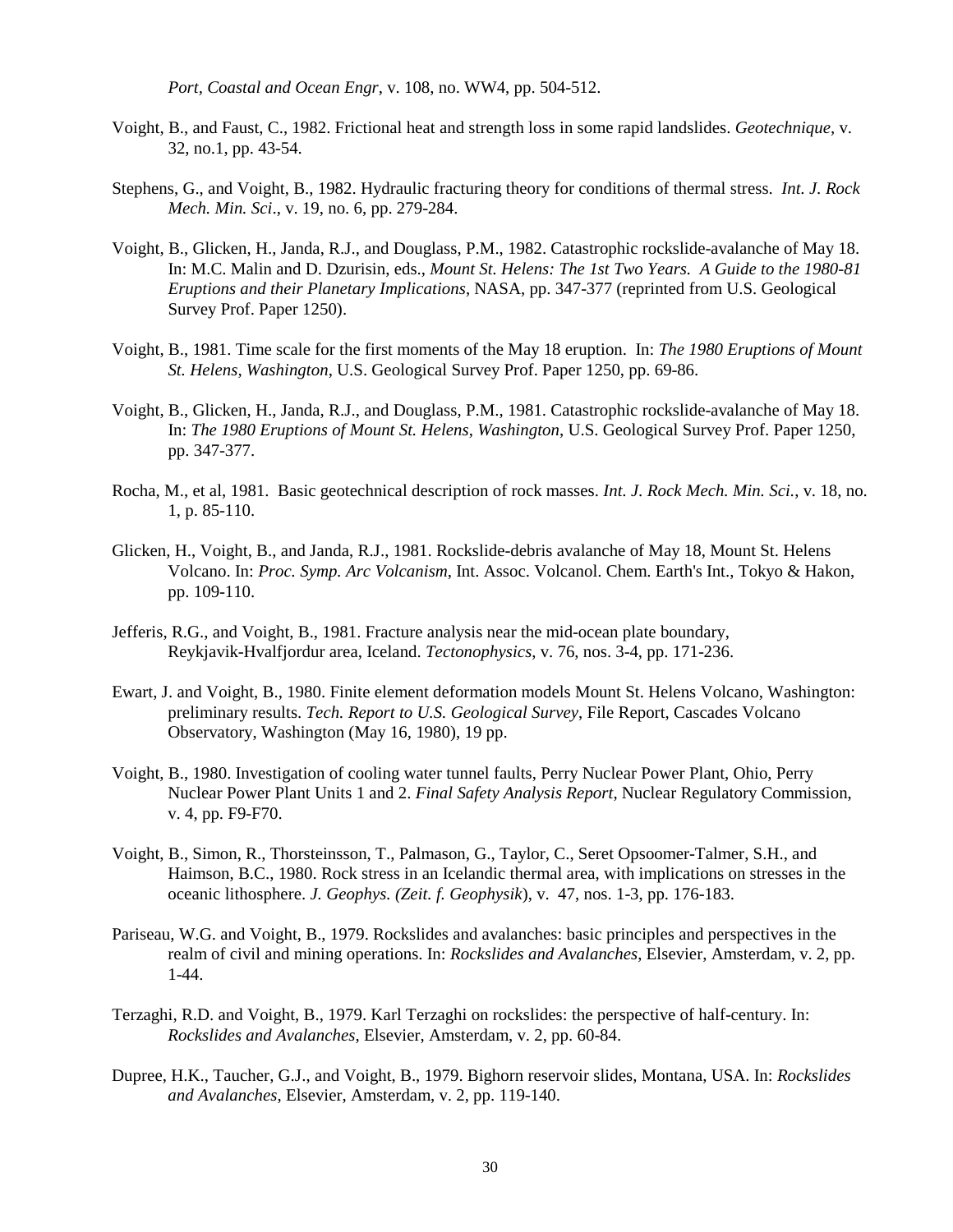*Port, Coastal and Ocean Engr*, v. 108, no. WW4, pp. 504-512.

- Voight, B., and Faust, C., 1982. Frictional heat and strength loss in some rapid landslides. *Geotechnique,* v. 32, no.1, pp. 43-54.
- Stephens, G., and Voight, B., 1982. Hydraulic fracturing theory for conditions of thermal stress. *Int. J. Rock Mech. Min. Sci*., v. 19, no. 6, pp. 279-284.
- Voight, B., Glicken, H., Janda, R.J., and Douglass, P.M., 1982. Catastrophic rockslide-avalanche of May 18. In: M.C. Malin and D. Dzurisin, eds., *Mount St. Helens: The 1st Two Years. A Guide to the 1980-81 Eruptions and their Planetary Implications*, NASA, pp. 347-377 (reprinted from U.S. Geological Survey Prof. Paper 1250).
- Voight, B., 1981. Time scale for the first moments of the May 18 eruption. In: *The 1980 Eruptions of Mount St. Helens, Washington*, U.S. Geological Survey Prof. Paper 1250, pp. 69-86.
- Voight, B., Glicken, H., Janda, R.J., and Douglass, P.M., 1981. Catastrophic rockslide-avalanche of May 18. In: *The 1980 Eruptions of Mount St. Helens*, *Washington*, U.S. Geological Survey Prof. Paper 1250, pp. 347-377.
- Rocha, M., et al, 1981. Basic geotechnical description of rock masses. *Int. J. Rock Mech. Min. Sci.*, v. 18, no. 1, p. 85-110.
- Glicken, H., Voight, B., and Janda, R.J., 1981. Rockslide-debris avalanche of May 18, Mount St. Helens Volcano. In: *Proc. Symp. Arc Volcanism*, Int. Assoc. Volcanol. Chem. Earth's Int., Tokyo & Hakon, pp. 109-110.
- Jefferis, R.G., and Voight, B., 1981. Fracture analysis near the mid-ocean plate boundary, Reykjavik-Hvalfjordur area, Iceland. *Tectonophysics*, v. 76, nos. 3-4, pp. 171-236.
- Ewart, J. and Voight, B., 1980. Finite element deformation models Mount St. Helens Volcano, Washington: preliminary results. *Tech. Report to U.S. Geological Survey*, File Report, Cascades Volcano Observatory, Washington (May 16, 1980), 19 pp.
- Voight, B., 1980. Investigation of cooling water tunnel faults, Perry Nuclear Power Plant, Ohio, Perry Nuclear Power Plant Units 1 and 2. *Final Safety Analysis Report*, Nuclear Regulatory Commission, v. 4, pp. F9-F70.
- Voight, B., Simon, R., Thorsteinsson, T., Palmason, G., Taylor, C., Seret Opsoomer-Talmer, S.H., and Haimson, B.C., 1980. Rock stress in an Icelandic thermal area, with implications on stresses in the oceanic lithosphere. *J. Geophys. (Zeit. f. Geophysik*), v. 47, nos. 1-3, pp. 176-183.
- Pariseau, W.G. and Voight, B., 1979. Rockslides and avalanches: basic principles and perspectives in the realm of civil and mining operations. In: *Rockslides and Avalanches*, Elsevier, Amsterdam, v. 2, pp. 1-44.
- Terzaghi, R.D. and Voight, B., 1979. Karl Terzaghi on rockslides: the perspective of half-century. In: *Rockslides and Avalanches*, Elsevier, Amsterdam, v. 2, pp. 60-84.
- Dupree, H.K., Taucher, G.J., and Voight, B., 1979. Bighorn reservoir slides, Montana, USA. In: *Rockslides and Avalanches*, Elsevier, Amsterdam, v. 2, pp. 119-140.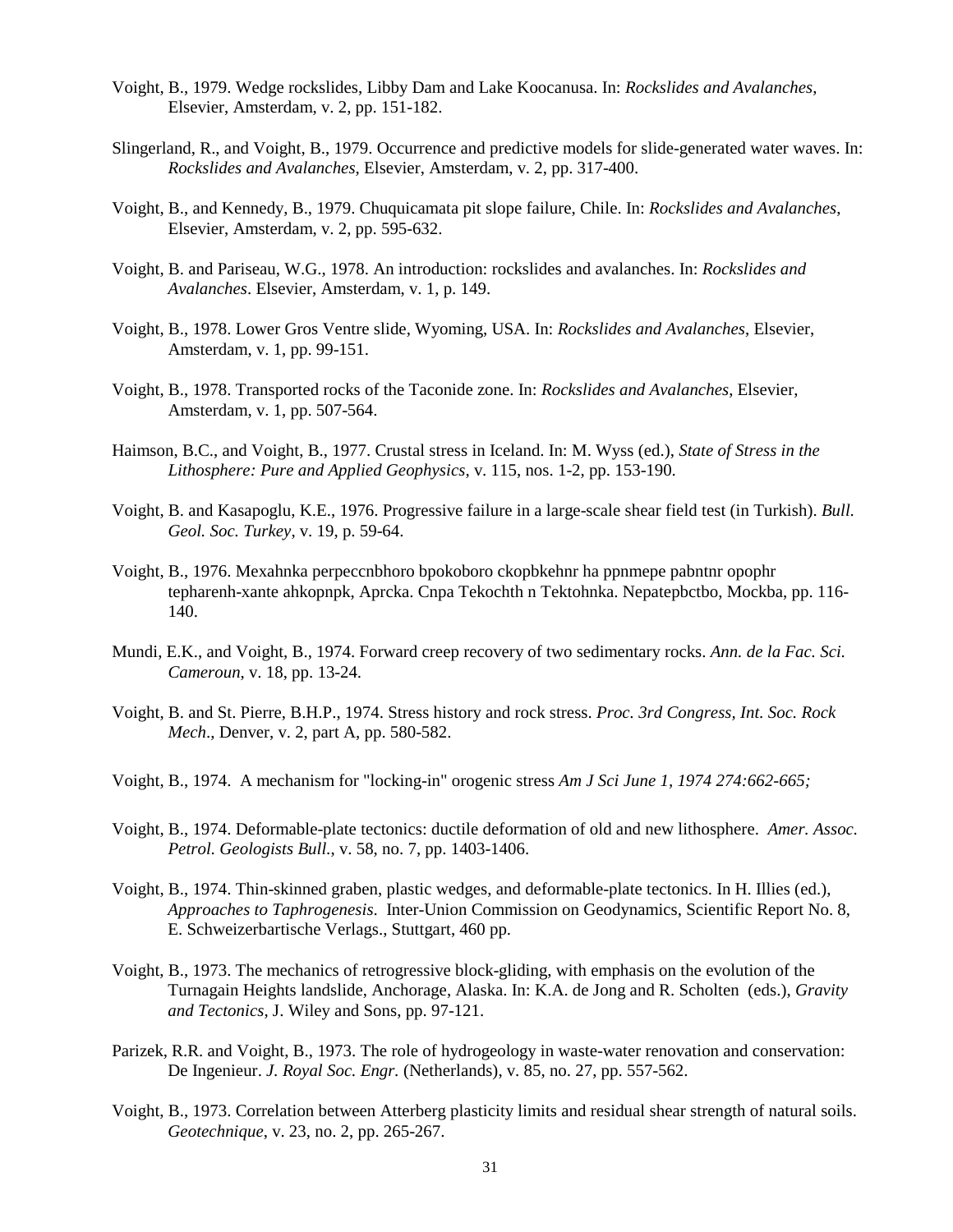- Voight, B., 1979. Wedge rockslides, Libby Dam and Lake Koocanusa. In: *Rockslides and Avalanches*, Elsevier, Amsterdam, v. 2, pp. 151-182.
- Slingerland, R., and Voight, B., 1979. Occurrence and predictive models for slide-generated water waves. In: *Rockslides and Avalanches*, Elsevier, Amsterdam, v. 2, pp. 317-400.
- Voight, B., and Kennedy, B., 1979. Chuquicamata pit slope failure, Chile. In: *Rockslides and Avalanches*, Elsevier, Amsterdam, v. 2, pp. 595-632.
- Voight, B. and Pariseau, W.G., 1978. An introduction: rockslides and avalanches. In: *Rockslides and Avalanches*. Elsevier, Amsterdam, v. 1, p. 149.
- Voight, B., 1978. Lower Gros Ventre slide, Wyoming, USA. In: *Rockslides and Avalanches*, Elsevier, Amsterdam, v. 1, pp. 99-151.
- Voight, B., 1978. Transported rocks of the Taconide zone. In: *Rockslides and Avalanches*, Elsevier, Amsterdam, v. 1, pp. 507-564.
- Haimson, B.C., and Voight, B., 1977. Crustal stress in Iceland. In: M. Wyss (ed.), *State of Stress in the Lithosphere: Pure and Applied Geophysics*, v. 115, nos. 1-2, pp. 153-190.
- Voight, B. and Kasapoglu, K.E., 1976. Progressive failure in a large-scale shear field test (in Turkish). *Bull. Geol. Soc. Turkey*, v. 19, p. 59-64.
- Voight, B., 1976. Mexahnka perpeccnbhoro bpokoboro ckopbkehnr ha ppnmepe pabntnr opophr tepharenh-xante ahkopnpk, Aprcka. Cnpa Tekochth n Tektohnka. Nepatepbctbo, Mockba, pp. 116- 140.
- Mundi, E.K., and Voight, B., 1974. Forward creep recovery of two sedimentary rocks. *Ann. de la Fac. Sci. Cameroun*, v. 18, pp. 13-24.
- Voight, B. and St. Pierre, B.H.P., 1974. Stress history and rock stress. *Proc. 3rd Congress, Int. Soc. Rock Mech*., Denver, v. 2, part A, pp. 580-582.
- Voight, B., 1974. A mechanism for "locking-in" orogenic stress *Am J Sci June 1, 1974 274:662-665;*
- Voight, B., 1974. Deformable-plate tectonics: ductile deformation of old and new lithosphere. *Amer. Assoc. Petrol. Geologists Bull.*, v. 58, no. 7, pp. 1403-1406.
- Voight, B., 1974. Thin-skinned graben, plastic wedges, and deformable-plate tectonics. In H. Illies (ed.), *Approaches to Taphrogenesis*. Inter-Union Commission on Geodynamics, Scientific Report No. 8, E. Schweizerbartische Verlags., Stuttgart, 460 pp.
- Voight, B., 1973. The mechanics of retrogressive block-gliding, with emphasis on the evolution of the Turnagain Heights landslide, Anchorage, Alaska. In: K.A. de Jong and R. Scholten (eds.), *Gravity and Tectonics*, J. Wiley and Sons, pp. 97-121.
- Parizek, R.R. and Voight, B., 1973. The role of hydrogeology in waste-water renovation and conservation: De Ingenieur. *J. Royal Soc. Engr.* (Netherlands), v. 85, no. 27, pp. 557-562.
- Voight, B., 1973. Correlation between Atterberg plasticity limits and residual shear strength of natural soils. *Geotechnique*, v. 23, no. 2, pp. 265-267.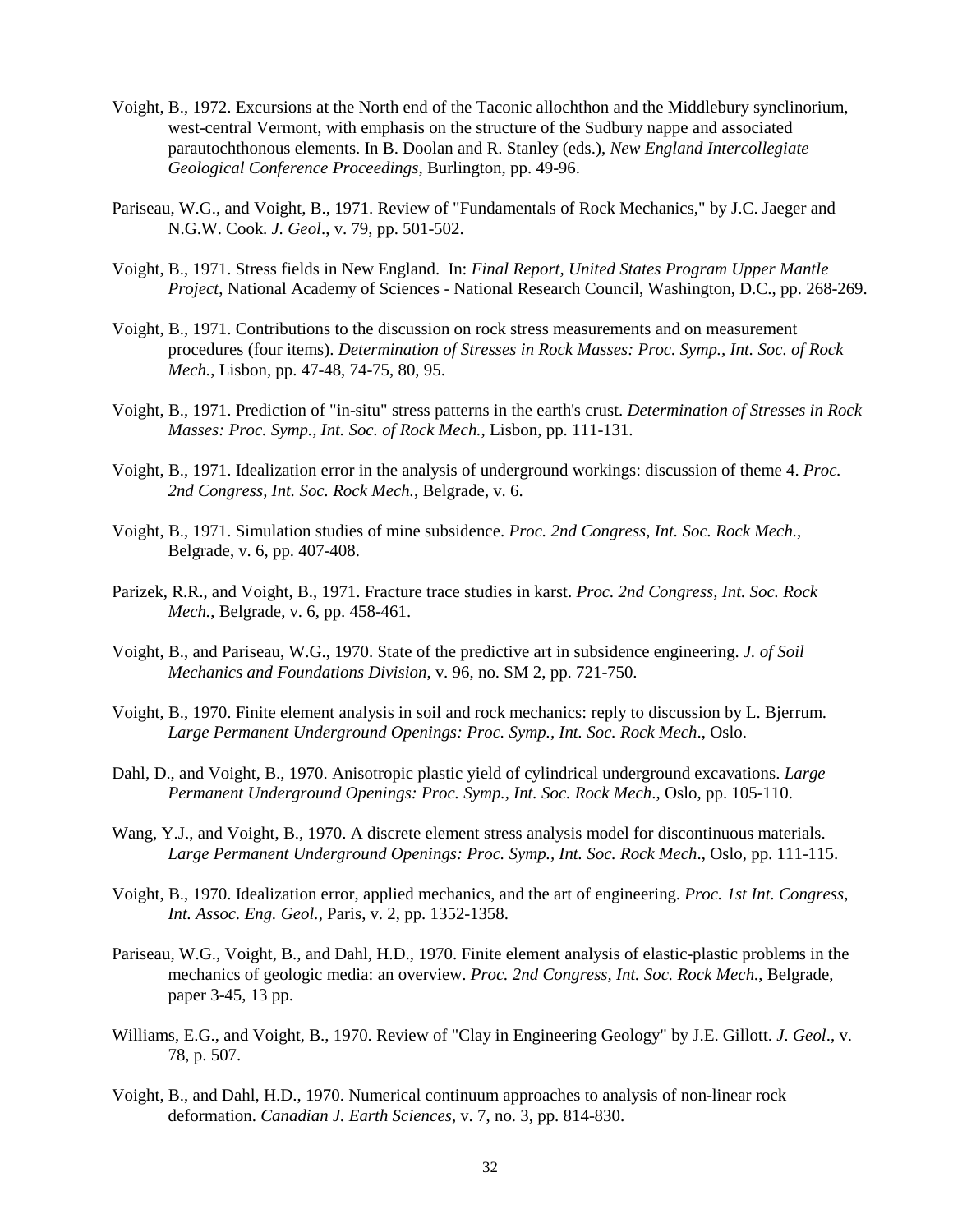- Voight, B., 1972. Excursions at the North end of the Taconic allochthon and the Middlebury synclinorium, west-central Vermont, with emphasis on the structure of the Sudbury nappe and associated parautochthonous elements. In B. Doolan and R. Stanley (eds.), *New England Intercollegiate Geological Conference Proceedings*, Burlington, pp. 49-96.
- Pariseau, W.G., and Voight, B., 1971. Review of "Fundamentals of Rock Mechanics," by J.C. Jaeger and N.G.W. Cook. *J. Geol*., v. 79, pp. 501-502.
- Voight, B., 1971. Stress fields in New England. In: *Final Report, United States Program Upper Mantle Project*, National Academy of Sciences - National Research Council, Washington, D.C., pp. 268-269.
- Voight, B., 1971. Contributions to the discussion on rock stress measurements and on measurement procedures (four items). *Determination of Stresses in Rock Masses: Proc. Symp., Int. Soc. of Rock Mech.*, Lisbon, pp. 47-48, 74-75, 80, 95.
- Voight, B., 1971. Prediction of "in-situ" stress patterns in the earth's crust. *Determination of Stresses in Rock Masses: Proc. Symp., Int. Soc. of Rock Mech.*, Lisbon, pp. 111-131.
- Voight, B., 1971. Idealization error in the analysis of underground workings: discussion of theme 4. *Proc. 2nd Congress, Int. Soc. Rock Mech.*, Belgrade, v. 6.
- Voight, B., 1971. Simulation studies of mine subsidence. *Proc. 2nd Congress, Int. Soc. Rock Mech.*, Belgrade, v. 6, pp. 407-408.
- Parizek, R.R., and Voight, B., 1971. Fracture trace studies in karst. *Proc. 2nd Congress, Int. Soc. Rock Mech.*, Belgrade, v. 6, pp. 458-461.
- Voight, B., and Pariseau, W.G., 1970. State of the predictive art in subsidence engineering. *J. of Soil Mechanics and Foundations Division*, v. 96, no. SM 2, pp. 721-750.
- Voight, B., 1970. Finite element analysis in soil and rock mechanics: reply to discussion by L. Bjerrum. *Large Permanent Underground Openings: Proc. Symp., Int. Soc. Rock Mech*., Oslo.
- Dahl, D., and Voight, B., 1970. Anisotropic plastic yield of cylindrical underground excavations. *Large Permanent Underground Openings: Proc. Symp., Int. Soc. Rock Mech*., Oslo, pp. 105-110.
- Wang, Y.J., and Voight, B., 1970. A discrete element stress analysis model for discontinuous materials. *Large Permanent Underground Openings: Proc. Symp., Int. Soc. Rock Mech*., Oslo, pp. 111-115.
- Voight, B., 1970. Idealization error, applied mechanics, and the art of engineering. *Proc. 1st Int. Congress, Int. Assoc. Eng. Geol.*, Paris, v. 2, pp. 1352-1358.
- Pariseau, W.G., Voight, B., and Dahl, H.D., 1970. Finite element analysis of elastic-plastic problems in the mechanics of geologic media: an overview. *Proc. 2nd Congress, Int. Soc. Rock Mech.*, Belgrade, paper 3-45, 13 pp.
- Williams, E.G., and Voight, B., 1970. Review of "Clay in Engineering Geology" by J.E. Gillott. *J. Geol*., v. 78, p. 507.
- Voight, B., and Dahl, H.D., 1970. Numerical continuum approaches to analysis of non-linear rock deformation. *Canadian J. Earth Sciences*, v. 7, no. 3, pp. 814-830.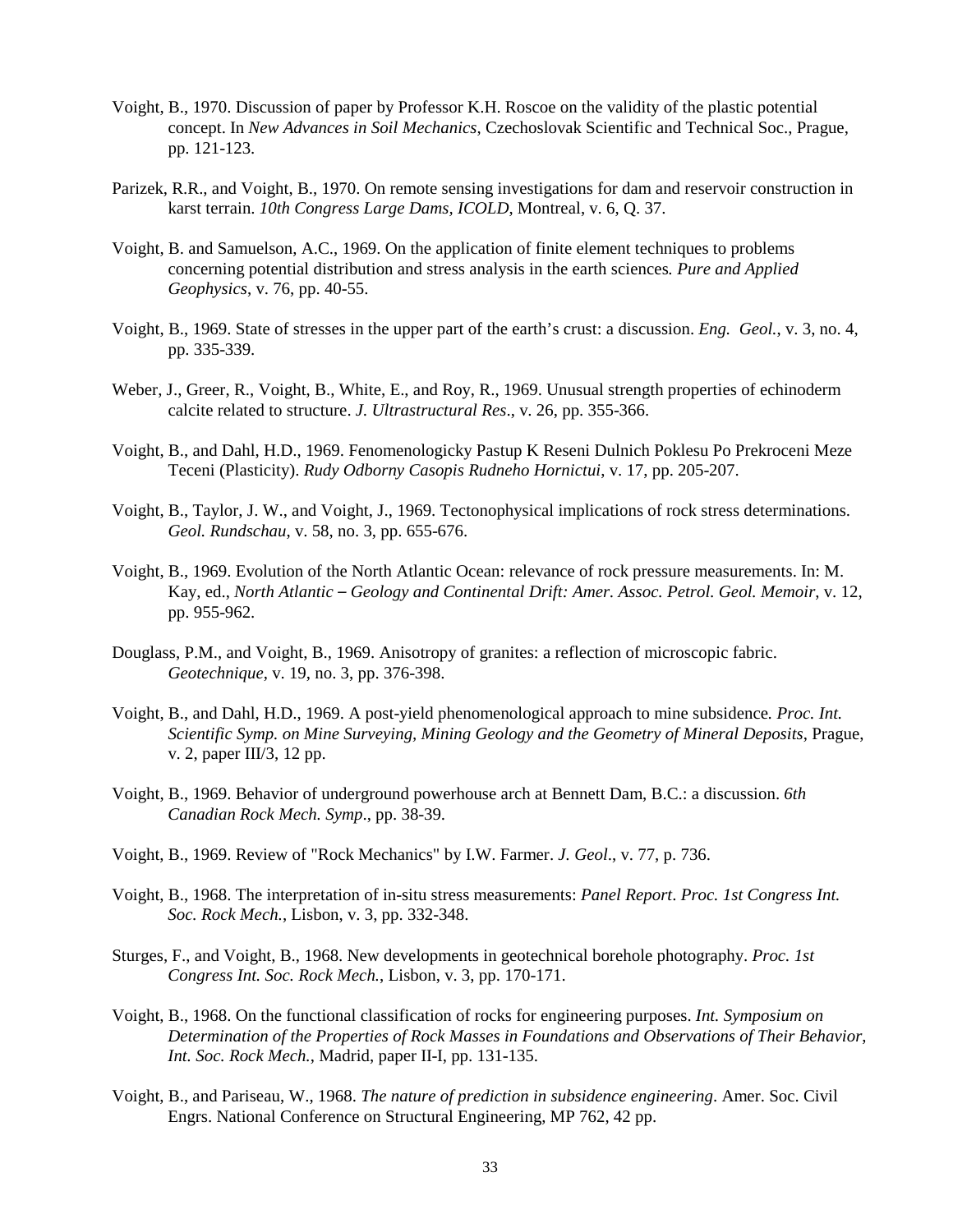- Voight, B., 1970. Discussion of paper by Professor K.H. Roscoe on the validity of the plastic potential concept. In *New Advances in Soil Mechanics*, Czechoslovak Scientific and Technical Soc., Prague, pp. 121-123.
- Parizek, R.R., and Voight, B., 1970. On remote sensing investigations for dam and reservoir construction in karst terrain. *10th Congress Large Dams, ICOLD*, Montreal, v. 6, Q. 37.
- Voight, B. and Samuelson, A.C., 1969. On the application of finite element techniques to problems concerning potential distribution and stress analysis in the earth sciences*. Pure and Applied Geophysics*, v. 76, pp. 40-55.
- Voight, B., 1969. State of stresses in the upper part of the earth's crust: a discussion. *Eng. Geol.*, v. 3, no. 4, pp. 335-339.
- Weber, J., Greer, R., Voight, B., White, E., and Roy, R., 1969. Unusual strength properties of echinoderm calcite related to structure. *J. Ultrastructural Res*., v. 26, pp. 355-366.
- Voight, B., and Dahl, H.D., 1969. Fenomenologicky Pastup K Reseni Dulnich Poklesu Po Prekroceni Meze Teceni (Plasticity). *Rudy Odborny Casopis Rudneho Hornictui*, v. 17, pp. 205-207.
- Voight, B., Taylor, J. W., and Voight, J., 1969. Tectonophysical implications of rock stress determinations. *Geol. Rundschau*, v. 58, no. 3, pp. 655-676.
- Voight, B., 1969. Evolution of the North Atlantic Ocean: relevance of rock pressure measurements. In: M. Kay, ed., *North Atlantic – Geology and Continental Drift: Amer. Assoc. Petrol. Geol. Memoir*, v. 12, pp. 955-962.
- Douglass, P.M., and Voight, B., 1969. Anisotropy of granites: a reflection of microscopic fabric. *Geotechnique*, v. 19, no. 3, pp. 376-398.
- Voight, B., and Dahl, H.D., 1969. A post-yield phenomenological approach to mine subsidence*. Proc. Int. Scientific Symp. on Mine Surveying, Mining Geology and the Geometry of Mineral Deposits*, Prague, v. 2, paper III/3, 12 pp.
- Voight, B., 1969. Behavior of underground powerhouse arch at Bennett Dam, B.C.: a discussion. *6th Canadian Rock Mech. Symp*., pp. 38-39.
- Voight, B., 1969. Review of "Rock Mechanics" by I.W. Farmer. *J. Geol*., v. 77, p. 736.
- Voight, B., 1968. The interpretation of in-situ stress measurements: *Panel Report*. *Proc. 1st Congress Int. Soc. Rock Mech.*, Lisbon, v. 3, pp. 332-348.
- Sturges, F., and Voight, B., 1968. New developments in geotechnical borehole photography. *Proc. 1st Congress Int. Soc. Rock Mech.*, Lisbon, v. 3, pp. 170-171.
- Voight, B., 1968. On the functional classification of rocks for engineering purposes. *Int. Symposium on Determination of the Properties of Rock Masses in Foundations and Observations of Their Behavior*, *Int. Soc. Rock Mech.*, Madrid, paper II-I, pp. 131-135.
- Voight, B., and Pariseau, W., 1968. *The nature of prediction in subsidence engineering*. Amer. Soc. Civil Engrs. National Conference on Structural Engineering, MP 762, 42 pp.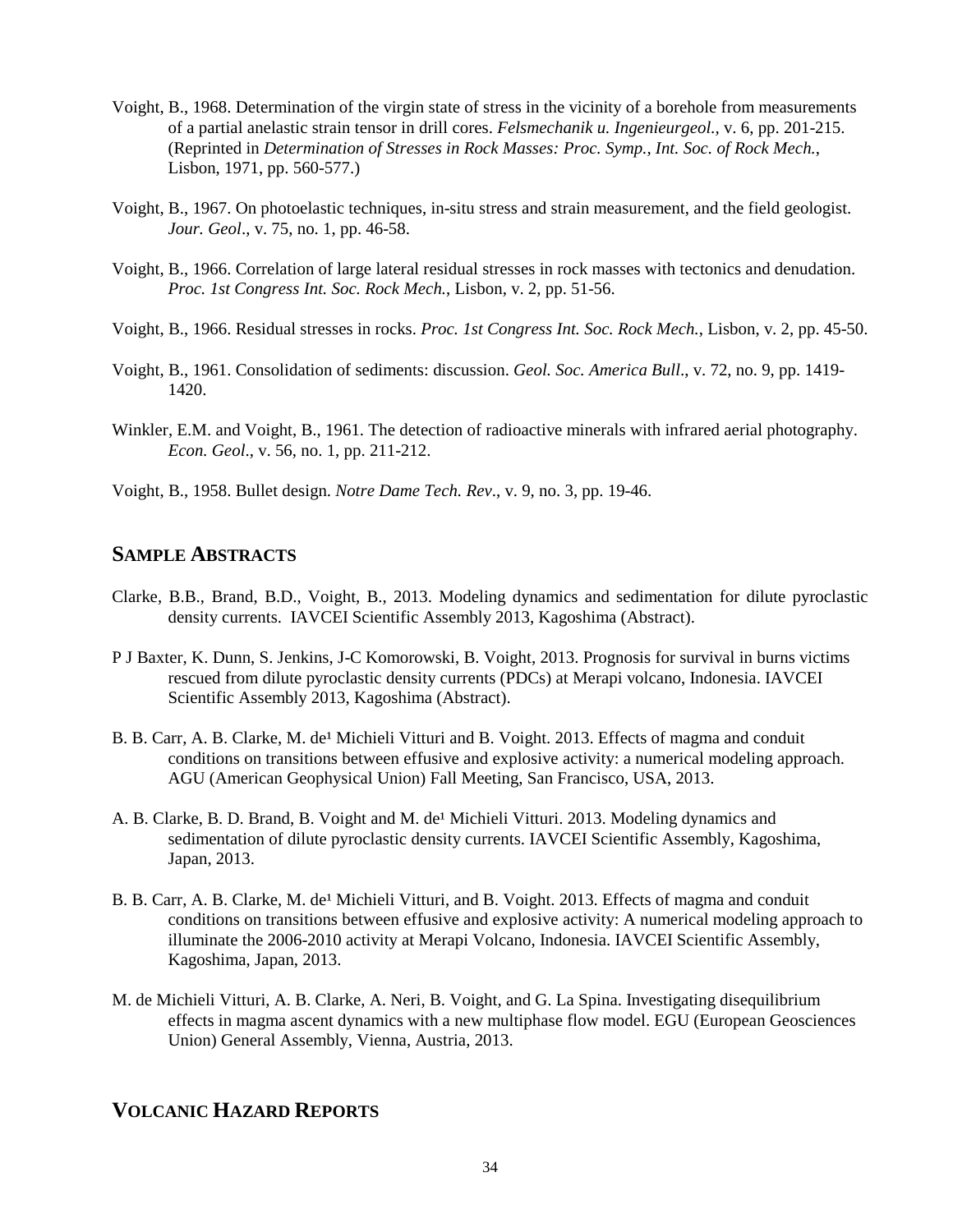- Voight, B., 1968. Determination of the virgin state of stress in the vicinity of a borehole from measurements of a partial anelastic strain tensor in drill cores. *Felsmechanik u. Ingenieurgeol.,* v. 6, pp. 201-215. (Reprinted in *Determination of Stresses in Rock Masses: Proc. Symp., Int. Soc. of Rock Mech.*, Lisbon, 1971, pp. 560-577.)
- Voight, B., 1967. On photoelastic techniques, in-situ stress and strain measurement, and the field geologist. *Jour. Geol*., v. 75, no. 1, pp. 46-58.
- Voight, B., 1966. Correlation of large lateral residual stresses in rock masses with tectonics and denudation. *Proc. 1st Congress Int. Soc. Rock Mech.*, Lisbon, v. 2, pp. 51-56.
- Voight, B., 1966. Residual stresses in rocks. *Proc. 1st Congress Int. Soc. Rock Mech.*, Lisbon, v. 2, pp. 45-50.
- Voight, B., 1961. Consolidation of sediments: discussion. *Geol. Soc. America Bull*., v. 72, no. 9, pp. 1419- 1420.
- Winkler, E.M. and Voight, B., 1961. The detection of radioactive minerals with infrared aerial photography. *Econ. Geol*., v. 56, no. 1, pp. 211-212.
- Voight, B., 1958. Bullet design. *Notre Dame Tech. Rev*., v. 9, no. 3, pp. 19-46.

## **SAMPLE ABSTRACTS**

- Clarke, B.B., Brand, B.D., Voight, B., 2013. Modeling dynamics and sedimentation for dilute pyroclastic density currents. IAVCEI Scientific Assembly 2013, Kagoshima (Abstract).
- P J Baxter, K. Dunn, S. Jenkins, J-C Komorowski, B. Voight, 2013. Prognosis for survival in burns victims rescued from dilute pyroclastic density currents (PDCs) at Merapi volcano, Indonesia. IAVCEI Scientific Assembly 2013, Kagoshima (Abstract).
- B. B. Carr, A. B. Clarke, M. de<sup>1</sup> Michieli Vitturi and B. Voight. 2013. Effects of magma and conduit conditions on transitions between effusive and explosive activity: a numerical modeling approach. AGU (American Geophysical Union) Fall Meeting, San Francisco, USA, 2013.
- A. B. Clarke, B. D. Brand, B. Voight and M. de<sup>1</sup> Michieli Vitturi. 2013. Modeling dynamics and sedimentation of dilute pyroclastic density currents. IAVCEI Scientific Assembly, Kagoshima, Japan, 2013.
- B. B. Carr, A. B. Clarke, M. de<sup>1</sup> Michieli Vitturi, and B. Voight. 2013. Effects of magma and conduit conditions on transitions between effusive and explosive activity: A numerical modeling approach to illuminate the 2006-2010 activity at Merapi Volcano, Indonesia. IAVCEI Scientific Assembly, Kagoshima, Japan, 2013.
- M. de Michieli Vitturi, A. B. Clarke, A. Neri, B. Voight, and G. La Spina. Investigating disequilibrium effects in magma ascent dynamics with a new multiphase flow model. EGU (European Geosciences Union) General Assembly, Vienna, Austria, 2013.

## **VOLCANIC HAZARD REPORTS**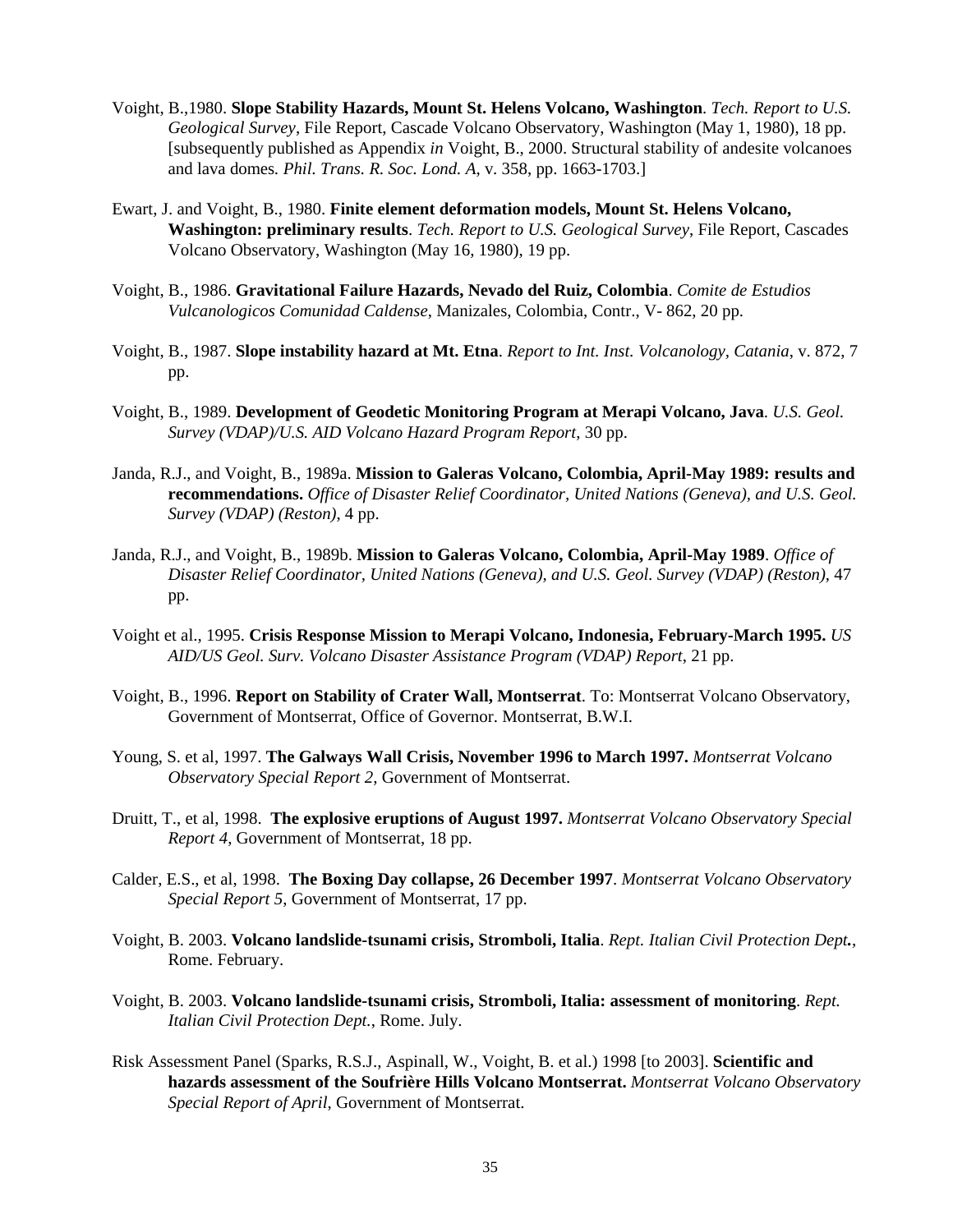- Voight, B.,1980. **Slope Stability Hazards, Mount St. Helens Volcano, Washington**. *Tech. Report to U.S. Geological Survey*, File Report, Cascade Volcano Observatory, Washington (May 1, 1980), 18 pp. [subsequently published as Appendix *in* Voight, B., 2000. Structural stability of andesite volcanoes and lava domes*. Phil. Trans. R. Soc. Lond. A*, v. 358, pp. 1663-1703.]
- Ewart, J. and Voight, B., 1980. **Finite element deformation models, Mount St. Helens Volcano, Washington: preliminary results**. *Tech. Report to U.S. Geological Survey*, File Report, Cascades Volcano Observatory, Washington (May 16, 1980), 19 pp.
- Voight, B., 1986. **Gravitational Failure Hazards, Nevado del Ruiz, Colombia**. *Comite de Estudios Vulcanologicos Comunidad Caldense*, Manizales, Colombia, Contr., V- 862, 20 pp.
- Voight, B., 1987. **Slope instability hazard at Mt. Etna**. *Report to Int. Inst. Volcanology, Catania*, v. 872, 7 pp.
- Voight, B., 1989. **Development of Geodetic Monitoring Program at Merapi Volcano, Java**. *U.S. Geol. Survey (VDAP)/U.S. AID Volcano Hazard Program Report*, 30 pp.
- Janda, R.J., and Voight, B., 1989a. **Mission to Galeras Volcano, Colombia, April-May 1989: results and recommendations.** *Office of Disaster Relief Coordinator, United Nations (Geneva), and U.S. Geol. Survey (VDAP) (Reston)*, 4 pp.
- Janda, R.J., and Voight, B., 1989b. **Mission to Galeras Volcano, Colombia, April-May 1989**. *Office of Disaster Relief Coordinator, United Nations (Geneva), and U.S. Geol. Survey (VDAP) (Reston)*, 47 pp.
- Voight et al., 1995. **Crisis Response Mission to Merapi Volcano, Indonesia, February-March 1995.** *US AID/US Geol. Surv. Volcano Disaster Assistance Program (VDAP) Report*, 21 pp.
- Voight, B., 1996. **Report on Stability of Crater Wall, Montserrat**. To: Montserrat Volcano Observatory, Government of Montserrat, Office of Governor. Montserrat, B.W.I.
- Young, S. et al, 1997. **The Galways Wall Crisis, November 1996 to March 1997.** *Montserrat Volcano Observatory Special Report 2*, Government of Montserrat.
- Druitt, T., et al, 1998. **The explosive eruptions of August 1997.** *Montserrat Volcano Observatory Special Report 4*, Government of Montserrat, 18 pp.
- Calder, E.S., et al, 1998. **The Boxing Day collapse, 26 December 1997**. *Montserrat Volcano Observatory Special Report 5*, Government of Montserrat, 17 pp.
- Voight, B. 2003. **Volcano landslide-tsunami crisis, Stromboli, Italia**. *Rept. Italian Civil Protection Dept.*, Rome. February.
- Voight, B. 2003. **Volcano landslide-tsunami crisis, Stromboli, Italia: assessment of monitoring**. *Rept. Italian Civil Protection Dept.*, Rome. July.
- Risk Assessment Panel (Sparks, R.S.J., Aspinall, W., Voight, B. et al.) 1998 [to 2003]. **Scientific and hazards assessment of the Soufrière Hills Volcano Montserrat.** *Montserrat Volcano Observatory Special Report of April*, Government of Montserrat.